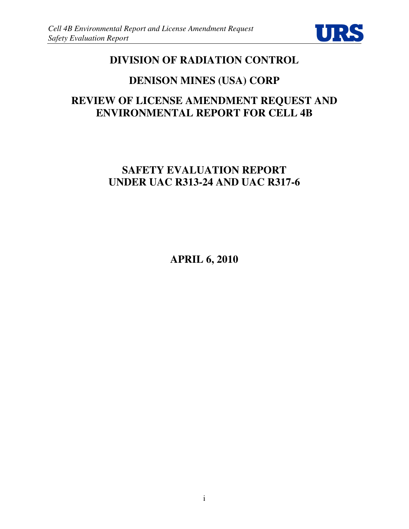

# **DIVISION OF RADIATION CONTROL**

# **DENISON MINES (USA) CORP**

# **REVIEW OF LICENSE AMENDMENT REQUEST AND ENVIRONMENTAL REPORT FOR CELL 4B**

# **SAFETY EVALUATION REPORT UNDER UAC R313-24 AND UAC R317-6**

**APRIL 6, 2010**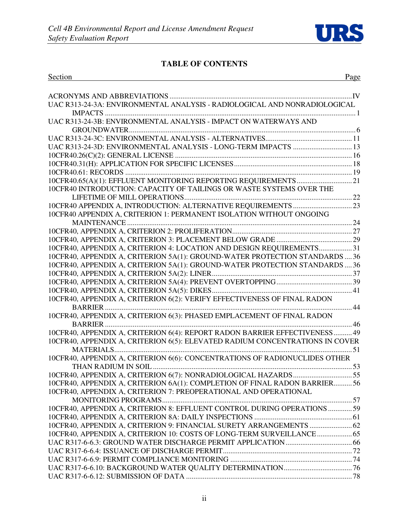

# **TABLE OF CONTENTS**

| Section                                                                      | Page |
|------------------------------------------------------------------------------|------|
|                                                                              |      |
| UAC R313-24-3A: ENVIRONMENTAL ANALYSIS - RADIOLOGICAL AND NONRADIOLOGICAL    |      |
| UAC R313-24-3B: ENVIRONMENTAL ANALYSIS - IMPACT ON WATERWAYS AND             |      |
|                                                                              |      |
| UAC R313-24-3D: ENVIRONMENTAL ANALYSIS - LONG-TERM IMPACTS  13               |      |
|                                                                              |      |
|                                                                              |      |
|                                                                              |      |
|                                                                              |      |
| 10CFR40 INTRODUCTION: CAPACITY OF TAILINGS OR WASTE SYSTEMS OVER THE         |      |
|                                                                              |      |
|                                                                              |      |
| 10CFR40 APPENDIX A, CRITERION 1: PERMANENT ISOLATION WITHOUT ONGOING         |      |
|                                                                              |      |
|                                                                              |      |
| 10CFR40, APPENDIX A, CRITERION 4: LOCATION AND DESIGN REQUIREMENTS 31        |      |
| 10CFR40, APPENDIX A, CRITERION 5A(1): GROUND-WATER PROTECTION STANDARDS  36  |      |
| 10CFR40, APPENDIX A, CRITERION 5A(1): GROUND-WATER PROTECTION STANDARDS  36  |      |
|                                                                              |      |
|                                                                              |      |
|                                                                              |      |
| 10CFR40, APPENDIX A, CRITERION 6(2): VERIFY EFFECTIVENESS OF FINAL RADON     |      |
|                                                                              |      |
| 10CFR40, APPENDIX A, CRITERION 6(3): PHASED EMPLACEMENT OF FINAL RADON       |      |
|                                                                              |      |
| 10CFR40, APPENDIX A, CRITERION 6(4): REPORT RADON BARRIER EFFECTIVENESS 49   |      |
| 10CFR40, APPENDIX A, CRITERION 6(5): ELEVATED RADIUM CONCENTRATIONS IN COVER |      |
|                                                                              |      |
| 10CFR40, APPENDIX A, CRITERION 6(6): CONCENTRATIONS OF RADIONUCLIDES OTHER   |      |
|                                                                              |      |
| 10CFR40, APPENDIX A, CRITERION 6A(1): COMPLETION OF FINAL RADON BARRIER56    |      |
| 10CFR40, APPENDIX A, CRITERION 7: PREOPERATIONAL AND OPERATIONAL             |      |
|                                                                              |      |
| 10CFR40, APPENDIX A, CRITERION 8: EFFLUENT CONTROL DURING OPERATIONS  59     |      |
|                                                                              |      |
| 10CFR40, APPENDIX A, CRITERION 9: FINANCIAL SURETY ARRANGEMENTS  62          |      |
| 10CFR40, APPENDIX A, CRITERION 10: COSTS OF LONG-TERM SURVEILLANCE 65        |      |
|                                                                              |      |
|                                                                              |      |
|                                                                              |      |
|                                                                              |      |
|                                                                              |      |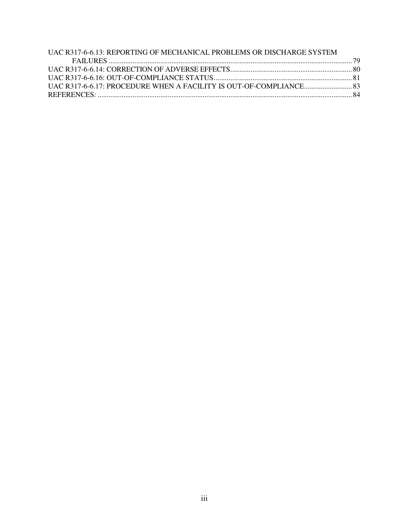| UAC R317-6-6.13: REPORTING OF MECHANICAL PROBLEMS OR DISCHARGE SYSTEM |  |
|-----------------------------------------------------------------------|--|
|                                                                       |  |
|                                                                       |  |
|                                                                       |  |
|                                                                       |  |
|                                                                       |  |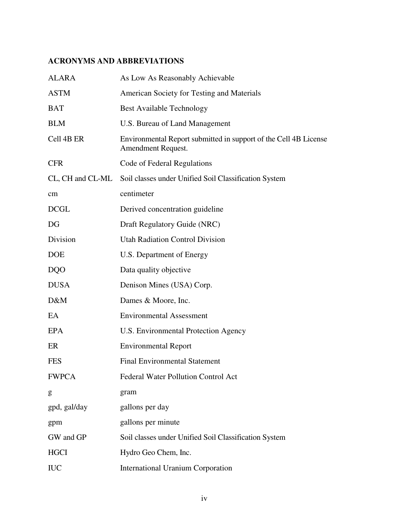# **ACRONYMS AND ABBREVIATIONS**

| <b>ALARA</b>     | As Low As Reasonably Achievable                                                        |
|------------------|----------------------------------------------------------------------------------------|
| <b>ASTM</b>      | American Society for Testing and Materials                                             |
| <b>BAT</b>       | <b>Best Available Technology</b>                                                       |
| <b>BLM</b>       | U.S. Bureau of Land Management                                                         |
| Cell 4B ER       | Environmental Report submitted in support of the Cell 4B License<br>Amendment Request. |
| <b>CFR</b>       | Code of Federal Regulations                                                            |
| CL, CH and CL-ML | Soil classes under Unified Soil Classification System                                  |
| cm               | centimeter                                                                             |
| <b>DCGL</b>      | Derived concentration guideline                                                        |
| DG               | Draft Regulatory Guide (NRC)                                                           |
| Division         | <b>Utah Radiation Control Division</b>                                                 |
| <b>DOE</b>       | U.S. Department of Energy                                                              |
| <b>DQO</b>       | Data quality objective                                                                 |
| <b>DUSA</b>      | Denison Mines (USA) Corp.                                                              |
| D&M              | Dames & Moore, Inc.                                                                    |
| EA               | <b>Environmental Assessment</b>                                                        |
| EPA              | U.S. Environmental Protection Agency                                                   |
| ER               | <b>Environmental Report</b>                                                            |
| <b>FES</b>       | <b>Final Environmental Statement</b>                                                   |
| <b>FWPCA</b>     | <b>Federal Water Pollution Control Act</b>                                             |
| g                | gram                                                                                   |
| gpd, gal/day     | gallons per day                                                                        |
| gpm              | gallons per minute                                                                     |
| GW and GP        | Soil classes under Unified Soil Classification System                                  |
| <b>HGCI</b>      | Hydro Geo Chem, Inc.                                                                   |
| <b>IUC</b>       | <b>International Uranium Corporation</b>                                               |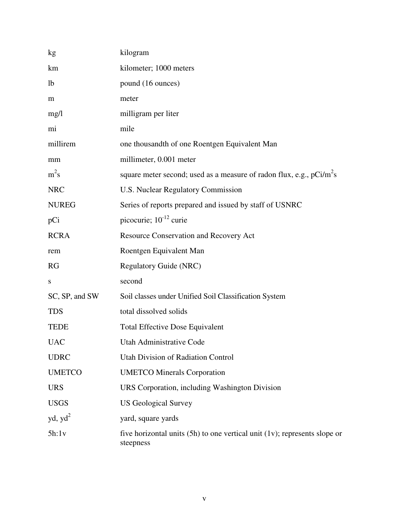| kg                        | kilogram                                                                                    |
|---------------------------|---------------------------------------------------------------------------------------------|
| km                        | kilometer; 1000 meters                                                                      |
| 1 <sub>b</sub>            | pound (16 ounces)                                                                           |
| m                         | meter                                                                                       |
| mg/l                      | milligram per liter                                                                         |
| mi                        | mile                                                                                        |
| millirem                  | one thousandth of one Roentgen Equivalent Man                                               |
| mm                        | millimeter, 0.001 meter                                                                     |
| $m^2$ s                   | square meter second; used as a measure of radon flux, e.g., $pCi/m2s$                       |
| <b>NRC</b>                | <b>U.S. Nuclear Regulatory Commission</b>                                                   |
| <b>NUREG</b>              | Series of reports prepared and issued by staff of USNRC                                     |
| pCi                       | picocurie; $10^{-12}$ curie                                                                 |
| <b>RCRA</b>               | <b>Resource Conservation and Recovery Act</b>                                               |
| rem                       | Roentgen Equivalent Man                                                                     |
| <b>RG</b>                 | <b>Regulatory Guide (NRC)</b>                                                               |
| S                         | second                                                                                      |
| SC, SP, and SW            | Soil classes under Unified Soil Classification System                                       |
| <b>TDS</b>                | total dissolved solids                                                                      |
| <b>TEDE</b>               | <b>Total Effective Dose Equivalent</b>                                                      |
| <b>UAC</b>                | Utah Administrative Code                                                                    |
| <b>UDRC</b>               | <b>Utah Division of Radiation Control</b>                                                   |
| <b>UMETCO</b>             | <b>UMETCO Minerals Corporation</b>                                                          |
| <b>URS</b>                | URS Corporation, including Washington Division                                              |
| <b>USGS</b>               | <b>US Geological Survey</b>                                                                 |
| $y$ d, $y$ d <sup>2</sup> | yard, square yards                                                                          |
| 5h:1v                     | five horizontal units $(5h)$ to one vertical unit $(1v)$ ; represents slope or<br>steepness |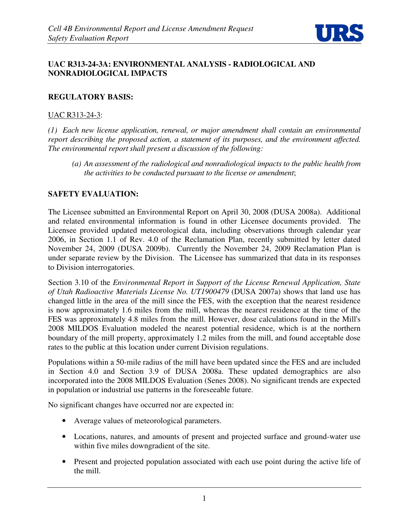

# **UAC R313-24-3A: ENVIRONMENTAL ANALYSIS - RADIOLOGICAL AND NONRADIOLOGICAL IMPACTS**

#### **REGULATORY BASIS:**

#### UAC R313-24-3:

*(1) Each new license application, renewal, or major amendment shall contain an environmental report describing the proposed action, a statement of its purposes, and the environment affected. The environmental report shall present a discussion of the following:* 

*(a) An assessment of the radiological and nonradiological impacts to the public health from the activities to be conducted pursuant to the license or amendment*;

### **SAFETY EVALUATION:**

The Licensee submitted an Environmental Report on April 30, 2008 (DUSA 2008a). Additional and related environmental information is found in other Licensee documents provided. The Licensee provided updated meteorological data, including observations through calendar year 2006, in Section 1.1 of Rev. 4.0 of the Reclamation Plan, recently submitted by letter dated November 24, 2009 (DUSA 2009b). Currently the November 24, 2009 Reclamation Plan is under separate review by the Division. The Licensee has summarized that data in its responses to Division interrogatories.

Section 3.10 of the *Environmental Report in Support of the License Renewal Application, State of Utah Radioactive Materials License No. UT1900479* (DUSA 2007a) shows that land use has changed little in the area of the mill since the FES, with the exception that the nearest residence is now approximately 1.6 miles from the mill, whereas the nearest residence at the time of the FES was approximately 4.8 miles from the mill. However, dose calculations found in the Mill's 2008 MILDOS Evaluation modeled the nearest potential residence, which is at the northern boundary of the mill property, approximately 1.2 miles from the mill, and found acceptable dose rates to the public at this location under current Division regulations.

Populations within a 50-mile radius of the mill have been updated since the FES and are included in Section 4.0 and Section 3.9 of DUSA 2008a. These updated demographics are also incorporated into the 2008 MILDOS Evaluation (Senes 2008). No significant trends are expected in population or industrial use patterns in the foreseeable future.

No significant changes have occurred nor are expected in:

- Average values of meteorological parameters.
- Locations, natures, and amounts of present and projected surface and ground-water use within five miles downgradient of the site.
- Present and projected population associated with each use point during the active life of the mill.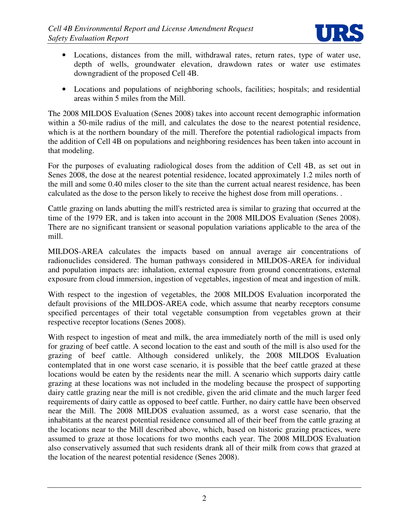

- Locations, distances from the mill, withdrawal rates, return rates, type of water use, depth of wells, groundwater elevation, drawdown rates or water use estimates downgradient of the proposed Cell 4B.
- Locations and populations of neighboring schools, facilities; hospitals; and residential areas within 5 miles from the Mill.

The 2008 MILDOS Evaluation (Senes 2008) takes into account recent demographic information within a 50-mile radius of the mill, and calculates the dose to the nearest potential residence, which is at the northern boundary of the mill. Therefore the potential radiological impacts from the addition of Cell 4B on populations and neighboring residences has been taken into account in that modeling.

For the purposes of evaluating radiological doses from the addition of Cell 4B, as set out in Senes 2008, the dose at the nearest potential residence, located approximately 1.2 miles north of the mill and some 0.40 miles closer to the site than the current actual nearest residence, has been calculated as the dose to the person likely to receive the highest dose from mill operations. .

Cattle grazing on lands abutting the mill's restricted area is similar to grazing that occurred at the time of the 1979 ER, and is taken into account in the 2008 MILDOS Evaluation (Senes 2008). There are no significant transient or seasonal population variations applicable to the area of the mill.

MILDOS-AREA calculates the impacts based on annual average air concentrations of radionuclides considered. The human pathways considered in MILDOS-AREA for individual and population impacts are: inhalation, external exposure from ground concentrations, external exposure from cloud immersion, ingestion of vegetables, ingestion of meat and ingestion of milk.

With respect to the ingestion of vegetables, the 2008 MILDOS Evaluation incorporated the default provisions of the MILDOS-AREA code, which assume that nearby receptors consume specified percentages of their total vegetable consumption from vegetables grown at their respective receptor locations (Senes 2008).

With respect to ingestion of meat and milk, the area immediately north of the mill is used only for grazing of beef cattle. A second location to the east and south of the mill is also used for the grazing of beef cattle. Although considered unlikely, the 2008 MILDOS Evaluation contemplated that in one worst case scenario, it is possible that the beef cattle grazed at these locations would be eaten by the residents near the mill. A scenario which supports dairy cattle grazing at these locations was not included in the modeling because the prospect of supporting dairy cattle grazing near the mill is not credible, given the arid climate and the much larger feed requirements of dairy cattle as opposed to beef cattle. Further, no dairy cattle have been observed near the Mill. The 2008 MILDOS evaluation assumed, as a worst case scenario, that the inhabitants at the nearest potential residence consumed all of their beef from the cattle grazing at the locations near to the Mill described above, which, based on historic grazing practices, were assumed to graze at those locations for two months each year. The 2008 MILDOS Evaluation also conservatively assumed that such residents drank all of their milk from cows that grazed at the location of the nearest potential residence (Senes 2008).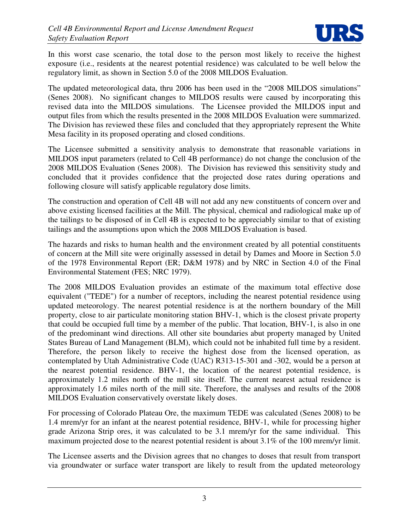

In this worst case scenario, the total dose to the person most likely to receive the highest exposure (i.e., residents at the nearest potential residence) was calculated to be well below the regulatory limit, as shown in Section 5.0 of the 2008 MILDOS Evaluation.

The updated meteorological data, thru 2006 has been used in the "2008 MILDOS simulations" (Senes 2008). No significant changes to MILDOS results were caused by incorporating this revised data into the MILDOS simulations. The Licensee provided the MILDOS input and output files from which the results presented in the 2008 MILDOS Evaluation were summarized. The Division has reviewed these files and concluded that they appropriately represent the White Mesa facility in its proposed operating and closed conditions.

The Licensee submitted a sensitivity analysis to demonstrate that reasonable variations in MILDOS input parameters (related to Cell 4B performance) do not change the conclusion of the 2008 MILDOS Evaluation (Senes 2008). The Division has reviewed this sensitivity study and concluded that it provides confidence that the projected dose rates during operations and following closure will satisfy applicable regulatory dose limits.

The construction and operation of Cell 4B will not add any new constituents of concern over and above existing licensed facilities at the Mill. The physical, chemical and radiological make up of the tailings to be disposed of in Cell 4B is expected to be appreciably similar to that of existing tailings and the assumptions upon which the 2008 MILDOS Evaluation is based.

The hazards and risks to human health and the environment created by all potential constituents of concern at the Mill site were originally assessed in detail by Dames and Moore in Section 5.0 of the 1978 Environmental Report (ER; D&M 1978) and by NRC in Section 4.0 of the Final Environmental Statement (FES; NRC 1979).

The 2008 MILDOS Evaluation provides an estimate of the maximum total effective dose equivalent ("TEDE") for a number of receptors, including the nearest potential residence using updated meteorology. The nearest potential residence is at the northern boundary of the Mill property, close to air particulate monitoring station BHV-1, which is the closest private property that could be occupied full time by a member of the public. That location, BHV-1, is also in one of the predominant wind directions. All other site boundaries abut property managed by United States Bureau of Land Management (BLM), which could not be inhabited full time by a resident. Therefore, the person likely to receive the highest dose from the licensed operation, as contemplated by Utah Administrative Code (UAC) R313-15-301 and -302, would be a person at the nearest potential residence. BHV-1, the location of the nearest potential residence, is approximately 1.2 miles north of the mill site itself. The current nearest actual residence is approximately 1.6 miles north of the mill site. Therefore, the analyses and results of the 2008 MILDOS Evaluation conservatively overstate likely doses.

For processing of Colorado Plateau Ore, the maximum TEDE was calculated (Senes 2008) to be 1.4 mrem/yr for an infant at the nearest potential residence, BHV-1, while for processing higher grade Arizona Strip ores, it was calculated to be 3.1 mrem/yr for the same individual. This maximum projected dose to the nearest potential resident is about 3.1% of the 100 mrem/yr limit.

The Licensee asserts and the Division agrees that no changes to doses that result from transport via groundwater or surface water transport are likely to result from the updated meteorology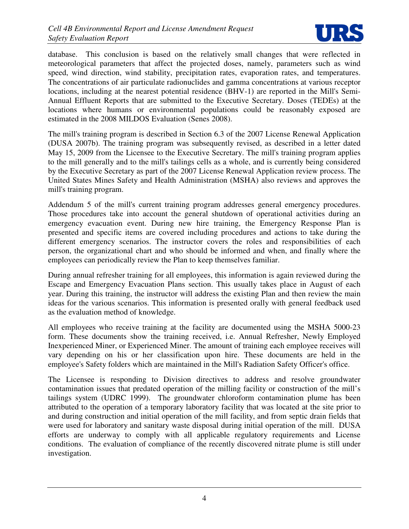

database. This conclusion is based on the relatively small changes that were reflected in meteorological parameters that affect the projected doses, namely, parameters such as wind speed, wind direction, wind stability, precipitation rates, evaporation rates, and temperatures. The concentrations of air particulate radionuclides and gamma concentrations at various receptor locations, including at the nearest potential residence (BHV-1) are reported in the Mill's Semi-Annual Effluent Reports that are submitted to the Executive Secretary. Doses (TEDEs) at the locations where humans or environmental populations could be reasonably exposed are estimated in the 2008 MILDOS Evaluation (Senes 2008).

The mill's training program is described in Section 6.3 of the 2007 License Renewal Application (DUSA 2007b). The training program was subsequently revised, as described in a letter dated May 15, 2009 from the Licensee to the Executive Secretary. The mill's training program applies to the mill generally and to the mill's tailings cells as a whole, and is currently being considered by the Executive Secretary as part of the 2007 License Renewal Application review process. The United States Mines Safety and Health Administration (MSHA) also reviews and approves the mill's training program.

Addendum 5 of the mill's current training program addresses general emergency procedures. Those procedures take into account the general shutdown of operational activities during an emergency evacuation event. During new hire training, the Emergency Response Plan is presented and specific items are covered including procedures and actions to take during the different emergency scenarios. The instructor covers the roles and responsibilities of each person, the organizational chart and who should be informed and when, and finally where the employees can periodically review the Plan to keep themselves familiar.

During annual refresher training for all employees, this information is again reviewed during the Escape and Emergency Evacuation Plans section. This usually takes place in August of each year. During this training, the instructor will address the existing Plan and then review the main ideas for the various scenarios. This information is presented orally with general feedback used as the evaluation method of knowledge.

All employees who receive training at the facility are documented using the MSHA 5000-23 form. These documents show the training received, i.e. Annual Refresher, Newly Employed Inexperienced Miner, or Experienced Miner. The amount of training each employee receives will vary depending on his or her classification upon hire. These documents are held in the employee's Safety folders which are maintained in the Mill's Radiation Safety Officer's office.

The Licensee is responding to Division directives to address and resolve groundwater contamination issues that predated operation of the milling facility or construction of the mill's tailings system (UDRC 1999). The groundwater chloroform contamination plume has been attributed to the operation of a temporary laboratory facility that was located at the site prior to and during construction and initial operation of the mill facility, and from septic drain fields that were used for laboratory and sanitary waste disposal during initial operation of the mill. DUSA efforts are underway to comply with all applicable regulatory requirements and License conditions. The evaluation of compliance of the recently discovered nitrate plume is still under investigation.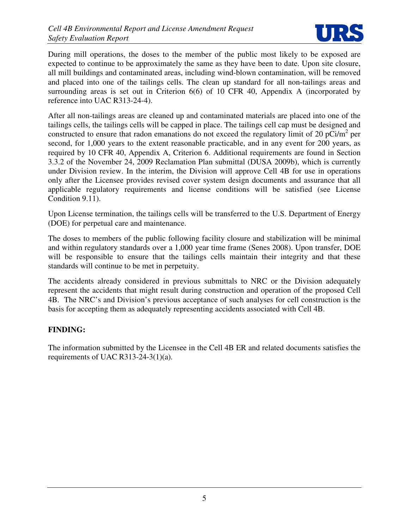

During mill operations, the doses to the member of the public most likely to be exposed are expected to continue to be approximately the same as they have been to date. Upon site closure, all mill buildings and contaminated areas, including wind-blown contamination, will be removed and placed into one of the tailings cells. The clean up standard for all non-tailings areas and surrounding areas is set out in Criterion 6(6) of 10 CFR 40, Appendix A (incorporated by reference into UAC R313-24-4).

After all non-tailings areas are cleaned up and contaminated materials are placed into one of the tailings cells, the tailings cells will be capped in place. The tailings cell cap must be designed and constructed to ensure that radon emanations do not exceed the regulatory limit of 20  $pCi/m^2$  per second, for 1,000 years to the extent reasonable practicable, and in any event for 200 years, as required by 10 CFR 40, Appendix A, Criterion 6. Additional requirements are found in Section 3.3.2 of the November 24, 2009 Reclamation Plan submittal (DUSA 2009b), which is currently under Division review. In the interim, the Division will approve Cell 4B for use in operations only after the Licensee provides revised cover system design documents and assurance that all applicable regulatory requirements and license conditions will be satisfied (see License Condition 9.11).

Upon License termination, the tailings cells will be transferred to the U.S. Department of Energy (DOE) for perpetual care and maintenance.

The doses to members of the public following facility closure and stabilization will be minimal and within regulatory standards over a 1,000 year time frame (Senes 2008). Upon transfer, DOE will be responsible to ensure that the tailings cells maintain their integrity and that these standards will continue to be met in perpetuity.

The accidents already considered in previous submittals to NRC or the Division adequately represent the accidents that might result during construction and operation of the proposed Cell 4B. The NRC's and Division's previous acceptance of such analyses for cell construction is the basis for accepting them as adequately representing accidents associated with Cell 4B.

#### **FINDING:**

The information submitted by the Licensee in the Cell 4B ER and related documents satisfies the requirements of UAC R313-24-3(1)(a).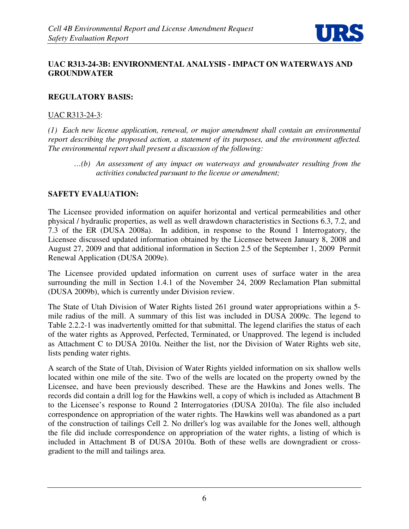

## **UAC R313-24-3B: ENVIRONMENTAL ANALYSIS - IMPACT ON WATERWAYS AND GROUNDWATER**

#### **REGULATORY BASIS:**

#### UAC R313-24-3:

*(1) Each new license application, renewal, or major amendment shall contain an environmental report describing the proposed action, a statement of its purposes, and the environment affected. The environmental report shall present a discussion of the following:* 

*…(b) An assessment of any impact on waterways and groundwater resulting from the activities conducted pursuant to the license or amendment;* 

### **SAFETY EVALUATION:**

The Licensee provided information on aquifer horizontal and vertical permeabilities and other physical / hydraulic properties, as well as well drawdown characteristics in Sections 6.3, 7.2, and 7.3 of the ER (DUSA 2008a). In addition, in response to the Round 1 Interrogatory, the Licensee discussed updated information obtained by the Licensee between January 8, 2008 and August 27, 2009 and that additional information in Section 2.5 of the September 1, 2009 Permit Renewal Application (DUSA 2009e).

The Licensee provided updated information on current uses of surface water in the area surrounding the mill in Section 1.4.1 of the November 24, 2009 Reclamation Plan submittal (DUSA 2009b), which is currently under Division review.

The State of Utah Division of Water Rights listed 261 ground water appropriations within a 5 mile radius of the mill. A summary of this list was included in DUSA 2009c. The legend to Table 2.2.2-1 was inadvertently omitted for that submittal. The legend clarifies the status of each of the water rights as Approved, Perfected, Terminated, or Unapproved. The legend is included as Attachment C to DUSA 2010a. Neither the list, nor the Division of Water Rights web site, lists pending water rights.

A search of the State of Utah, Division of Water Rights yielded information on six shallow wells located within one mile of the site. Two of the wells are located on the property owned by the Licensee, and have been previously described. These are the Hawkins and Jones wells. The records did contain a drill log for the Hawkins well, a copy of which is included as Attachment B to the Licensee's response to Round 2 Interrogatories (DUSA 2010a). The file also included correspondence on appropriation of the water rights. The Hawkins well was abandoned as a part of the construction of tailings Cell 2. No driller's log was available for the Jones well, although the file did include correspondence on appropriation of the water rights, a listing of which is included in Attachment B of DUSA 2010a. Both of these wells are downgradient or crossgradient to the mill and tailings area.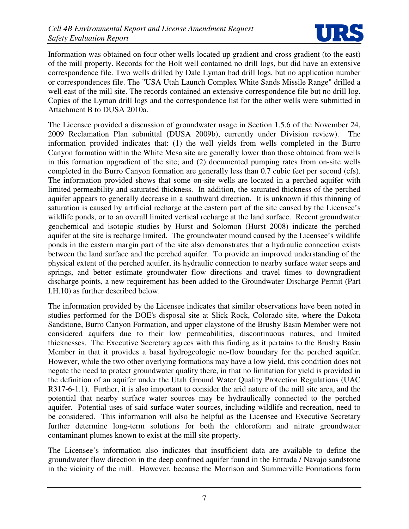

Information was obtained on four other wells located up gradient and cross gradient (to the east) of the mill property. Records for the Holt well contained no drill logs, but did have an extensive correspondence file. Two wells drilled by Dale Lyman had drill logs, but no application number or correspondences file. The "USA Utah Launch Complex White Sands Missile Range" drilled a well east of the mill site. The records contained an extensive correspondence file but no drill log. Copies of the Lyman drill logs and the correspondence list for the other wells were submitted in Attachment B to DUSA 2010a.

The Licensee provided a discussion of groundwater usage in Section 1.5.6 of the November 24, 2009 Reclamation Plan submittal (DUSA 2009b), currently under Division review). The information provided indicates that: (1) the well yields from wells completed in the Burro Canyon formation within the White Mesa site are generally lower than those obtained from wells in this formation upgradient of the site; and (2) documented pumping rates from on-site wells completed in the Burro Canyon formation are generally less than 0.7 cubic feet per second (cfs). The information provided shows that some on-site wells are located in a perched aquifer with limited permeability and saturated thickness. In addition, the saturated thickness of the perched aquifer appears to generally decrease in a southward direction. It is unknown if this thinning of saturation is caused by artificial recharge at the eastern part of the site caused by the Licensee's wildlife ponds, or to an overall limited vertical recharge at the land surface. Recent groundwater geochemical and isotopic studies by Hurst and Solomon (Hurst 2008) indicate the perched aquifer at the site is recharge limited. The groundwater mound caused by the Licensee's wildlife ponds in the eastern margin part of the site also demonstrates that a hydraulic connection exists between the land surface and the perched aquifer. To provide an improved understanding of the physical extent of the perched aquifer, its hydraulic connection to nearby surface water seeps and springs, and better estimate groundwater flow directions and travel times to downgradient discharge points, a new requirement has been added to the Groundwater Discharge Permit (Part I.H.10) as further described below.

The information provided by the Licensee indicates that similar observations have been noted in studies performed for the DOE's disposal site at Slick Rock, Colorado site, where the Dakota Sandstone, Burro Canyon Formation, and upper claystone of the Brushy Basin Member were not considered aquifers due to their low permeabilities, discontinuous natures, and limited thicknesses. The Executive Secretary agrees with this finding as it pertains to the Brushy Basin Member in that it provides a basal hydrogeologic no-flow boundary for the perched aquifer. However, while the two other overlying formations may have a low yield, this condition does not negate the need to protect groundwater quality there, in that no limitation for yield is provided in the definition of an aquifer under the Utah Ground Water Quality Protection Regulations (UAC R317-6-1.1). Further, it is also important to consider the arid nature of the mill site area, and the potential that nearby surface water sources may be hydraulically connected to the perched aquifer. Potential uses of said surface water sources, including wildlife and recreation, need to be considered. This information will also be helpful as the Licensee and Executive Secretary further determine long-term solutions for both the chloroform and nitrate groundwater contaminant plumes known to exist at the mill site property.

The Licensee's information also indicates that insufficient data are available to define the groundwater flow direction in the deep confined aquifer found in the Entrada / Navajo sandstone in the vicinity of the mill. However, because the Morrison and Summerville Formations form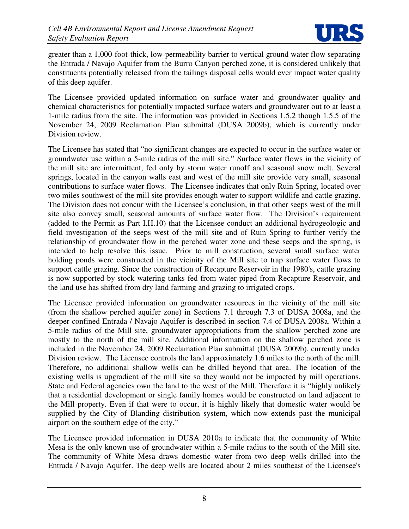

greater than a 1,000-foot-thick, low-permeability barrier to vertical ground water flow separating the Entrada / Navajo Aquifer from the Burro Canyon perched zone, it is considered unlikely that constituents potentially released from the tailings disposal cells would ever impact water quality of this deep aquifer.

The Licensee provided updated information on surface water and groundwater quality and chemical characteristics for potentially impacted surface waters and groundwater out to at least a 1-mile radius from the site. The information was provided in Sections 1.5.2 though 1.5.5 of the November 24, 2009 Reclamation Plan submittal (DUSA 2009b), which is currently under Division review.

The Licensee has stated that "no significant changes are expected to occur in the surface water or groundwater use within a 5-mile radius of the mill site." Surface water flows in the vicinity of the mill site are intermittent, fed only by storm water runoff and seasonal snow melt. Several springs, located in the canyon walls east and west of the mill site provide very small, seasonal contributions to surface water flows. The Licensee indicates that only Ruin Spring, located over two miles southwest of the mill site provides enough water to support wildlife and cattle grazing. The Division does not concur with the Licensee's conclusion, in that other seeps west of the mill site also convey small, seasonal amounts of surface water flow. The Division's requirement (added to the Permit as Part I.H.10) that the Licensee conduct an additional hydrogeologic and field investigation of the seeps west of the mill site and of Ruin Spring to further verify the relationship of groundwater flow in the perched water zone and these seeps and the spring, is intended to help resolve this issue. Prior to mill construction, several small surface water holding ponds were constructed in the vicinity of the Mill site to trap surface water flows to support cattle grazing. Since the construction of Recapture Reservoir in the 1980's, cattle grazing is now supported by stock watering tanks fed from water piped from Recapture Reservoir, and the land use has shifted from dry land farming and grazing to irrigated crops.

The Licensee provided information on groundwater resources in the vicinity of the mill site (from the shallow perched aquifer zone) in Sections 7.1 through 7.3 of DUSA 2008a, and the deeper confined Entrada / Navajo Aquifer is described in section 7.4 of DUSA 2008a. Within a 5-mile radius of the Mill site, groundwater appropriations from the shallow perched zone are mostly to the north of the mill site. Additional information on the shallow perched zone is included in the November 24, 2009 Reclamation Plan submittal (DUSA 2009b), currently under Division review. The Licensee controls the land approximately 1.6 miles to the north of the mill. Therefore, no additional shallow wells can be drilled beyond that area. The location of the existing wells is upgradient of the mill site so they would not be impacted by mill operations. State and Federal agencies own the land to the west of the Mill. Therefore it is "highly unlikely that a residential development or single family homes would be constructed on land adjacent to the Mill property. Even if that were to occur, it is highly likely that domestic water would be supplied by the City of Blanding distribution system, which now extends past the municipal airport on the southern edge of the city."

The Licensee provided information in DUSA 2010a to indicate that the community of White Mesa is the only known use of groundwater within a 5-mile radius to the south of the Mill site. The community of White Mesa draws domestic water from two deep wells drilled into the Entrada / Navajo Aquifer. The deep wells are located about 2 miles southeast of the Licensee's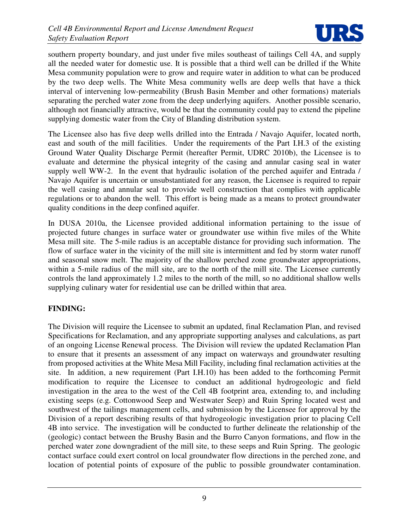

southern property boundary, and just under five miles southeast of tailings Cell 4A, and supply all the needed water for domestic use. It is possible that a third well can be drilled if the White Mesa community population were to grow and require water in addition to what can be produced by the two deep wells. The White Mesa community wells are deep wells that have a thick interval of intervening low-permeability (Brush Basin Member and other formations) materials separating the perched water zone from the deep underlying aquifers. Another possible scenario, although not financially attractive, would be that the community could pay to extend the pipeline supplying domestic water from the City of Blanding distribution system.

The Licensee also has five deep wells drilled into the Entrada / Navajo Aquifer, located north, east and south of the mill facilities. Under the requirements of the Part I.H.3 of the existing Ground Water Quality Discharge Permit (hereafter Permit, UDRC 2010b), the Licensee is to evaluate and determine the physical integrity of the casing and annular casing seal in water supply well WW-2. In the event that hydraulic isolation of the perched aquifer and Entrada / Navajo Aquifer is uncertain or unsubstantiated for any reason, the Licensee is required to repair the well casing and annular seal to provide well construction that complies with applicable regulations or to abandon the well. This effort is being made as a means to protect groundwater quality conditions in the deep confined aquifer.

In DUSA 2010a, the Licensee provided additional information pertaining to the issue of projected future changes in surface water or groundwater use within five miles of the White Mesa mill site. The 5-mile radius is an acceptable distance for providing such information. The flow of surface water in the vicinity of the mill site is intermittent and fed by storm water runoff and seasonal snow melt. The majority of the shallow perched zone groundwater appropriations, within a 5-mile radius of the mill site, are to the north of the mill site. The Licensee currently controls the land approximately 1.2 miles to the north of the mill, so no additional shallow wells supplying culinary water for residential use can be drilled within that area.

# **FINDING:**

The Division will require the Licensee to submit an updated, final Reclamation Plan, and revised Specifications for Reclamation, and any appropriate supporting analyses and calculations, as part of an ongoing License Renewal process. The Division will review the updated Reclamation Plan to ensure that it presents an assessment of any impact on waterways and groundwater resulting from proposed activities at the White Mesa Mill Facility, including final reclamation activities at the site. In addition, a new requirement (Part I.H.10) has been added to the forthcoming Permit modification to require the Licensee to conduct an additional hydrogeologic and field investigation in the area to the west of the Cell 4B footprint area, extending to, and including existing seeps (e.g. Cottonwood Seep and Westwater Seep) and Ruin Spring located west and southwest of the tailings management cells, and submission by the Licensee for approval by the Division of a report describing results of that hydrogeologic investigation prior to placing Cell 4B into service. The investigation will be conducted to further delineate the relationship of the (geologic) contact between the Brushy Basin and the Burro Canyon formations, and flow in the perched water zone downgradient of the mill site, to these seeps and Ruin Spring. The geologic contact surface could exert control on local groundwater flow directions in the perched zone, and location of potential points of exposure of the public to possible groundwater contamination.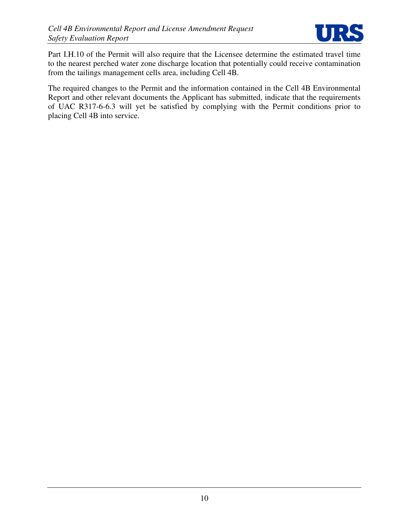

Part I.H.10 of the Permit will also require that the Licensee determine the estimated travel time to the nearest perched water zone discharge location that potentially could receive contamination from the tailings management cells area, including Cell 4B.

The required changes to the Permit and the information contained in the Cell 4B Environmental Report and other relevant documents the Applicant has submitted, indicate that the requirements of UAC R317-6-6.3 will yet be satisfied by complying with the Permit conditions prior to placing Cell 4B into service.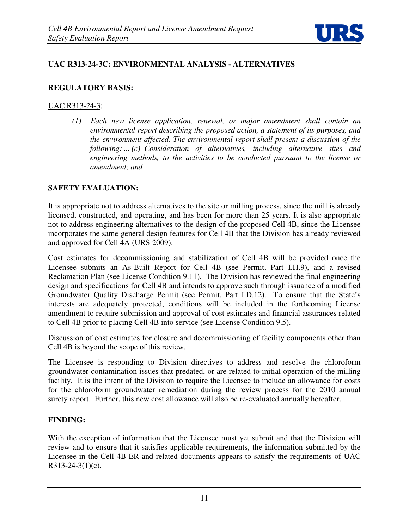

# **UAC R313-24-3C: ENVIRONMENTAL ANALYSIS - ALTERNATIVES**

# **REGULATORY BASIS:**

## UAC R313-24-3:

*(1) Each new license application, renewal, or major amendment shall contain an environmental report describing the proposed action, a statement of its purposes, and the environment affected. The environmental report shall present a discussion of the following: ... (c) Consideration of alternatives, including alternative sites and engineering methods, to the activities to be conducted pursuant to the license or amendment; and* 

# **SAFETY EVALUATION:**

It is appropriate not to address alternatives to the site or milling process, since the mill is already licensed, constructed, and operating, and has been for more than 25 years. It is also appropriate not to address engineering alternatives to the design of the proposed Cell 4B, since the Licensee incorporates the same general design features for Cell 4B that the Division has already reviewed and approved for Cell 4A (URS 2009).

Cost estimates for decommissioning and stabilization of Cell 4B will be provided once the Licensee submits an As-Built Report for Cell 4B (see Permit, Part I.H.9), and a revised Reclamation Plan (see License Condition 9.11). The Division has reviewed the final engineering design and specifications for Cell 4B and intends to approve such through issuance of a modified Groundwater Quality Discharge Permit (see Permit, Part I.D.12). To ensure that the State's interests are adequately protected, conditions will be included in the forthcoming License amendment to require submission and approval of cost estimates and financial assurances related to Cell 4B prior to placing Cell 4B into service (see License Condition 9.5).

Discussion of cost estimates for closure and decommissioning of facility components other than Cell 4B is beyond the scope of this review.

The Licensee is responding to Division directives to address and resolve the chloroform groundwater contamination issues that predated, or are related to initial operation of the milling facility. It is the intent of the Division to require the Licensee to include an allowance for costs for the chloroform groundwater remediation during the review process for the 2010 annual surety report. Further, this new cost allowance will also be re-evaluated annually hereafter.

# **FINDING:**

With the exception of information that the Licensee must yet submit and that the Division will review and to ensure that it satisfies applicable requirements, the information submitted by the Licensee in the Cell 4B ER and related documents appears to satisfy the requirements of UAC R313-24-3(1)(c).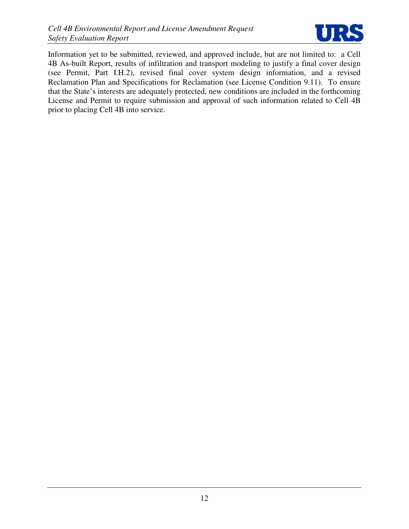

Information yet to be submitted, reviewed, and approved include, but are not limited to: a Cell 4B As-built Report, results of infiltration and transport modeling to justify a final cover design (see Permit, Part I.H.2), revised final cover system design information, and a revised Reclamation Plan and Specifications for Reclamation (see License Condition 9.11). To ensure that the State's interests are adequately protected, new conditions are included in the forthcoming License and Permit to require submission and approval of such information related to Cell 4B prior to placing Cell 4B into service.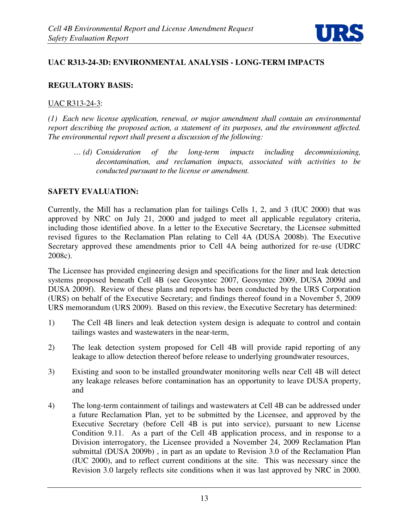

# **UAC R313-24-3D: ENVIRONMENTAL ANALYSIS - LONG-TERM IMPACTS**

### **REGULATORY BASIS:**

#### UAC R313-24-3:

*(1) Each new license application, renewal, or major amendment shall contain an environmental report describing the proposed action, a statement of its purposes, and the environment affected. The environmental report shall present a discussion of the following:* 

*… (d) Consideration of the long-term impacts including decommissioning, decontamination, and reclamation impacts, associated with activities to be conducted pursuant to the license or amendment.*

### **SAFETY EVALUATION:**

Currently, the Mill has a reclamation plan for tailings Cells 1, 2, and 3 (IUC 2000) that was approved by NRC on July 21, 2000 and judged to meet all applicable regulatory criteria, including those identified above. In a letter to the Executive Secretary, the Licensee submitted revised figures to the Reclamation Plan relating to Cell 4A (DUSA 2008b). The Executive Secretary approved these amendments prior to Cell 4A being authorized for re-use (UDRC 2008c).

The Licensee has provided engineering design and specifications for the liner and leak detection systems proposed beneath Cell 4B (see Geosyntec 2007, Geosyntec 2009, DUSA 2009d and DUSA 2009f). Review of these plans and reports has been conducted by the URS Corporation (URS) on behalf of the Executive Secretary; and findings thereof found in a November 5, 2009 URS memorandum (URS 2009). Based on this review, the Executive Secretary has determined:

- 1) The Cell 4B liners and leak detection system design is adequate to control and contain tailings wastes and wastewaters in the near-term,
- 2) The leak detection system proposed for Cell 4B will provide rapid reporting of any leakage to allow detection thereof before release to underlying groundwater resources,
- 3) Existing and soon to be installed groundwater monitoring wells near Cell 4B will detect any leakage releases before contamination has an opportunity to leave DUSA property, and
- 4) The long-term containment of tailings and wastewaters at Cell 4B can be addressed under a future Reclamation Plan, yet to be submitted by the Licensee, and approved by the Executive Secretary (before Cell 4B is put into service), pursuant to new License Condition 9.11. As a part of the Cell 4B application process, and in response to a Division interrogatory, the Licensee provided a November 24, 2009 Reclamation Plan submittal (DUSA 2009b) , in part as an update to Revision 3.0 of the Reclamation Plan (IUC 2000), and to reflect current conditions at the site. This was necessary since the Revision 3.0 largely reflects site conditions when it was last approved by NRC in 2000.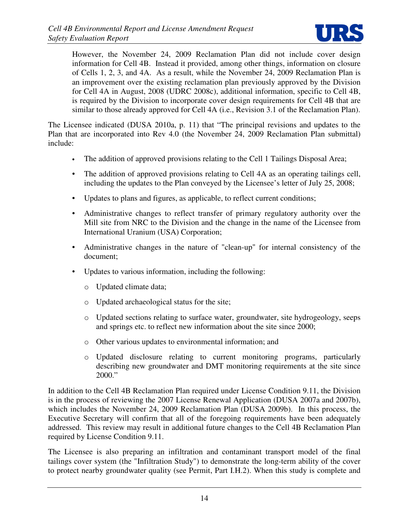

However, the November 24, 2009 Reclamation Plan did not include cover design information for Cell 4B. Instead it provided, among other things, information on closure of Cells 1, 2, 3, and 4A. As a result, while the November 24, 2009 Reclamation Plan is an improvement over the existing reclamation plan previously approved by the Division for Cell 4A in August, 2008 (UDRC 2008c), additional information, specific to Cell 4B, is required by the Division to incorporate cover design requirements for Cell 4B that are similar to those already approved for Cell 4A (i.e., Revision 3.1 of the Reclamation Plan).

The Licensee indicated (DUSA 2010a, p. 11) that "The principal revisions and updates to the Plan that are incorporated into Rev 4.0 (the November 24, 2009 Reclamation Plan submittal) include:

- The addition of approved provisions relating to the Cell 1 Tailings Disposal Area;
- The addition of approved provisions relating to Cell 4A as an operating tailings cell, including the updates to the Plan conveyed by the Licensee's letter of July 25, 2008;
- Updates to plans and figures, as applicable, to reflect current conditions;
- Administrative changes to reflect transfer of primary regulatory authority over the Mill site from NRC to the Division and the change in the name of the Licensee from International Uranium (USA) Corporation;
- Administrative changes in the nature of "clean-up" for internal consistency of the document;
- Updates to various information, including the following:
	- o Updated climate data;
	- o Updated archaeological status for the site;
	- o Updated sections relating to surface water, groundwater, site hydrogeology, seeps and springs etc. to reflect new information about the site since 2000;
	- o Other various updates to environmental information; and
	- o Updated disclosure relating to current monitoring programs, particularly describing new groundwater and DMT monitoring requirements at the site since 2000."

In addition to the Cell 4B Reclamation Plan required under License Condition 9.11, the Division is in the process of reviewing the 2007 License Renewal Application (DUSA 2007a and 2007b), which includes the November 24, 2009 Reclamation Plan (DUSA 2009b). In this process, the Executive Secretary will confirm that all of the foregoing requirements have been adequately addressed. This review may result in additional future changes to the Cell 4B Reclamation Plan required by License Condition 9.11.

The Licensee is also preparing an infiltration and contaminant transport model of the final tailings cover system (the "Infiltration Study") to demonstrate the long-term ability of the cover to protect nearby groundwater quality (see Permit, Part I.H.2). When this study is complete and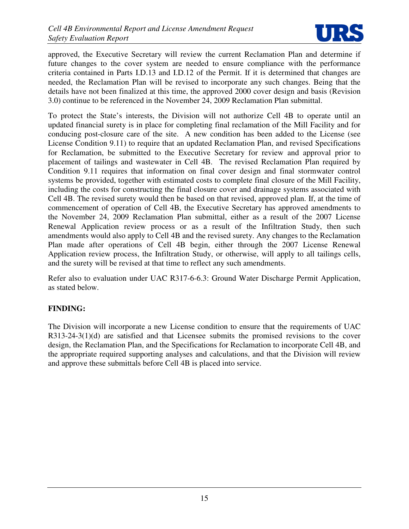

approved, the Executive Secretary will review the current Reclamation Plan and determine if future changes to the cover system are needed to ensure compliance with the performance criteria contained in Parts I.D.13 and I.D.12 of the Permit. If it is determined that changes are needed, the Reclamation Plan will be revised to incorporate any such changes. Being that the details have not been finalized at this time, the approved 2000 cover design and basis (Revision 3.0) continue to be referenced in the November 24, 2009 Reclamation Plan submittal.

To protect the State's interests, the Division will not authorize Cell 4B to operate until an updated financial surety is in place for completing final reclamation of the Mill Facility and for conducing post-closure care of the site. A new condition has been added to the License (see License Condition 9.11) to require that an updated Reclamation Plan, and revised Specifications for Reclamation, be submitted to the Executive Secretary for review and approval prior to placement of tailings and wastewater in Cell 4B. The revised Reclamation Plan required by Condition 9.11 requires that information on final cover design and final stormwater control systems be provided, together with estimated costs to complete final closure of the Mill Facility, including the costs for constructing the final closure cover and drainage systems associated with Cell 4B. The revised surety would then be based on that revised, approved plan. If, at the time of commencement of operation of Cell 4B, the Executive Secretary has approved amendments to the November 24, 2009 Reclamation Plan submittal, either as a result of the 2007 License Renewal Application review process or as a result of the Infiltration Study, then such amendments would also apply to Cell 4B and the revised surety. Any changes to the Reclamation Plan made after operations of Cell 4B begin, either through the 2007 License Renewal Application review process, the Infiltration Study, or otherwise, will apply to all tailings cells, and the surety will be revised at that time to reflect any such amendments.

Refer also to evaluation under UAC R317-6-6.3: Ground Water Discharge Permit Application, as stated below.

# **FINDING:**

The Division will incorporate a new License condition to ensure that the requirements of UAC R313-24-3(1)(d) are satisfied and that Licensee submits the promised revisions to the cover design, the Reclamation Plan, and the Specifications for Reclamation to incorporate Cell 4B, and the appropriate required supporting analyses and calculations, and that the Division will review and approve these submittals before Cell 4B is placed into service.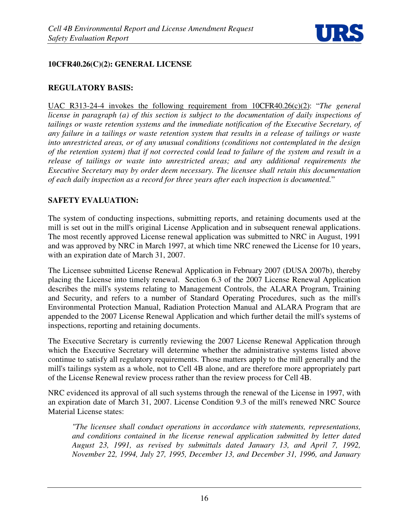

# **10CFR40.26(C)(2): GENERAL LICENSE**

#### **REGULATORY BASIS:**

UAC R313-24-4 invokes the following requirement from 10CFR40.26(c)(2): "*The general license in paragraph (a) of this section is subject to the documentation of daily inspections of tailings or waste retention systems and the immediate notification of the Executive Secretary, of any failure in a tailings or waste retention system that results in a release of tailings or waste into unrestricted areas, or of any unusual conditions (conditions not contemplated in the design of the retention system) that if not corrected could lead to failure of the system and result in a release of tailings or waste into unrestricted areas; and any additional requirements the Executive Secretary may by order deem necessary. The licensee shall retain this documentation of each daily inspection as a record for three years after each inspection is documented.*"

### **SAFETY EVALUATION:**

The system of conducting inspections, submitting reports, and retaining documents used at the mill is set out in the mill's original License Application and in subsequent renewal applications. The most recently approved License renewal application was submitted to NRC in August, 1991 and was approved by NRC in March 1997, at which time NRC renewed the License for 10 years, with an expiration date of March 31, 2007.

The Licensee submitted License Renewal Application in February 2007 (DUSA 2007b), thereby placing the License into timely renewal. Section 6.3 of the 2007 License Renewal Application describes the mill's systems relating to Management Controls, the ALARA Program, Training and Security, and refers to a number of Standard Operating Procedures, such as the mill's Environmental Protection Manual, Radiation Protection Manual and ALARA Program that are appended to the 2007 License Renewal Application and which further detail the mill's systems of inspections, reporting and retaining documents.

The Executive Secretary is currently reviewing the 2007 License Renewal Application through which the Executive Secretary will determine whether the administrative systems listed above continue to satisfy all regulatory requirements. Those matters apply to the mill generally and the mill's tailings system as a whole, not to Cell 4B alone, and are therefore more appropriately part of the License Renewal review process rather than the review process for Cell 4B.

NRC evidenced its approval of all such systems through the renewal of the License in 1997, with an expiration date of March 31, 2007. License Condition 9.3 of the mill's renewed NRC Source Material License states:

*"The licensee shall conduct operations in accordance with statements, representations, and conditions contained in the license renewal application submitted by letter dated August 23, 1991, as revised by submittals dated January 13, and April 7, 1992, November 22, 1994, July 27, 1995, December 13, and December 31, 1996, and January*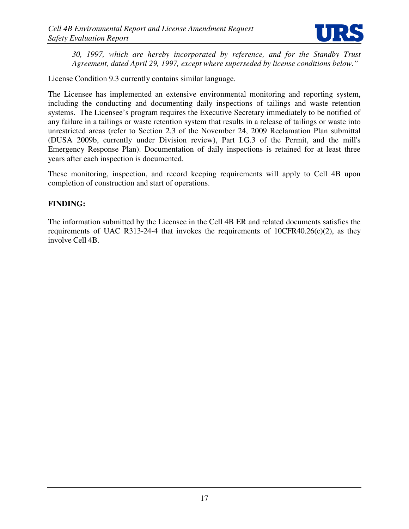

*30, 1997, which are hereby incorporated by reference, and for the Standby Trust Agreement, dated April 29, 1997, except where superseded by license conditions below."* 

License Condition 9.3 currently contains similar language.

The Licensee has implemented an extensive environmental monitoring and reporting system, including the conducting and documenting daily inspections of tailings and waste retention systems. The Licensee's program requires the Executive Secretary immediately to be notified of any failure in a tailings or waste retention system that results in a release of tailings or waste into unrestricted areas (refer to Section 2.3 of the November 24, 2009 Reclamation Plan submittal (DUSA 2009b, currently under Division review), Part I.G.3 of the Permit, and the mill's Emergency Response Plan). Documentation of daily inspections is retained for at least three years after each inspection is documented.

These monitoring, inspection, and record keeping requirements will apply to Cell 4B upon completion of construction and start of operations.

### **FINDING:**

The information submitted by the Licensee in the Cell 4B ER and related documents satisfies the requirements of UAC R313-24-4 that invokes the requirements of  $10CFR40.26(c)(2)$ , as they involve Cell 4B.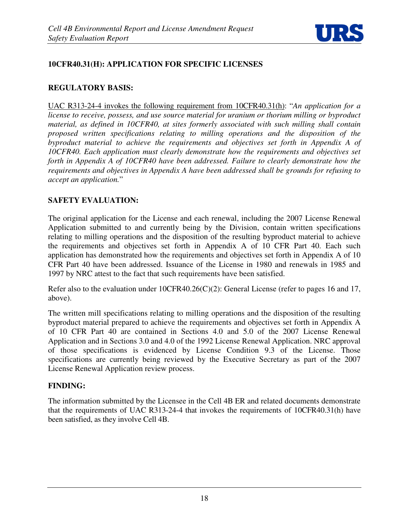

# **10CFR40.31(H): APPLICATION FOR SPECIFIC LICENSES**

## **REGULATORY BASIS:**

UAC R313-24-4 invokes the following requirement from 10CFR40.31(h): "*An application for a license to receive, possess, and use source material for uranium or thorium milling or byproduct material, as defined in 10CFR40, at sites formerly associated with such milling shall contain proposed written specifications relating to milling operations and the disposition of the byproduct material to achieve the requirements and objectives set forth in Appendix A of 10CFR40. Each application must clearly demonstrate how the requirements and objectives set forth in Appendix A of 10CFR40 have been addressed. Failure to clearly demonstrate how the requirements and objectives in Appendix A have been addressed shall be grounds for refusing to accept an application.*"

### **SAFETY EVALUATION:**

The original application for the License and each renewal, including the 2007 License Renewal Application submitted to and currently being by the Division, contain written specifications relating to milling operations and the disposition of the resulting byproduct material to achieve the requirements and objectives set forth in Appendix A of 10 CFR Part 40. Each such application has demonstrated how the requirements and objectives set forth in Appendix A of 10 CFR Part 40 have been addressed. Issuance of the License in 1980 and renewals in 1985 and 1997 by NRC attest to the fact that such requirements have been satisfied.

Refer also to the evaluation under 10CFR40.26(C)(2): General License (refer to pages 16 and 17, above).

The written mill specifications relating to milling operations and the disposition of the resulting byproduct material prepared to achieve the requirements and objectives set forth in Appendix A of 10 CFR Part 40 are contained in Sections 4.0 and 5.0 of the 2007 License Renewal Application and in Sections 3.0 and 4.0 of the 1992 License Renewal Application. NRC approval of those specifications is evidenced by License Condition 9.3 of the License. Those specifications are currently being reviewed by the Executive Secretary as part of the 2007 License Renewal Application review process.

#### **FINDING:**

The information submitted by the Licensee in the Cell 4B ER and related documents demonstrate that the requirements of UAC R313-24-4 that invokes the requirements of 10CFR40.31(h) have been satisfied, as they involve Cell 4B.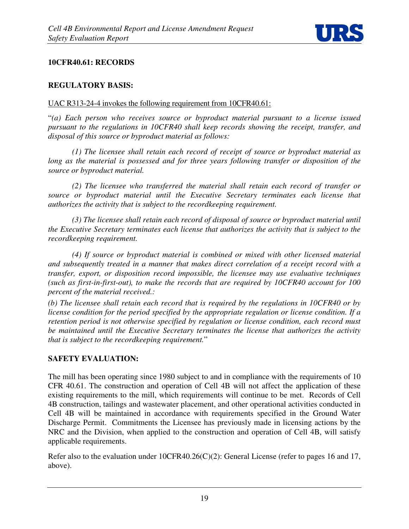

# **10CFR40.61: RECORDS**

#### **REGULATORY BASIS:**

#### UAC R313-24-4 invokes the following requirement from 10CFR40.61:

"*(a) Each person who receives source or byproduct material pursuant to a license issued pursuant to the regulations in 10CFR40 shall keep records showing the receipt, transfer, and disposal of this source or byproduct material as follows:* 

*(1) The licensee shall retain each record of receipt of source or byproduct material as long as the material is possessed and for three years following transfer or disposition of the source or byproduct material.* 

*(2) The licensee who transferred the material shall retain each record of transfer or source or byproduct material until the Executive Secretary terminates each license that authorizes the activity that is subject to the recordkeeping requirement.* 

*(3) The licensee shall retain each record of disposal of source or byproduct material until the Executive Secretary terminates each license that authorizes the activity that is subject to the recordkeeping requirement.* 

*(4) If source or byproduct material is combined or mixed with other licensed material and subsequently treated in a manner that makes direct correlation of a receipt record with a transfer, export, or disposition record impossible, the licensee may use evaluative techniques (such as first-in-first-out), to make the records that are required by 10CFR40 account for 100 percent of the material received.:* 

*(b) The licensee shall retain each record that is required by the regulations in 10CFR40 or by license condition for the period specified by the appropriate regulation or license condition. If a retention period is not otherwise specified by regulation or license condition, each record must be maintained until the Executive Secretary terminates the license that authorizes the activity that is subject to the recordkeeping requirement.*"

# **SAFETY EVALUATION:**

The mill has been operating since 1980 subject to and in compliance with the requirements of 10 CFR 40.61. The construction and operation of Cell 4B will not affect the application of these existing requirements to the mill, which requirements will continue to be met. Records of Cell 4B construction, tailings and wastewater placement, and other operational activities conducted in Cell 4B will be maintained in accordance with requirements specified in the Ground Water Discharge Permit. Commitments the Licensee has previously made in licensing actions by the NRC and the Division, when applied to the construction and operation of Cell 4B, will satisfy applicable requirements.

Refer also to the evaluation under 10CFR40.26(C)(2): General License (refer to pages 16 and 17, above).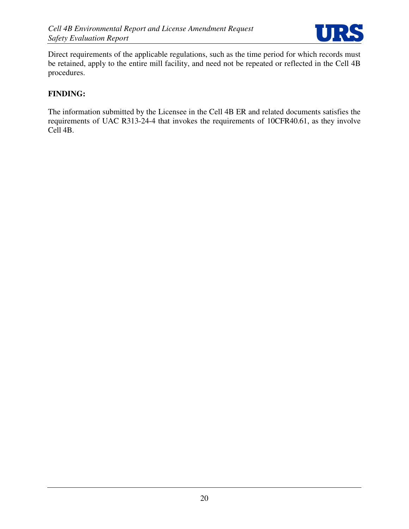

Direct requirements of the applicable regulations, such as the time period for which records must be retained, apply to the entire mill facility, and need not be repeated or reflected in the Cell 4B procedures.

#### **FINDING:**

The information submitted by the Licensee in the Cell 4B ER and related documents satisfies the requirements of UAC R313-24-4 that invokes the requirements of 10CFR40.61, as they involve Cell 4B.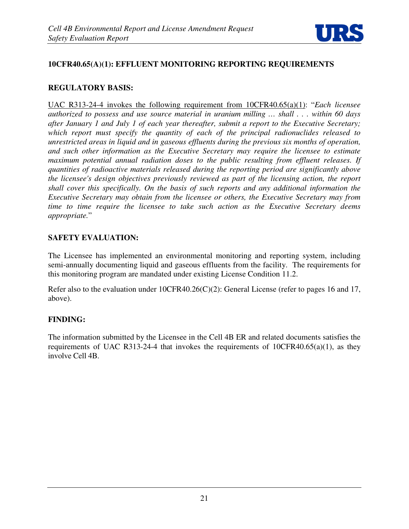

# **10CFR40.65(A)(1): EFFLUENT MONITORING REPORTING REQUIREMENTS**

## **REGULATORY BASIS:**

UAC R313-24-4 invokes the following requirement from 10CFR40.65(a)(1): "*Each licensee authorized to possess and use source material in uranium milling … shall . . . within 60 days after January 1 and July 1 of each year thereafter, submit a report to the Executive Secretary; which report must specify the quantity of each of the principal radionuclides released to unrestricted areas in liquid and in gaseous effluents during the previous six months of operation, and such other information as the Executive Secretary may require the licensee to estimate maximum potential annual radiation doses to the public resulting from effluent releases. If quantities of radioactive materials released during the reporting period are significantly above the licensee's design objectives previously reviewed as part of the licensing action, the report shall cover this specifically. On the basis of such reports and any additional information the Executive Secretary may obtain from the licensee or others, the Executive Secretary may from time to time require the licensee to take such action as the Executive Secretary deems appropriate.*"

### **SAFETY EVALUATION:**

The Licensee has implemented an environmental monitoring and reporting system, including semi-annually documenting liquid and gaseous effluents from the facility. The requirements for this monitoring program are mandated under existing License Condition 11.2.

Refer also to the evaluation under 10CFR40.26(C)(2): General License (refer to pages 16 and 17, above).

# **FINDING:**

The information submitted by the Licensee in the Cell 4B ER and related documents satisfies the requirements of UAC R313-24-4 that invokes the requirements of 10CFR40.65(a)(1), as they involve Cell 4B.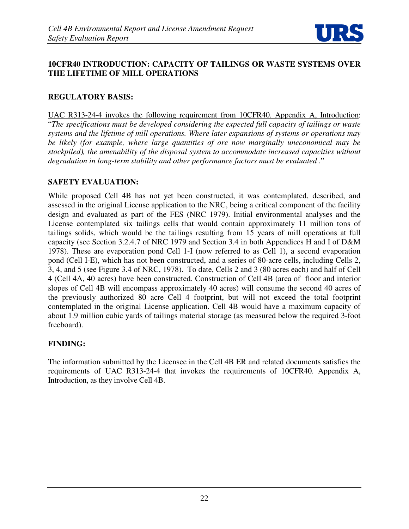

## **10CFR40 INTRODUCTION: CAPACITY OF TAILINGS OR WASTE SYSTEMS OVER THE LIFETIME OF MILL OPERATIONS**

#### **REGULATORY BASIS:**

UAC R313-24-4 invokes the following requirement from 10CFR40. Appendix A, Introduction: "*The specifications must be developed considering the expected full capacity of tailings or waste systems and the lifetime of mill operations. Where later expansions of systems or operations may be likely (for example, where large quantities of ore now marginally uneconomical may be stockpiled), the amenability of the disposal system to accommodate increased capacities without degradation in long-term stability and other performance factors must be evaluated .*"

### **SAFETY EVALUATION:**

While proposed Cell 4B has not yet been constructed, it was contemplated, described, and assessed in the original License application to the NRC, being a critical component of the facility design and evaluated as part of the FES (NRC 1979). Initial environmental analyses and the License contemplated six tailings cells that would contain approximately 11 million tons of tailings solids, which would be the tailings resulting from 15 years of mill operations at full capacity (see Section 3.2.4.7 of NRC 1979 and Section 3.4 in both Appendices H and I of D&M 1978). These are evaporation pond Cell 1-I (now referred to as Cell 1), a second evaporation pond (Cell I-E), which has not been constructed, and a series of 80-acre cells, including Cells 2, 3, 4, and 5 (see Figure 3.4 of NRC, 1978). To date, Cells 2 and 3 (80 acres each) and half of Cell 4 (Cell 4A, 40 acres) have been constructed. Construction of Cell 4B (area of floor and interior slopes of Cell 4B will encompass approximately 40 acres) will consume the second 40 acres of the previously authorized 80 acre Cell 4 footprint, but will not exceed the total footprint contemplated in the original License application. Cell 4B would have a maximum capacity of about 1.9 million cubic yards of tailings material storage (as measured below the required 3-foot freeboard).

#### **FINDING:**

The information submitted by the Licensee in the Cell 4B ER and related documents satisfies the requirements of UAC R313-24-4 that invokes the requirements of 10CFR40. Appendix A, Introduction, as they involve Cell 4B.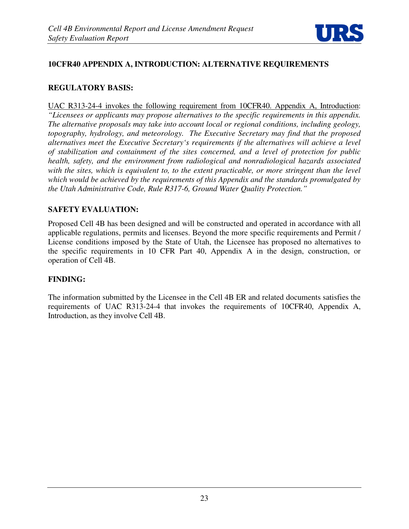

# **10CFR40 APPENDIX A, INTRODUCTION: ALTERNATIVE REQUIREMENTS**

#### **REGULATORY BASIS:**

UAC R313-24-4 invokes the following requirement from 10CFR40. Appendix A, Introduction: *"Licensees or applicants may propose alternatives to the specific requirements in this appendix. The alternative proposals may take into account local or regional conditions, including geology, topography, hydrology, and meteorology. The Executive Secretary may find that the proposed alternatives meet the Executive Secretary's requirements if the alternatives will achieve a level of stabilization and containment of the sites concerned, and a level of protection for public health, safety, and the environment from radiological and nonradiological hazards associated*  with the sites, which is equivalent to, to the extent practicable, or more stringent than the level *which would be achieved by the requirements of this Appendix and the standards promulgated by the Utah Administrative Code, Rule R317-6, Ground Water Quality Protection."* 

### **SAFETY EVALUATION:**

Proposed Cell 4B has been designed and will be constructed and operated in accordance with all applicable regulations, permits and licenses. Beyond the more specific requirements and Permit / License conditions imposed by the State of Utah, the Licensee has proposed no alternatives to the specific requirements in 10 CFR Part 40, Appendix A in the design, construction, or operation of Cell 4B.

#### **FINDING:**

The information submitted by the Licensee in the Cell 4B ER and related documents satisfies the requirements of UAC R313-24-4 that invokes the requirements of 10CFR40, Appendix A, Introduction, as they involve Cell 4B.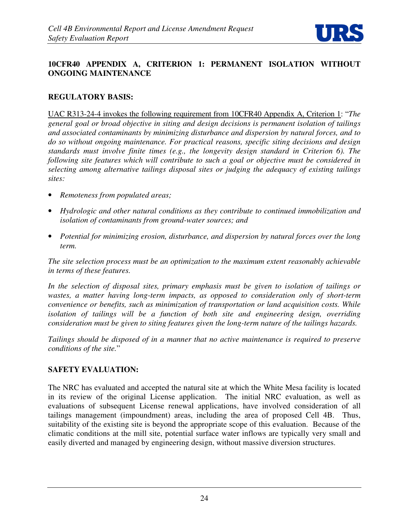

# **10CFR40 APPENDIX A, CRITERION 1: PERMANENT ISOLATION WITHOUT ONGOING MAINTENANCE**

#### **REGULATORY BASIS:**

UAC R313-24-4 invokes the following requirement from 10CFR40 Appendix A, Criterion 1: "*The general goal or broad objective in siting and design decisions is permanent isolation of tailings and associated contaminants by minimizing disturbance and dispersion by natural forces, and to do so without ongoing maintenance. For practical reasons, specific siting decisions and design standards must involve finite times (e.g., the longevity design standard in Criterion 6). The following site features which will contribute to such a goal or objective must be considered in selecting among alternative tailings disposal sites or judging the adequacy of existing tailings sites:* 

- *Remoteness from populated areas;*
- *Hydrologic and other natural conditions as they contribute to continued immobilization and isolation of contaminants from ground-water sources; and*
- *Potential for minimizing erosion, disturbance, and dispersion by natural forces over the long term.*

*The site selection process must be an optimization to the maximum extent reasonably achievable in terms of these features.* 

*In the selection of disposal sites, primary emphasis must be given to isolation of tailings or wastes, a matter having long-term impacts, as opposed to consideration only of short-term convenience or benefits, such as minimization of transportation or land acquisition costs. While*  isolation of tailings will be a function of both site and engineering design, overriding *consideration must be given to siting features given the long-term nature of the tailings hazards.* 

*Tailings should be disposed of in a manner that no active maintenance is required to preserve conditions of the site.*"

#### **SAFETY EVALUATION:**

The NRC has evaluated and accepted the natural site at which the White Mesa facility is located in its review of the original License application. The initial NRC evaluation, as well as evaluations of subsequent License renewal applications, have involved consideration of all tailings management (impoundment) areas, including the area of proposed Cell 4B. Thus, suitability of the existing site is beyond the appropriate scope of this evaluation. Because of the climatic conditions at the mill site, potential surface water inflows are typically very small and easily diverted and managed by engineering design, without massive diversion structures.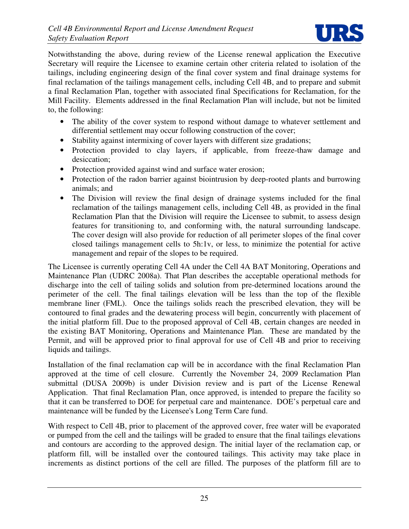

Notwithstanding the above, during review of the License renewal application the Executive Secretary will require the Licensee to examine certain other criteria related to isolation of the tailings, including engineering design of the final cover system and final drainage systems for final reclamation of the tailings management cells, including Cell 4B, and to prepare and submit a final Reclamation Plan, together with associated final Specifications for Reclamation, for the Mill Facility. Elements addressed in the final Reclamation Plan will include, but not be limited to, the following:

- The ability of the cover system to respond without damage to whatever settlement and differential settlement may occur following construction of the cover;
- Stability against intermixing of cover layers with different size gradations;
- Protection provided to clay layers, if applicable, from freeze-thaw damage and desiccation;
- Protection provided against wind and surface water erosion;
- Protection of the radon barrier against biointrusion by deep-rooted plants and burrowing animals; and
- The Division will review the final design of drainage systems included for the final reclamation of the tailings management cells, including Cell 4B, as provided in the final Reclamation Plan that the Division will require the Licensee to submit, to assess design features for transitioning to, and conforming with, the natural surrounding landscape. The cover design will also provide for reduction of all perimeter slopes of the final cover closed tailings management cells to 5h:1v, or less, to minimize the potential for active management and repair of the slopes to be required.

The Licensee is currently operating Cell 4A under the Cell 4A BAT Monitoring, Operations and Maintenance Plan (UDRC 2008a). That Plan describes the acceptable operational methods for discharge into the cell of tailing solids and solution from pre-determined locations around the perimeter of the cell. The final tailings elevation will be less than the top of the flexible membrane liner (FML). Once the tailings solids reach the prescribed elevation, they will be contoured to final grades and the dewatering process will begin, concurrently with placement of the initial platform fill. Due to the proposed approval of Cell 4B, certain changes are needed in the existing BAT Monitoring, Operations and Maintenance Plan. These are mandated by the Permit, and will be approved prior to final approval for use of Cell 4B and prior to receiving liquids and tailings.

Installation of the final reclamation cap will be in accordance with the final Reclamation Plan approved at the time of cell closure. Currently the November 24, 2009 Reclamation Plan submittal (DUSA 2009b) is under Division review and is part of the License Renewal Application. That final Reclamation Plan, once approved, is intended to prepare the facility so that it can be transferred to DOE for perpetual care and maintenance. DOE's perpetual care and maintenance will be funded by the Licensee's Long Term Care fund.

With respect to Cell 4B, prior to placement of the approved cover, free water will be evaporated or pumped from the cell and the tailings will be graded to ensure that the final tailings elevations and contours are according to the approved design. The initial layer of the reclamation cap, or platform fill, will be installed over the contoured tailings. This activity may take place in increments as distinct portions of the cell are filled. The purposes of the platform fill are to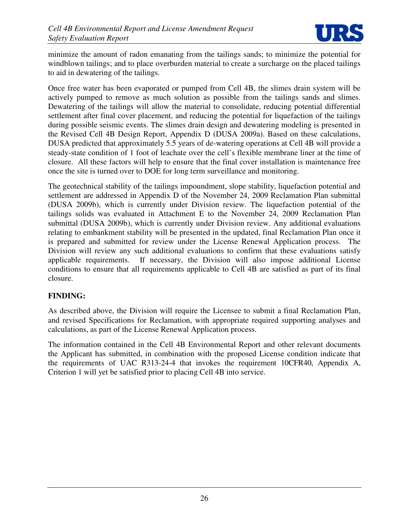

minimize the amount of radon emanating from the tailings sands; to minimize the potential for windblown tailings; and to place overburden material to create a surcharge on the placed tailings to aid in dewatering of the tailings.

Once free water has been evaporated or pumped from Cell 4B, the slimes drain system will be actively pumped to remove as much solution as possible from the tailings sands and slimes. Dewatering of the tailings will allow the material to consolidate, reducing potential differential settlement after final cover placement, and reducing the potential for liquefaction of the tailings during possible seismic events. The slimes drain design and dewatering modeling is presented in the Revised Cell 4B Design Report, Appendix D (DUSA 2009a). Based on these calculations, DUSA predicted that approximately 5.5 years of de-watering operations at Cell 4B will provide a steady-state condition of 1 foot of leachate over the cell's flexible membrane liner at the time of closure. All these factors will help to ensure that the final cover installation is maintenance free once the site is turned over to DOE for long term surveillance and monitoring.

The geotechnical stability of the tailings impoundment, slope stability, liquefaction potential and settlement are addressed in Appendix D of the November 24, 2009 Reclamation Plan submittal (DUSA 2009b), which is currently under Division review. The liquefaction potential of the tailings solids was evaluated in Attachment E to the November 24, 2009 Reclamation Plan submittal (DUSA 2009b), which is currently under Division review. Any additional evaluations relating to embankment stability will be presented in the updated, final Reclamation Plan once it is prepared and submitted for review under the License Renewal Application process. The Division will review any such additional evaluations to confirm that these evaluations satisfy applicable requirements. If necessary, the Division will also impose additional License conditions to ensure that all requirements applicable to Cell 4B are satisfied as part of its final closure.

#### **FINDING:**

As described above, the Division will require the Licensee to submit a final Reclamation Plan, and revised Specifications for Reclamation, with appropriate required supporting analyses and calculations, as part of the License Renewal Application process.

The information contained in the Cell 4B Environmental Report and other relevant documents the Applicant has submitted, in combination with the proposed License condition indicate that the requirements of UAC R313-24-4 that invokes the requirement 10CFR40, Appendix A, Criterion 1 will yet be satisfied prior to placing Cell 4B into service.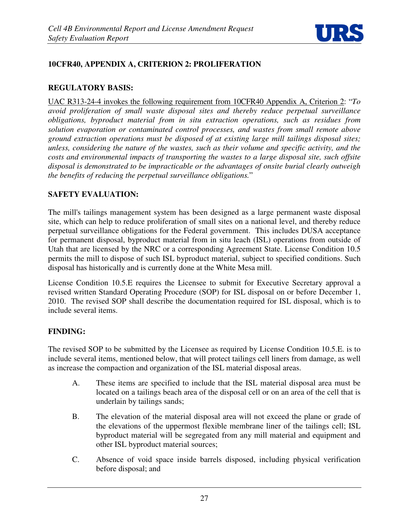

# **10CFR40, APPENDIX A, CRITERION 2: PROLIFERATION**

## **REGULATORY BASIS:**

UAC R313-24-4 invokes the following requirement from 10CFR40 Appendix A, Criterion 2: "*To avoid proliferation of small waste disposal sites and thereby reduce perpetual surveillance obligations, byproduct material from in situ extraction operations, such as residues from solution evaporation or contaminated control processes, and wastes from small remote above ground extraction operations must be disposed of at existing large mill tailings disposal sites; unless, considering the nature of the wastes, such as their volume and specific activity, and the costs and environmental impacts of transporting the wastes to a large disposal site, such offsite disposal is demonstrated to be impracticable or the advantages of onsite burial clearly outweigh the benefits of reducing the perpetual surveillance obligations.*"

### **SAFETY EVALUATION:**

The mill's tailings management system has been designed as a large permanent waste disposal site, which can help to reduce proliferation of small sites on a national level, and thereby reduce perpetual surveillance obligations for the Federal government. This includes DUSA acceptance for permanent disposal, byproduct material from in situ leach (ISL) operations from outside of Utah that are licensed by the NRC or a corresponding Agreement State. License Condition 10.5 permits the mill to dispose of such ISL byproduct material, subject to specified conditions. Such disposal has historically and is currently done at the White Mesa mill.

License Condition 10.5.E requires the Licensee to submit for Executive Secretary approval a revised written Standard Operating Procedure (SOP) for ISL disposal on or before December 1, 2010. The revised SOP shall describe the documentation required for ISL disposal, which is to include several items.

# **FINDING:**

The revised SOP to be submitted by the Licensee as required by License Condition 10.5.E. is to include several items, mentioned below, that will protect tailings cell liners from damage, as well as increase the compaction and organization of the ISL material disposal areas.

- A. These items are specified to include that the ISL material disposal area must be located on a tailings beach area of the disposal cell or on an area of the cell that is underlain by tailings sands;
- B. The elevation of the material disposal area will not exceed the plane or grade of the elevations of the uppermost flexible membrane liner of the tailings cell; ISL byproduct material will be segregated from any mill material and equipment and other ISL byproduct material sources;
- C. Absence of void space inside barrels disposed, including physical verification before disposal; and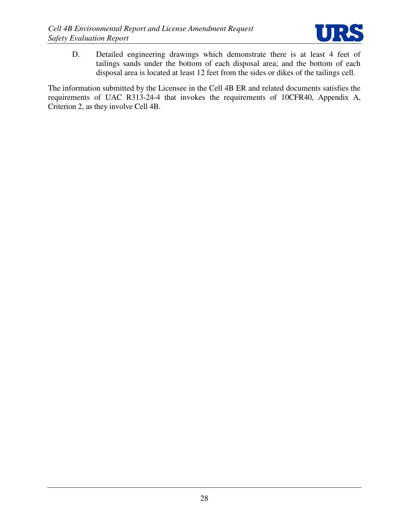

 D. Detailed engineering drawings which demonstrate there is at least 4 feet of tailings sands under the bottom of each disposal area; and the bottom of each disposal area is located at least 12 feet from the sides or dikes of the tailings cell.

The information submitted by the Licensee in the Cell 4B ER and related documents satisfies the requirements of UAC R313-24-4 that invokes the requirements of 10CFR40, Appendix A, Criterion 2, as they involve Cell 4B.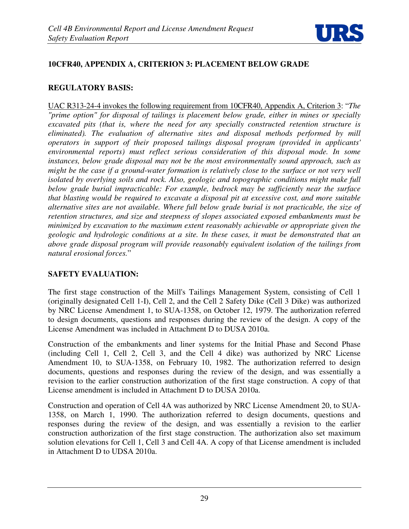

# **10CFR40, APPENDIX A, CRITERION 3: PLACEMENT BELOW GRADE**

#### **REGULATORY BASIS:**

UAC R313-24-4 invokes the following requirement from 10CFR40, Appendix A, Criterion 3: "*The "prime option" for disposal of tailings is placement below grade, either in mines or specially excavated pits (that is, where the need for any specially constructed retention structure is eliminated). The evaluation of alternative sites and disposal methods performed by mill operators in support of their proposed tailings disposal program (provided in applicants' environmental reports) must reflect serious consideration of this disposal mode. In some instances, below grade disposal may not be the most environmentally sound approach, such as might be the case if a ground-water formation is relatively close to the surface or not very well isolated by overlying soils and rock. Also, geologic and topographic conditions might make full below grade burial impracticable: For example, bedrock may be sufficiently near the surface that blasting would be required to excavate a disposal pit at excessive cost, and more suitable alternative sites are not available. Where full below grade burial is not practicable, the size of retention structures, and size and steepness of slopes associated exposed embankments must be minimized by excavation to the maximum extent reasonably achievable or appropriate given the geologic and hydrologic conditions at a site. In these cases, it must be demonstrated that an above grade disposal program will provide reasonably equivalent isolation of the tailings from natural erosional forces.*"

# **SAFETY EVALUATION:**

The first stage construction of the Mill's Tailings Management System, consisting of Cell 1 (originally designated Cell 1-I), Cell 2, and the Cell 2 Safety Dike (Cell 3 Dike) was authorized by NRC License Amendment 1, to SUA-1358, on October 12, 1979. The authorization referred to design documents, questions and responses during the review of the design. A copy of the License Amendment was included in Attachment D to DUSA 2010a.

Construction of the embankments and liner systems for the Initial Phase and Second Phase (including Cell 1, Cell 2, Cell 3, and the Cell 4 dike) was authorized by NRC License Amendment 10, to SUA-1358, on February 10, 1982. The authorization referred to design documents, questions and responses during the review of the design, and was essentially a revision to the earlier construction authorization of the first stage construction. A copy of that License amendment is included in Attachment D to DUSA 2010a.

Construction and operation of Cell 4A was authorized by NRC License Amendment 20, to SUA-1358, on March 1, 1990. The authorization referred to design documents, questions and responses during the review of the design, and was essentially a revision to the earlier construction authorization of the first stage construction. The authorization also set maximum solution elevations for Cell 1, Cell 3 and Cell 4A. A copy of that License amendment is included in Attachment D to UDSA 2010a.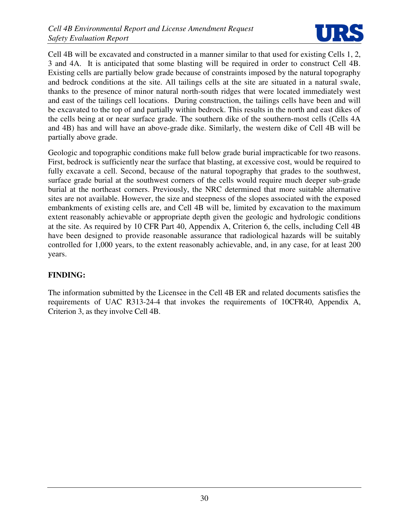

Cell 4B will be excavated and constructed in a manner similar to that used for existing Cells 1, 2, 3 and 4A. It is anticipated that some blasting will be required in order to construct Cell 4B. Existing cells are partially below grade because of constraints imposed by the natural topography and bedrock conditions at the site. All tailings cells at the site are situated in a natural swale, thanks to the presence of minor natural north-south ridges that were located immediately west and east of the tailings cell locations. During construction, the tailings cells have been and will be excavated to the top of and partially within bedrock. This results in the north and east dikes of the cells being at or near surface grade. The southern dike of the southern-most cells (Cells 4A and 4B) has and will have an above-grade dike. Similarly, the western dike of Cell 4B will be partially above grade.

Geologic and topographic conditions make full below grade burial impracticable for two reasons. First, bedrock is sufficiently near the surface that blasting, at excessive cost, would be required to fully excavate a cell. Second, because of the natural topography that grades to the southwest, surface grade burial at the southwest corners of the cells would require much deeper sub-grade burial at the northeast corners. Previously, the NRC determined that more suitable alternative sites are not available. However, the size and steepness of the slopes associated with the exposed embankments of existing cells are, and Cell 4B will be, limited by excavation to the maximum extent reasonably achievable or appropriate depth given the geologic and hydrologic conditions at the site. As required by 10 CFR Part 40, Appendix A, Criterion 6, the cells, including Cell 4B have been designed to provide reasonable assurance that radiological hazards will be suitably controlled for 1,000 years, to the extent reasonably achievable, and, in any case, for at least 200 years.

# **FINDING:**

The information submitted by the Licensee in the Cell 4B ER and related documents satisfies the requirements of UAC R313-24-4 that invokes the requirements of 10CFR40, Appendix A, Criterion 3, as they involve Cell 4B.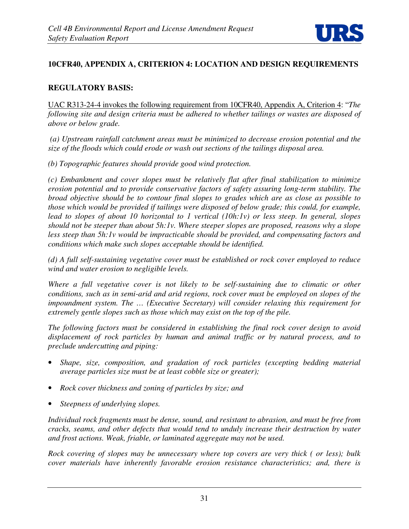

# **10CFR40, APPENDIX A, CRITERION 4: LOCATION AND DESIGN REQUIREMENTS**

## **REGULATORY BASIS:**

UAC R313-24-4 invokes the following requirement from 10CFR40, Appendix A, Criterion 4: "*The following site and design criteria must be adhered to whether tailings or wastes are disposed of above or below grade.* 

 *(a) Upstream rainfall catchment areas must be minimized to decrease erosion potential and the size of the floods which could erode or wash out sections of the tailings disposal area.* 

*(b) Topographic features should provide good wind protection.* 

*(c) Embankment and cover slopes must be relatively flat after final stabilization to minimize erosion potential and to provide conservative factors of safety assuring long-term stability. The broad objective should be to contour final slopes to grades which are as close as possible to those which would be provided if tailings were disposed of below grade; this could, for example, lead to slopes of about 10 horizontal to 1 vertical (10h:1v) or less steep. In general, slopes should not be steeper than about 5h:1v. Where steeper slopes are proposed, reasons why a slope less steep than 5h:1v would be impracticable should be provided, and compensating factors and conditions which make such slopes acceptable should be identified.* 

*(d) A full self-sustaining vegetative cover must be established or rock cover employed to reduce wind and water erosion to negligible levels.* 

*Where a full vegetative cover is not likely to be self-sustaining due to climatic or other conditions, such as in semi-arid and arid regions, rock cover must be employed on slopes of the impoundment system. The … (Executive Secretary) will consider relaxing this requirement for extremely gentle slopes such as those which may exist on the top of the pile.* 

*The following factors must be considered in establishing the final rock cover design to avoid displacement of rock particles by human and animal traffic or by natural process, and to preclude undercutting and piping:* 

- *Shape, size, composition, and gradation of rock particles (excepting bedding material average particles size must be at least cobble size or greater);*
- *Rock cover thickness and zoning of particles by size; and*
- *Steepness of underlying slopes.*

*Individual rock fragments must be dense, sound, and resistant to abrasion, and must be free from cracks, seams, and other defects that would tend to unduly increase their destruction by water and frost actions. Weak, friable, or laminated aggregate may not be used.* 

*Rock covering of slopes may be unnecessary where top covers are very thick ( or less); bulk cover materials have inherently favorable erosion resistance characteristics; and, there is*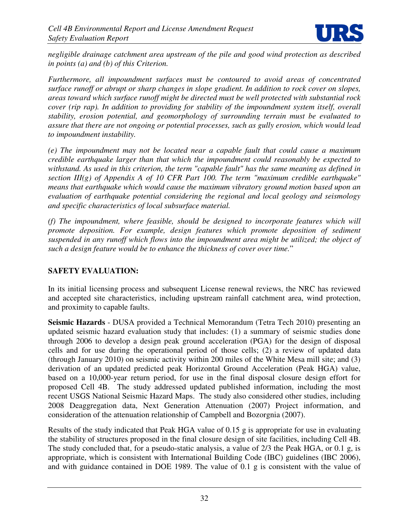

*negligible drainage catchment area upstream of the pile and good wind protection as described in points (a) and (b) of this Criterion.* 

*Furthermore, all impoundment surfaces must be contoured to avoid areas of concentrated surface runoff or abrupt or sharp changes in slope gradient. In addition to rock cover on slopes, areas toward which surface runoff might be directed must be well protected with substantial rock cover (rip rap). In addition to providing for stability of the impoundment system itself, overall stability, erosion potential, and geomorphology of surrounding terrain must be evaluated to assure that there are not ongoing or potential processes, such as gully erosion, which would lead to impoundment instability.* 

*(e) The impoundment may not be located near a capable fault that could cause a maximum credible earthquake larger than that which the impoundment could reasonably be expected to withstand. As used in this criterion, the term "capable fault" has the same meaning as defined in section III(g) of Appendix A of 10 CFR Part 100. The term "maximum credible earthquake" means that earthquake which would cause the maximum vibratory ground motion based upon an evaluation of earthquake potential considering the regional and local geology and seismology and specific characteristics of local subsurface material.* 

*(f) The impoundment, where feasible, should be designed to incorporate features which will promote deposition. For example, design features which promote deposition of sediment suspended in any runoff which flows into the impoundment area might be utilized; the object of such a design feature would be to enhance the thickness of cover over time.*"

## **SAFETY EVALUATION:**

In its initial licensing process and subsequent License renewal reviews, the NRC has reviewed and accepted site characteristics, including upstream rainfall catchment area, wind protection, and proximity to capable faults.

**Seismic Hazards** - DUSA provided a Technical Memorandum (Tetra Tech 2010) presenting an updated seismic hazard evaluation study that includes: (1) a summary of seismic studies done through 2006 to develop a design peak ground acceleration (PGA) for the design of disposal cells and for use during the operational period of those cells; (2) a review of updated data (through January 2010) on seismic activity within 200 miles of the White Mesa mill site; and (3) derivation of an updated predicted peak Horizontal Ground Acceleration (Peak HGA) value, based on a 10,000-year return period, for use in the final disposal closure design effort for proposed Cell 4B. The study addressed updated published information, including the most recent USGS National Seismic Hazard Maps. The study also considered other studies, including 2008 Deaggregation data, Next Generation Attenuation (2007) Project information, and consideration of the attenuation relationship of Campbell and Bozorgnia (2007).

Results of the study indicated that Peak HGA value of 0.15 g is appropriate for use in evaluating the stability of structures proposed in the final closure design of site facilities, including Cell 4B. The study concluded that, for a pseudo-static analysis, a value of 2/3 the Peak HGA, or 0.1 g, is appropriate, which is consistent with International Building Code (IBC) guidelines (IBC 2006), and with guidance contained in DOE 1989. The value of 0.1 g is consistent with the value of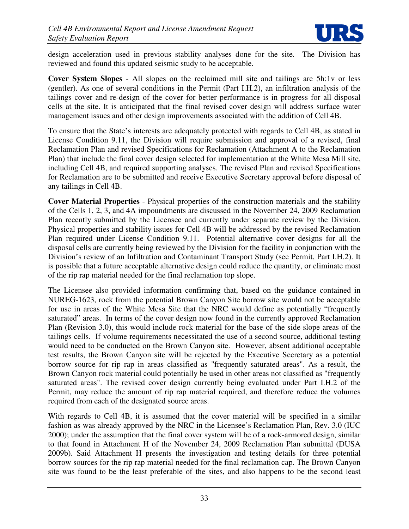

design acceleration used in previous stability analyses done for the site. The Division has reviewed and found this updated seismic study to be acceptable.

**Cover System Slopes** - All slopes on the reclaimed mill site and tailings are 5h:1v or less (gentler). As one of several conditions in the Permit (Part I.H.2), an infiltration analysis of the tailings cover and re-design of the cover for better performance is in progress for all disposal cells at the site. It is anticipated that the final revised cover design will address surface water management issues and other design improvements associated with the addition of Cell 4B.

To ensure that the State's interests are adequately protected with regards to Cell 4B, as stated in License Condition 9.11, the Division will require submission and approval of a revised, final Reclamation Plan and revised Specifications for Reclamation (Attachment A to the Reclamation Plan) that include the final cover design selected for implementation at the White Mesa Mill site, including Cell 4B, and required supporting analyses. The revised Plan and revised Specifications for Reclamation are to be submitted and receive Executive Secretary approval before disposal of any tailings in Cell 4B.

**Cover Material Properties** - Physical properties of the construction materials and the stability of the Cells 1, 2, 3, and 4A impoundments are discussed in the November 24, 2009 Reclamation Plan recently submitted by the Licensee and currently under separate review by the Division. Physical properties and stability issues for Cell 4B will be addressed by the revised Reclamation Plan required under License Condition 9.11. Potential alternative cover designs for all the disposal cells are currently being reviewed by the Division for the facility in conjunction with the Division's review of an Infiltration and Contaminant Transport Study (see Permit, Part I.H.2). It is possible that a future acceptable alternative design could reduce the quantity, or eliminate most of the rip rap material needed for the final reclamation top slope.

The Licensee also provided information confirming that, based on the guidance contained in NUREG-1623, rock from the potential Brown Canyon Site borrow site would not be acceptable for use in areas of the White Mesa Site that the NRC would define as potentially "frequently saturated" areas. In terms of the cover design now found in the currently approved Reclamation Plan (Revision 3.0), this would include rock material for the base of the side slope areas of the tailings cells. If volume requirements necessitated the use of a second source, additional testing would need to be conducted on the Brown Canyon site. However, absent additional acceptable test results, the Brown Canyon site will be rejected by the Executive Secretary as a potential borrow source for rip rap in areas classified as "frequently saturated areas". As a result, the Brown Canyon rock material could potentially be used in other areas not classified as "frequently saturated areas". The revised cover design currently being evaluated under Part I.H.2 of the Permit, may reduce the amount of rip rap material required, and therefore reduce the volumes required from each of the designated source areas.

With regards to Cell 4B, it is assumed that the cover material will be specified in a similar fashion as was already approved by the NRC in the Licensee's Reclamation Plan, Rev. 3.0 (IUC 2000); under the assumption that the final cover system will be of a rock-armored design, similar to that found in Attachment H of the November 24, 2009 Reclamation Plan submittal (DUSA 2009b). Said Attachment H presents the investigation and testing details for three potential borrow sources for the rip rap material needed for the final reclamation cap. The Brown Canyon site was found to be the least preferable of the sites, and also happens to be the second least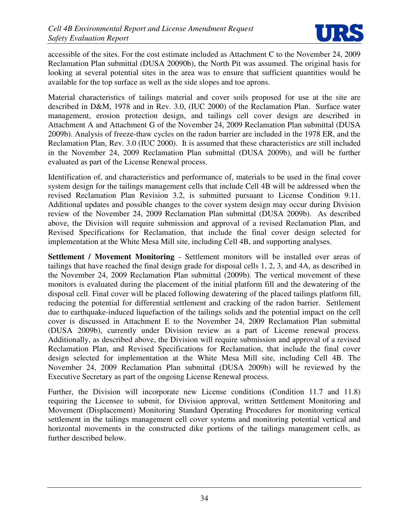

accessible of the sites. For the cost estimate included as Attachment C to the November 24, 2009 Reclamation Plan submittal (DUSA 20090b), the North Pit was assumed. The original basis for looking at several potential sites in the area was to ensure that sufficient quantities would be available for the top surface as well as the side slopes and toe aprons.

Material characteristics of tailings material and cover soils proposed for use at the site are described in D&M, 1978 and in Rev. 3.0, (IUC 2000) of the Reclamation Plan. Surface water management, erosion protection design, and tailings cell cover design are described in Attachment A and Attachment G of the November 24, 2009 Reclamation Plan submittal (DUSA 2009b). Analysis of freeze-thaw cycles on the radon barrier are included in the 1978 ER, and the Reclamation Plan, Rev. 3.0 (IUC 2000). It is assumed that these characteristics are still included in the November 24, 2009 Reclamation Plan submittal (DUSA 2009b), and will be further evaluated as part of the License Renewal process.

Identification of, and characteristics and performance of, materials to be used in the final cover system design for the tailings management cells that include Cell 4B will be addressed when the revised Reclamation Plan Revision 3.2, is submitted pursuant to License Condition 9.11. Additional updates and possible changes to the cover system design may occur during Division review of the November 24, 2009 Reclamation Plan submittal (DUSA 2009b). As described above, the Division will require submission and approval of a revised Reclamation Plan, and Revised Specifications for Reclamation, that include the final cover design selected for implementation at the White Mesa Mill site, including Cell 4B, and supporting analyses.

**Settlement / Movement Monitoring** - Settlement monitors will be installed over areas of tailings that have reached the final design grade for disposal cells 1, 2, 3, and 4A, as described in the November 24, 2009 Reclamation Plan submittal (2009b). The vertical movement of these monitors is evaluated during the placement of the initial platform fill and the dewatering of the disposal cell. Final cover will be placed following dewatering of the placed tailings platform fill, reducing the potential for differential settlement and cracking of the radon barrier. Settlement due to earthquake-induced liquefaction of the tailings solids and the potential impact on the cell cover is discussed in Attachment E to the November 24, 2009 Reclamation Plan submittal (DUSA 2009b), currently under Division review as a part of License renewal process. Additionally, as described above, the Division will require submission and approval of a revised Reclamation Plan, and Revised Specifications for Reclamation, that include the final cover design selected for implementation at the White Mesa Mill site, including Cell 4B. The November 24, 2009 Reclamation Plan submittal (DUSA 2009b) will be reviewed by the Executive Secretary as part of the ongoing License Renewal process.

Further, the Division will incorporate new License conditions (Condition 11.7 and 11.8) requiring the Licensee to submit, for Division approval, written Settlement Monitoring and Movement (Displacement) Monitoring Standard Operating Procedures for monitoring vertical settlement in the tailings management cell cover systems and monitoring potential vertical and horizontal movements in the constructed dike portions of the tailings management cells, as further described below.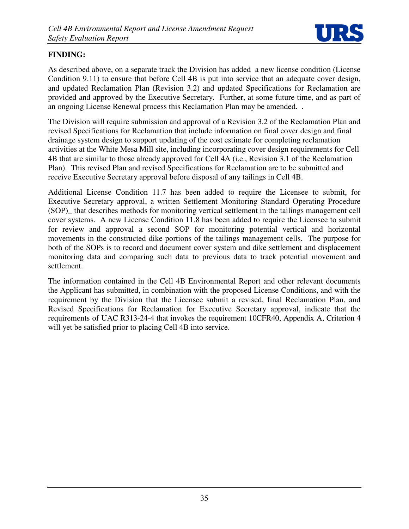

# **FINDING:**

As described above, on a separate track the Division has added a new license condition (License Condition 9.11) to ensure that before Cell 4B is put into service that an adequate cover design, and updated Reclamation Plan (Revision 3.2) and updated Specifications for Reclamation are provided and approved by the Executive Secretary. Further, at some future time, and as part of an ongoing License Renewal process this Reclamation Plan may be amended. .

The Division will require submission and approval of a Revision 3.2 of the Reclamation Plan and revised Specifications for Reclamation that include information on final cover design and final drainage system design to support updating of the cost estimate for completing reclamation activities at the White Mesa Mill site, including incorporating cover design requirements for Cell 4B that are similar to those already approved for Cell 4A (i.e., Revision 3.1 of the Reclamation Plan). This revised Plan and revised Specifications for Reclamation are to be submitted and receive Executive Secretary approval before disposal of any tailings in Cell 4B.

Additional License Condition 11.7 has been added to require the Licensee to submit, for Executive Secretary approval, a written Settlement Monitoring Standard Operating Procedure (SOP)\_ that describes methods for monitoring vertical settlement in the tailings management cell cover systems. A new License Condition 11.8 has been added to require the Licensee to submit for review and approval a second SOP for monitoring potential vertical and horizontal movements in the constructed dike portions of the tailings management cells. The purpose for both of the SOPs is to record and document cover system and dike settlement and displacement monitoring data and comparing such data to previous data to track potential movement and settlement.

The information contained in the Cell 4B Environmental Report and other relevant documents the Applicant has submitted, in combination with the proposed License Conditions, and with the requirement by the Division that the Licensee submit a revised, final Reclamation Plan, and Revised Specifications for Reclamation for Executive Secretary approval, indicate that the requirements of UAC R313-24-4 that invokes the requirement 10CFR40, Appendix A, Criterion 4 will yet be satisfied prior to placing Cell 4B into service.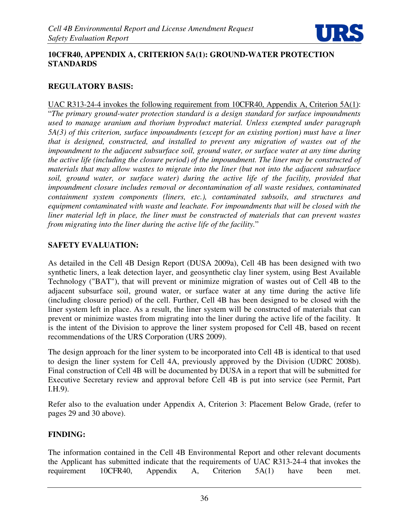

#### **10CFR40, APPENDIX A, CRITERION 5A(1): GROUND-WATER PROTECTION STANDARDS**

## **REGULATORY BASIS:**

UAC R313-24-4 invokes the following requirement from 10CFR40, Appendix A, Criterion 5A(1): "*The primary ground-water protection standard is a design standard for surface impoundments used to manage uranium and thorium byproduct material. Unless exempted under paragraph 5A(3) of this criterion, surface impoundments (except for an existing portion) must have a liner that is designed, constructed, and installed to prevent any migration of wastes out of the impoundment to the adjacent subsurface soil, ground water, or surface water at any time during the active life (including the closure period) of the impoundment. The liner may be constructed of materials that may allow wastes to migrate into the liner (but not into the adjacent subsurface soil, ground water, or surface water) during the active life of the facility, provided that impoundment closure includes removal or decontamination of all waste residues, contaminated containment system components (liners, etc.), contaminated subsoils, and structures and equipment contaminated with waste and leachate. For impoundments that will be closed with the liner material left in place, the liner must be constructed of materials that can prevent wastes from migrating into the liner during the active life of the facility.*"

## **SAFETY EVALUATION:**

As detailed in the Cell 4B Design Report (DUSA 2009a), Cell 4B has been designed with two synthetic liners, a leak detection layer, and geosynthetic clay liner system, using Best Available Technology ("BAT"), that will prevent or minimize migration of wastes out of Cell 4B to the adjacent subsurface soil, ground water, or surface water at any time during the active life (including closure period) of the cell. Further, Cell 4B has been designed to be closed with the liner system left in place. As a result, the liner system will be constructed of materials that can prevent or minimize wastes from migrating into the liner during the active life of the facility. It is the intent of the Division to approve the liner system proposed for Cell 4B, based on recent recommendations of the URS Corporation (URS 2009).

The design approach for the liner system to be incorporated into Cell 4B is identical to that used to design the liner system for Cell 4A, previously approved by the Division (UDRC 2008b). Final construction of Cell 4B will be documented by DUSA in a report that will be submitted for Executive Secretary review and approval before Cell 4B is put into service (see Permit, Part I.H.9).

Refer also to the evaluation under Appendix A, Criterion 3: Placement Below Grade, (refer to pages 29 and 30 above).

#### **FINDING:**

The information contained in the Cell 4B Environmental Report and other relevant documents the Applicant has submitted indicate that the requirements of UAC R313-24-4 that invokes the requirement 10CFR40, Appendix A, Criterion 5A(1) have been met.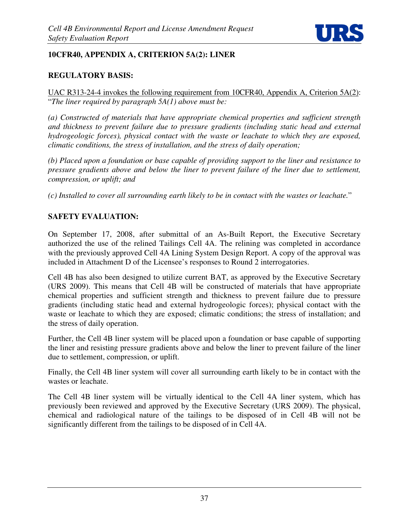

# **10CFR40, APPENDIX A, CRITERION 5A(2): LINER**

## **REGULATORY BASIS:**

UAC R313-24-4 invokes the following requirement from 10CFR40, Appendix A, Criterion 5A(2): "*The liner required by paragraph 5A(1) above must be:* 

*(a) Constructed of materials that have appropriate chemical properties and sufficient strength and thickness to prevent failure due to pressure gradients (including static head and external hydrogeologic forces), physical contact with the waste or leachate to which they are exposed, climatic conditions, the stress of installation, and the stress of daily operation;* 

*(b) Placed upon a foundation or base capable of providing support to the liner and resistance to pressure gradients above and below the liner to prevent failure of the liner due to settlement, compression, or uplift; and* 

*(c) Installed to cover all surrounding earth likely to be in contact with the wastes or leachate.*"

## **SAFETY EVALUATION:**

On September 17, 2008, after submittal of an As-Built Report, the Executive Secretary authorized the use of the relined Tailings Cell 4A. The relining was completed in accordance with the previously approved Cell 4A Lining System Design Report. A copy of the approval was included in Attachment D of the Licensee's responses to Round 2 interrogatories.

Cell 4B has also been designed to utilize current BAT, as approved by the Executive Secretary (URS 2009). This means that Cell 4B will be constructed of materials that have appropriate chemical properties and sufficient strength and thickness to prevent failure due to pressure gradients (including static head and external hydrogeologic forces); physical contact with the waste or leachate to which they are exposed; climatic conditions; the stress of installation; and the stress of daily operation.

Further, the Cell 4B liner system will be placed upon a foundation or base capable of supporting the liner and resisting pressure gradients above and below the liner to prevent failure of the liner due to settlement, compression, or uplift.

Finally, the Cell 4B liner system will cover all surrounding earth likely to be in contact with the wastes or leachate.

The Cell 4B liner system will be virtually identical to the Cell 4A liner system, which has previously been reviewed and approved by the Executive Secretary (URS 2009). The physical, chemical and radiological nature of the tailings to be disposed of in Cell 4B will not be significantly different from the tailings to be disposed of in Cell 4A.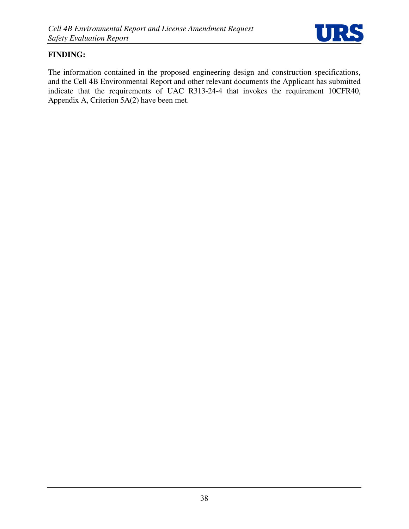

# **FINDING:**

The information contained in the proposed engineering design and construction specifications, and the Cell 4B Environmental Report and other relevant documents the Applicant has submitted indicate that the requirements of UAC R313-24-4 that invokes the requirement 10CFR40, Appendix A, Criterion 5A(2) have been met.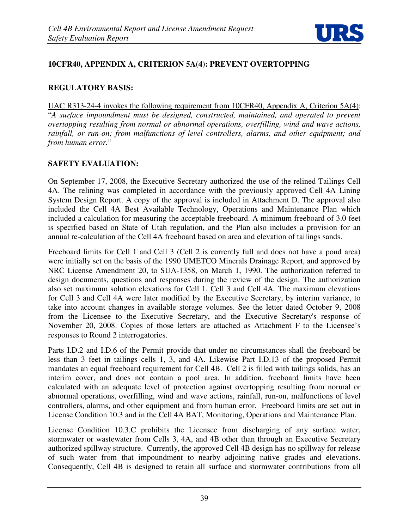

# **10CFR40, APPENDIX A, CRITERION 5A(4): PREVENT OVERTOPPING**

## **REGULATORY BASIS:**

UAC R313-24-4 invokes the following requirement from 10CFR40, Appendix A, Criterion 5A(4): "*A surface impoundment must be designed, constructed, maintained, and operated to prevent overtopping resulting from normal or abnormal operations, overfilling, wind and wave actions, rainfall, or run-on; from malfunctions of level controllers, alarms, and other equipment; and from human error.*"

## **SAFETY EVALUATION:**

On September 17, 2008, the Executive Secretary authorized the use of the relined Tailings Cell 4A. The relining was completed in accordance with the previously approved Cell 4A Lining System Design Report. A copy of the approval is included in Attachment D. The approval also included the Cell 4A Best Available Technology, Operations and Maintenance Plan which included a calculation for measuring the acceptable freeboard. A minimum freeboard of 3.0 feet is specified based on State of Utah regulation, and the Plan also includes a provision for an annual re-calculation of the Cell 4A freeboard based on area and elevation of tailings sands.

Freeboard limits for Cell 1 and Cell 3 (Cell 2 is currently full and does not have a pond area) were initially set on the basis of the 1990 UMETCO Minerals Drainage Report, and approved by NRC License Amendment 20, to SUA-1358, on March 1, 1990. The authorization referred to design documents, questions and responses during the review of the design. The authorization also set maximum solution elevations for Cell 1, Cell 3 and Cell 4A. The maximum elevations for Cell 3 and Cell 4A were later modified by the Executive Secretary, by interim variance, to take into account changes in available storage volumes. See the letter dated October 9, 2008 from the Licensee to the Executive Secretary, and the Executive Secretary's response of November 20, 2008. Copies of those letters are attached as Attachment F to the Licensee's responses to Round 2 interrogatories.

Parts I.D.2 and I.D.6 of the Permit provide that under no circumstances shall the freeboard be less than 3 feet in tailings cells 1, 3, and 4A. Likewise Part I.D.13 of the proposed Permit mandates an equal freeboard requirement for Cell 4B. Cell 2 is filled with tailings solids, has an interim cover, and does not contain a pool area. In addition, freeboard limits have been calculated with an adequate level of protection against overtopping resulting from normal or abnormal operations, overfilling, wind and wave actions, rainfall, run-on, malfunctions of level controllers, alarms, and other equipment and from human error. Freeboard limits are set out in License Condition 10.3 and in the Cell 4A BAT, Monitoring, Operations and Maintenance Plan.

License Condition 10.3.C prohibits the Licensee from discharging of any surface water, stormwater or wastewater from Cells 3, 4A, and 4B other than through an Executive Secretary authorized spillway structure. Currently, the approved Cell 4B design has no spillway for release of such water from that impoundment to nearby adjoining native grades and elevations. Consequently, Cell 4B is designed to retain all surface and stormwater contributions from all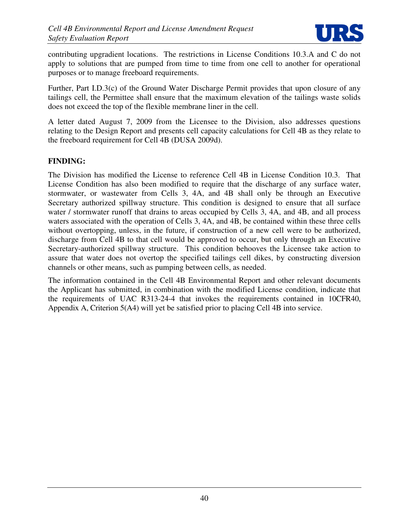

contributing upgradient locations. The restrictions in License Conditions 10.3.A and C do not apply to solutions that are pumped from time to time from one cell to another for operational purposes or to manage freeboard requirements.

Further, Part I.D.3(c) of the Ground Water Discharge Permit provides that upon closure of any tailings cell, the Permittee shall ensure that the maximum elevation of the tailings waste solids does not exceed the top of the flexible membrane liner in the cell.

A letter dated August 7, 2009 from the Licensee to the Division, also addresses questions relating to the Design Report and presents cell capacity calculations for Cell 4B as they relate to the freeboard requirement for Cell 4B (DUSA 2009d).

## **FINDING:**

The Division has modified the License to reference Cell 4B in License Condition 10.3. That License Condition has also been modified to require that the discharge of any surface water, stormwater, or wastewater from Cells 3, 4A, and 4B shall only be through an Executive Secretary authorized spillway structure. This condition is designed to ensure that all surface water / stormwater runoff that drains to areas occupied by Cells 3, 4A, and 4B, and all process waters associated with the operation of Cells 3, 4A, and 4B, be contained within these three cells without overtopping, unless, in the future, if construction of a new cell were to be authorized, discharge from Cell 4B to that cell would be approved to occur, but only through an Executive Secretary-authorized spillway structure. This condition behooves the Licensee take action to assure that water does not overtop the specified tailings cell dikes, by constructing diversion channels or other means, such as pumping between cells, as needed.

The information contained in the Cell 4B Environmental Report and other relevant documents the Applicant has submitted, in combination with the modified License condition, indicate that the requirements of UAC R313-24-4 that invokes the requirements contained in 10CFR40, Appendix A, Criterion 5(A4) will yet be satisfied prior to placing Cell 4B into service.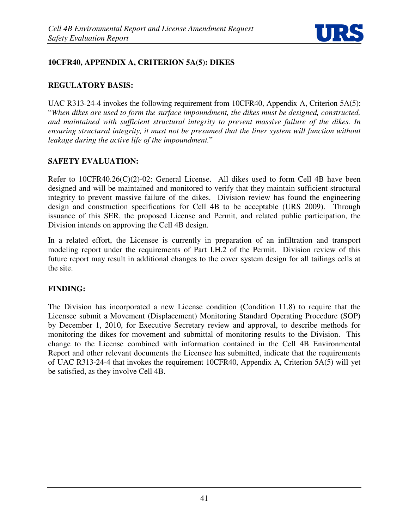

# **10CFR40, APPENDIX A, CRITERION 5A(5): DIKES**

#### **REGULATORY BASIS:**

UAC R313-24-4 invokes the following requirement from 10CFR40, Appendix A, Criterion 5A(5): "*When dikes are used to form the surface impoundment, the dikes must be designed, constructed, and maintained with sufficient structural integrity to prevent massive failure of the dikes. In ensuring structural integrity, it must not be presumed that the liner system will function without leakage during the active life of the impoundment.*"

## **SAFETY EVALUATION:**

Refer to 10CFR40.26(C)(2)-02: General License. All dikes used to form Cell 4B have been designed and will be maintained and monitored to verify that they maintain sufficient structural integrity to prevent massive failure of the dikes. Division review has found the engineering design and construction specifications for Cell 4B to be acceptable (URS 2009). Through issuance of this SER, the proposed License and Permit, and related public participation, the Division intends on approving the Cell 4B design.

In a related effort, the Licensee is currently in preparation of an infiltration and transport modeling report under the requirements of Part I.H.2 of the Permit. Division review of this future report may result in additional changes to the cover system design for all tailings cells at the site.

#### **FINDING:**

The Division has incorporated a new License condition (Condition 11.8) to require that the Licensee submit a Movement (Displacement) Monitoring Standard Operating Procedure (SOP) by December 1, 2010, for Executive Secretary review and approval, to describe methods for monitoring the dikes for movement and submittal of monitoring results to the Division. This change to the License combined with information contained in the Cell 4B Environmental Report and other relevant documents the Licensee has submitted, indicate that the requirements of UAC R313-24-4 that invokes the requirement 10CFR40, Appendix A, Criterion 5A(5) will yet be satisfied, as they involve Cell 4B.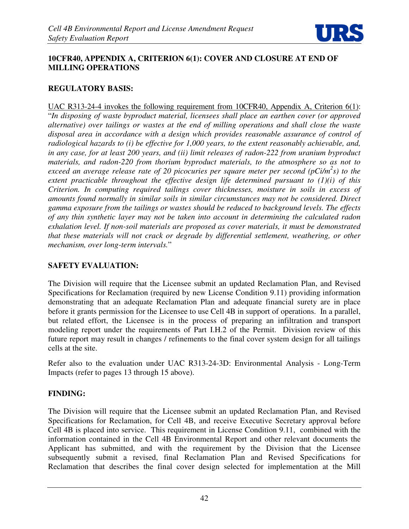

## **10CFR40, APPENDIX A, CRITERION 6(1): COVER AND CLOSURE AT END OF MILLING OPERATIONS**

## **REGULATORY BASIS:**

UAC R313-24-4 invokes the following requirement from 10CFR40, Appendix A, Criterion 6(1): "*In disposing of waste byproduct material, licensees shall place an earthen cover (or approved alternative) over tailings or wastes at the end of milling operations and shall close the waste disposal area in accordance with a design which provides reasonable assurance of control of radiological hazards to (i) be effective for 1,000 years, to the extent reasonably achievable, and, in any case, for at least 200 years, and (ii) limit releases of radon-222 from uranium byproduct materials, and radon-220 from thorium byproduct materials, to the atmosphere so as not to exceed an average release rate of 20 picocuries per square meter per second (pCi/m<sup>2</sup> s) to the extent practicable throughout the effective design life determined pursuant to (1)(i) of this Criterion. In computing required tailings cover thicknesses, moisture in soils in excess of amounts found normally in similar soils in similar circumstances may not be considered. Direct gamma exposure from the tailings or wastes should be reduced to background levels. The effects of any thin synthetic layer may not be taken into account in determining the calculated radon exhalation level. If non-soil materials are proposed as cover materials, it must be demonstrated that these materials will not crack or degrade by differential settlement, weathering, or other mechanism, over long-term intervals.*"

#### **SAFETY EVALUATION:**

The Division will require that the Licensee submit an updated Reclamation Plan, and Revised Specifications for Reclamation (required by new License Condition 9.11) providing information demonstrating that an adequate Reclamation Plan and adequate financial surety are in place before it grants permission for the Licensee to use Cell 4B in support of operations. In a parallel, but related effort, the Licensee is in the process of preparing an infiltration and transport modeling report under the requirements of Part I.H.2 of the Permit. Division review of this future report may result in changes / refinements to the final cover system design for all tailings cells at the site.

Refer also to the evaluation under UAC R313-24-3D: Environmental Analysis - Long-Term Impacts (refer to pages 13 through 15 above).

#### **FINDING:**

The Division will require that the Licensee submit an updated Reclamation Plan, and Revised Specifications for Reclamation, for Cell 4B, and receive Executive Secretary approval before Cell 4B is placed into service. This requirement in License Condition 9.11, combined with the information contained in the Cell 4B Environmental Report and other relevant documents the Applicant has submitted, and with the requirement by the Division that the Licensee subsequently submit a revised, final Reclamation Plan and Revised Specifications for Reclamation that describes the final cover design selected for implementation at the Mill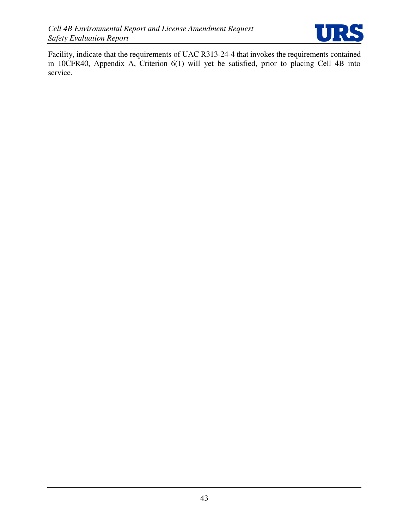

Facility, indicate that the requirements of UAC R313-24-4 that invokes the requirements contained in 10CFR40, Appendix A, Criterion 6(1) will yet be satisfied, prior to placing Cell 4B into service.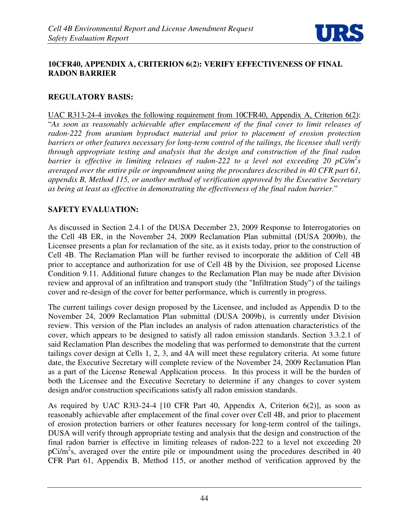

## **10CFR40, APPENDIX A, CRITERION 6(2): VERIFY EFFECTIVENESS OF FINAL RADON BARRIER**

#### **REGULATORY BASIS:**

UAC R313-24-4 invokes the following requirement from 10CFR40, Appendix A, Criterion 6(2): "*As soon as reasonably achievable after emplacement of the final cover to limit releases of radon-222 from uranium byproduct material and prior to placement of erosion protection barriers or other features necessary for long-term control of the tailings, the licensee shall verify through appropriate testing and analysis that the design and construction of the final radon barrier is effective in limiting releases of radon-222 to a level not exceeding 20 pCi/m<sup>2</sup> s averaged over the entire pile or impoundment using the procedures described in 40 CFR part 61, appendix B, Method 115, or another method of verification approved by the Executive Secretary as being at least as effective in demonstrating the effectiveness of the final radon barrier.*"

## **SAFETY EVALUATION:**

As discussed in Section 2.4.1 of the DUSA December 23, 2009 Response to Interrogatories on the Cell 4B ER, in the November 24, 2009 Reclamation Plan submittal (DUSA 2009b), the Licensee presents a plan for reclamation of the site, as it exists today, prior to the construction of Cell 4B. The Reclamation Plan will be further revised to incorporate the addition of Cell 4B prior to acceptance and authorization for use of Cell 4B by the Division, see proposed License Condition 9.11. Additional future changes to the Reclamation Plan may be made after Division review and approval of an infiltration and transport study (the "Infiltration Study") of the tailings cover and re-design of the cover for better performance, which is currently in progress.

The current tailings cover design proposed by the Licensee, and included as Appendix D to the November 24, 2009 Reclamation Plan submittal (DUSA 2009b), is currently under Division review. This version of the Plan includes an analysis of radon attenuation characteristics of the cover, which appears to be designed to satisfy all radon emission standards. Section 3.3.2.1 of said Reclamation Plan describes the modeling that was performed to demonstrate that the current tailings cover design at Cells 1, 2, 3, and 4A will meet these regulatory criteria. At some future date, the Executive Secretary will complete review of the November 24, 2009 Reclamation Plan as a part of the License Renewal Application process. In this process it will be the burden of both the Licensee and the Executive Secretary to determine if any changes to cover system design and/or construction specifications satisfy all radon emission standards.

As required by UAC R3l3-24-4 [10 CFR Part 40, Appendix A, Criterion 6(2)], as soon as reasonably achievable after emplacement of the final cover over Cell 4B, and prior to placement of erosion protection barriers or other features necessary for long-term control of the tailings, DUSA will verify through appropriate testing and analysis that the design and construction of the final radon barrier is effective in limiting releases of radon-222 to a level not exceeding 20  $pCi/m<sup>2</sup>s$ , averaged over the entire pile or impoundment using the procedures described in 40 CFR Part 61, Appendix B, Method 115, or another method of verification approved by the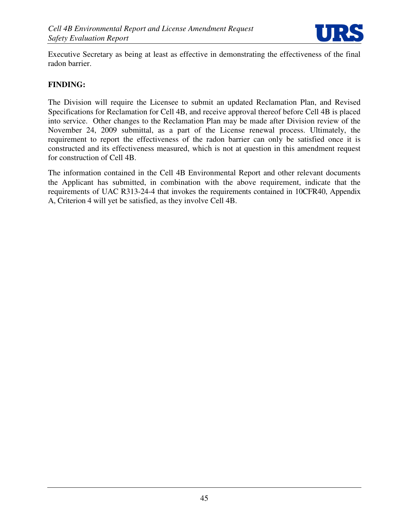

Executive Secretary as being at least as effective in demonstrating the effectiveness of the final radon barrier.

#### **FINDING:**

The Division will require the Licensee to submit an updated Reclamation Plan, and Revised Specifications for Reclamation for Cell 4B, and receive approval thereof before Cell 4B is placed into service. Other changes to the Reclamation Plan may be made after Division review of the November 24, 2009 submittal, as a part of the License renewal process. Ultimately, the requirement to report the effectiveness of the radon barrier can only be satisfied once it is constructed and its effectiveness measured, which is not at question in this amendment request for construction of Cell 4B.

The information contained in the Cell 4B Environmental Report and other relevant documents the Applicant has submitted, in combination with the above requirement, indicate that the requirements of UAC R313-24-4 that invokes the requirements contained in 10CFR40, Appendix A, Criterion 4 will yet be satisfied, as they involve Cell 4B.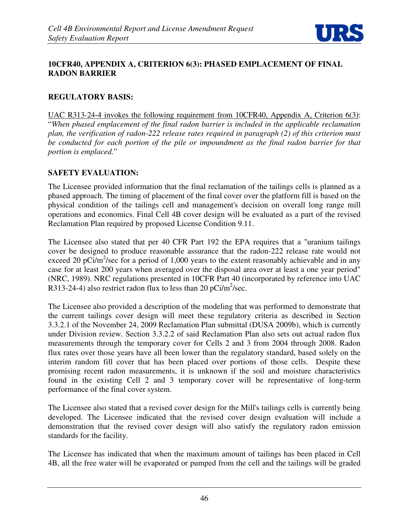

## **10CFR40, APPENDIX A, CRITERION 6(3): PHASED EMPLACEMENT OF FINAL RADON BARRIER**

## **REGULATORY BASIS:**

UAC R313-24-4 invokes the following requirement from 10CFR40, Appendix A, Criterion 6(3): "*When phased emplacement of the final radon barrier is included in the applicable reclamation plan, the verification of radon-222 release rates required in paragraph (2) of this criterion must be conducted for each portion of the pile or impoundment as the final radon barrier for that portion is emplaced.*"

## **SAFETY EVALUATION:**

The Licensee provided information that the final reclamation of the tailings cells is planned as a phased approach. The timing of placement of the final cover over the platform fill is based on the physical condition of the tailings cell and management's decision on overall long range mill operations and economics. Final Cell 4B cover design will be evaluated as a part of the revised Reclamation Plan required by proposed License Condition 9.11.

The Licensee also stated that per 40 CFR Part 192 the EPA requires that a "uranium tailings cover be designed to produce reasonable assurance that the radon-222 release rate would not exceed 20 pCi/m<sup>2</sup>/sec for a period of 1,000 years to the extent reasonably achievable and in any case for at least 200 years when averaged over the disposal area over at least a one year period" (NRC, 1989). NRC regulations presented in 10CFR Part 40 (incorporated by reference into UAC R313-24-4) also restrict radon flux to less than 20 pCi/m<sup>2</sup>/sec.

The Licensee also provided a description of the modeling that was performed to demonstrate that the current tailings cover design will meet these regulatory criteria as described in Section 3.3.2.1 of the November 24, 2009 Reclamation Plan submittal (DUSA 2009b), which is currently under Division review. Section 3.3.2.2 of said Reclamation Plan also sets out actual radon flux measurements through the temporary cover for Cells 2 and 3 from 2004 through 2008. Radon flux rates over those years have all been lower than the regulatory standard, based solely on the interim random fill cover that has been placed over portions of those cells. Despite these promising recent radon measurements, it is unknown if the soil and moisture characteristics found in the existing Cell 2 and 3 temporary cover will be representative of long-term performance of the final cover system.

The Licensee also stated that a revised cover design for the Mill's tailings cells is currently being developed. The Licensee indicated that the revised cover design evaluation will include a demonstration that the revised cover design will also satisfy the regulatory radon emission standards for the facility.

The Licensee has indicated that when the maximum amount of tailings has been placed in Cell 4B, all the free water will be evaporated or pumped from the cell and the tailings will be graded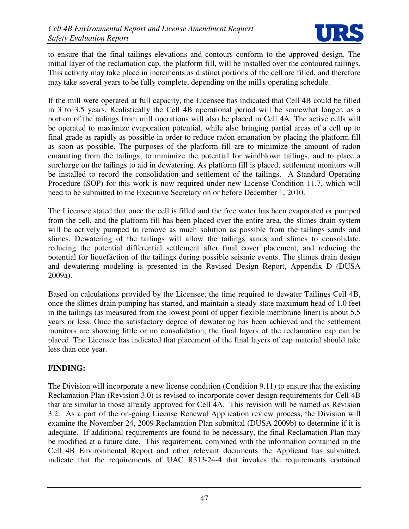

to ensure that the final tailings elevations and contours conform to the approved design. The initial layer of the reclamation cap, the platform fill, will be installed over the contoured tailings. This activity may take place in increments as distinct portions of the cell are filled, and therefore may take several years to be fully complete, depending on the mill's operating schedule.

If the mill were operated at full capacity, the Licensee has indicated that Cell 4B could be filled in 3 to 3.5 years. Realistically the Cell 4B operational period will be somewhat longer, as a portion of the tailings from mill operations will also be placed in Cell 4A. The active cells will be operated to maximize evaporation potential, while also bringing partial areas of a cell up to final grade as rapidly as possible in order to reduce radon emanation by placing the platform fill as soon as possible. The purposes of the platform fill are to minimize the amount of radon emanating from the tailings; to minimize the potential for windblown tailings, and to place a surcharge on the tailings to aid in dewatering. As platform fill is placed, settlement monitors will be installed to record the consolidation and settlement of the tailings. A Standard Operating Procedure (SOP) for this work is now required under new License Condition 11.7, which will need to be submitted to the Executive Secretary on or before December 1, 2010.

The Licensee stated that once the cell is filled and the free water has been evaporated or pumped from the cell, and the platform fill has been placed over the entire area, the slimes drain system will be actively pumped to remove as much solution as possible from the tailings sands and slimes. Dewatering of the tailings will allow the tailings sands and slimes to consolidate, reducing the potential differential settlement after final cover placement, and reducing the potential for liquefaction of the tailings during possible seismic events. The slimes drain design and dewatering modeling is presented in the Revised Design Report, Appendix D (DUSA 2009a).

Based on calculations provided by the Licensee, the time required to dewater Tailings Cell 4B, once the slimes drain pumping has started, and maintain a steady-state maximum head of 1.0 feet in the tailings (as measured from the lowest point of upper flexible membrane liner) is about 5.5 years or less. Once the satisfactory degree of dewatering has been achieved and the settlement monitors are showing little or no consolidation, the final layers of the reclamation cap can be placed. The Licensee has indicated that placement of the final layers of cap material should take less than one year.

## **FINDING:**

The Division will incorporate a new license condition (Condition 9.11) to ensure that the existing Reclamation Plan (Revision 3.0) is revised to incorporate cover design requirements for Cell 4B that are similar to those already approved for Cell 4A. This revision will be named as Revision 3.2. As a part of the on-going License Renewal Application review process, the Division will examine the November 24, 2009 Reclamation Plan submittal (DUSA 2009b) to determine if it is adequate. If additional requirements are found to be necessary, the final Reclamation Plan may be modified at a future date. This requirement, combined with the information contained in the Cell 4B Environmental Report and other relevant documents the Applicant has submitted, indicate that the requirements of UAC R313-24-4 that invokes the requirements contained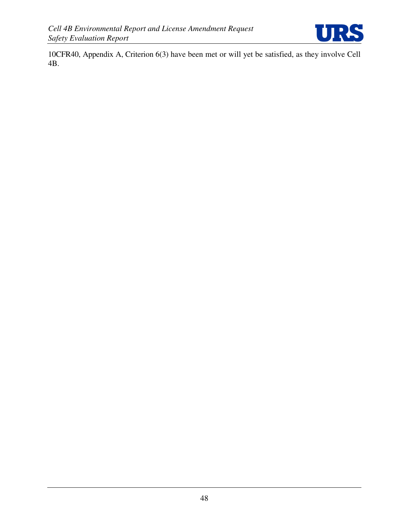

10CFR40, Appendix A, Criterion 6(3) have been met or will yet be satisfied, as they involve Cell 4B.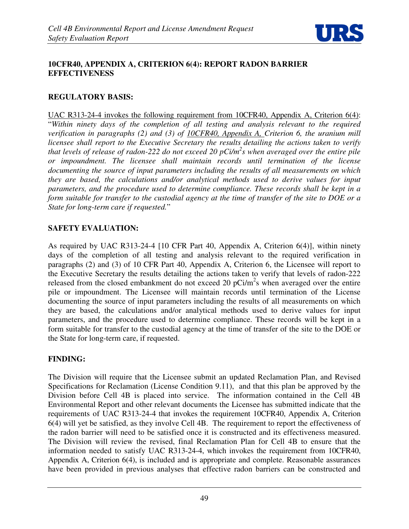

## **10CFR40, APPENDIX A, CRITERION 6(4): REPORT RADON BARRIER EFFECTIVENESS**

#### **REGULATORY BASIS:**

UAC R313-24-4 invokes the following requirement from 10CFR40, Appendix A, Criterion 6(4): "*Within ninety days of the completion of all testing and analysis relevant to the required verification in paragraphs (2) and (3) of 10CFR40, Appendix A, Criterion 6, the uranium mill licensee shall report to the Executive Secretary the results detailing the actions taken to verify that levels of release of radon-222 do not exceed 20 pCi/m<sup>2</sup> s when averaged over the entire pile or impoundment. The licensee shall maintain records until termination of the license documenting the source of input parameters including the results of all measurements on which they are based, the calculations and/or analytical methods used to derive values for input parameters, and the procedure used to determine compliance. These records shall be kept in a form suitable for transfer to the custodial agency at the time of transfer of the site to DOE or a State for long-term care if requested.*"

## **SAFETY EVALUATION:**

As required by UAC R313-24-4 [10 CFR Part 40, Appendix A, Criterion 6(4)], within ninety days of the completion of all testing and analysis relevant to the required verification in paragraphs (2) and (3) of 10 CFR Part 40, Appendix A, Criterion 6, the Licensee will report to the Executive Secretary the results detailing the actions taken to verify that levels of radon-222 released from the closed embankment do not exceed 20  $pCi/m^2s$  when averaged over the entire pile or impoundment. The Licensee will maintain records until termination of the License documenting the source of input parameters including the results of all measurements on which they are based, the calculations and/or analytical methods used to derive values for input parameters, and the procedure used to determine compliance. These records will be kept in a form suitable for transfer to the custodial agency at the time of transfer of the site to the DOE or the State for long-term care, if requested.

#### **FINDING:**

The Division will require that the Licensee submit an updated Reclamation Plan, and Revised Specifications for Reclamation (License Condition 9.11), and that this plan be approved by the Division before Cell 4B is placed into service. The information contained in the Cell 4B Environmental Report and other relevant documents the Licensee has submitted indicate that the requirements of UAC R313-24-4 that invokes the requirement 10CFR40, Appendix A, Criterion 6(4) will yet be satisfied, as they involve Cell 4B. The requirement to report the effectiveness of the radon barrier will need to be satisfied once it is constructed and its effectiveness measured. The Division will review the revised, final Reclamation Plan for Cell 4B to ensure that the information needed to satisfy UAC R313-24-4, which invokes the requirement from 10CFR40, Appendix A, Criterion 6(4), is included and is appropriate and complete. Reasonable assurances have been provided in previous analyses that effective radon barriers can be constructed and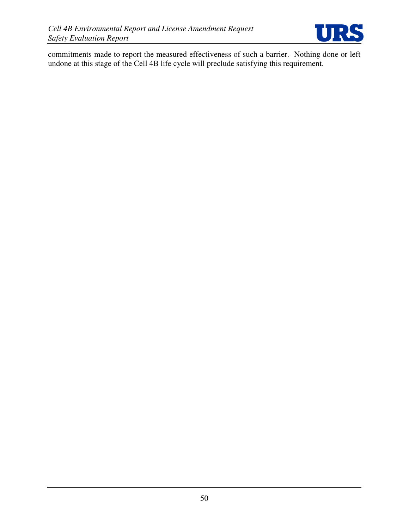

commitments made to report the measured effectiveness of such a barrier. Nothing done or left undone at this stage of the Cell 4B life cycle will preclude satisfying this requirement.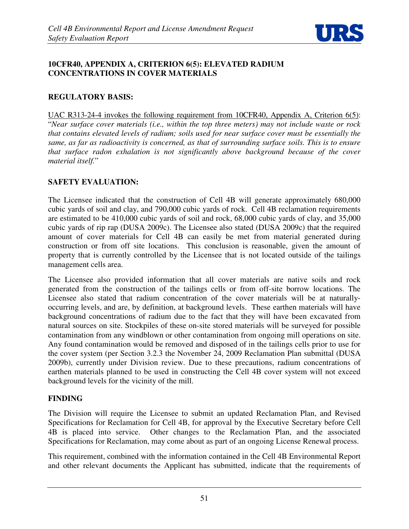

## **10CFR40, APPENDIX A, CRITERION 6(5): ELEVATED RADIUM CONCENTRATIONS IN COVER MATERIALS**

## **REGULATORY BASIS:**

UAC R313-24-4 invokes the following requirement from 10CFR40, Appendix A, Criterion 6(5): "*Near surface cover materials (i.e., within the top three meters) may not include waste or rock that contains elevated levels of radium; soils used for near surface cover must be essentially the same, as far as radioactivity is concerned, as that of surrounding surface soils. This is to ensure that surface radon exhalation is not significantly above background because of the cover material itself.*"

## **SAFETY EVALUATION:**

The Licensee indicated that the construction of Cell 4B will generate approximately 680,000 cubic yards of soil and clay, and 790,000 cubic yards of rock. Cell 4B reclamation requirements are estimated to be 410,000 cubic yards of soil and rock, 68,000 cubic yards of clay, and 35,000 cubic yards of rip rap (DUSA 2009c). The Licensee also stated (DUSA 2009c) that the required amount of cover materials for Cell 4B can easily be met from material generated during construction or from off site locations. This conclusion is reasonable, given the amount of property that is currently controlled by the Licensee that is not located outside of the tailings management cells area.

The Licensee also provided information that all cover materials are native soils and rock generated from the construction of the tailings cells or from off-site borrow locations. The Licensee also stated that radium concentration of the cover materials will be at naturallyoccurring levels, and are, by definition, at background levels. These earthen materials will have background concentrations of radium due to the fact that they will have been excavated from natural sources on site. Stockpiles of these on-site stored materials will be surveyed for possible contamination from any windblown or other contamination from ongoing mill operations on site. Any found contamination would be removed and disposed of in the tailings cells prior to use for the cover system (per Section 3.2.3 the November 24, 2009 Reclamation Plan submittal (DUSA 2009b), currently under Division review. Due to these precautions, radium concentrations of earthen materials planned to be used in constructing the Cell 4B cover system will not exceed background levels for the vicinity of the mill.

#### **FINDING**

The Division will require the Licensee to submit an updated Reclamation Plan, and Revised Specifications for Reclamation for Cell 4B, for approval by the Executive Secretary before Cell 4B is placed into service. Other changes to the Reclamation Plan, and the associated Specifications for Reclamation, may come about as part of an ongoing License Renewal process.

This requirement, combined with the information contained in the Cell 4B Environmental Report and other relevant documents the Applicant has submitted, indicate that the requirements of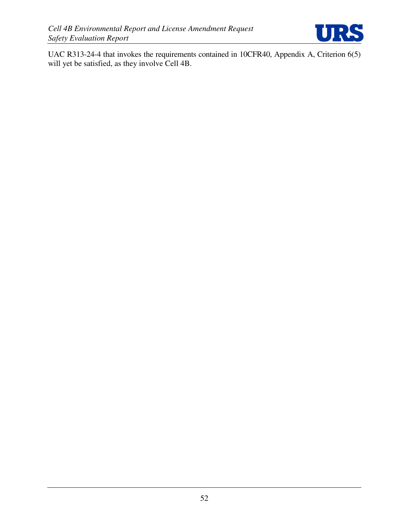

UAC R313-24-4 that invokes the requirements contained in 10CFR40, Appendix A, Criterion 6(5) will yet be satisfied, as they involve Cell 4B.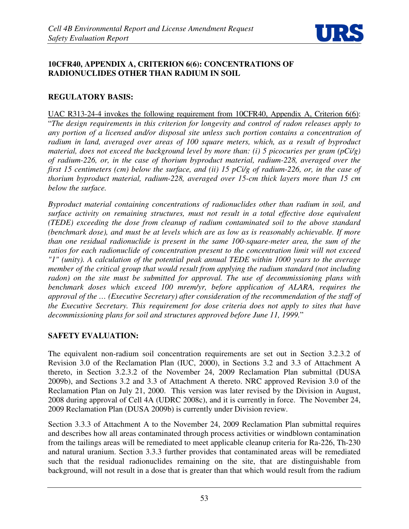

## **10CFR40, APPENDIX A, CRITERION 6(6): CONCENTRATIONS OF RADIONUCLIDES OTHER THAN RADIUM IN SOIL**

## **REGULATORY BASIS:**

UAC R313-24-4 invokes the following requirement from 10CFR40, Appendix A, Criterion 6(6): "*The design requirements in this criterion for longevity and control of radon releases apply to any portion of a licensed and/or disposal site unless such portion contains a concentration of radium in land, averaged over areas of 100 square meters, which, as a result of byproduct material, does not exceed the background level by more than: (i) 5 picocuries per gram (pCi/g) of radium-226, or, in the case of thorium byproduct material, radium-228, averaged over the first 15 centimeters (cm) below the surface, and (ii) 15 pCi/g of radium-226, or, in the case of thorium byproduct material, radium-228, averaged over 15-cm thick layers more than 15 cm below the surface.* 

*Byproduct material containing concentrations of radionuclides other than radium in soil, and surface activity on remaining structures, must not result in a total effective dose equivalent (TEDE) exceeding the dose from cleanup of radium contaminated soil to the above standard (benchmark dose), and must be at levels which are as low as is reasonably achievable. If more than one residual radionuclide is present in the same 100-square-meter area, the sum of the ratios for each radionuclide of concentration present to the concentration limit will not exceed "1" (unity). A calculation of the potential peak annual TEDE within 1000 years to the average member of the critical group that would result from applying the radium standard (not including radon) on the site must be submitted for approval. The use of decommissioning plans with benchmark doses which exceed 100 mrem/yr, before application of ALARA, requires the approval of the … (Executive Secretary) after consideration of the recommendation of the staff of the Executive Secretary. This requirement for dose criteria does not apply to sites that have decommissioning plans for soil and structures approved before June 11, 1999.*"

## **SAFETY EVALUATION:**

The equivalent non-radium soil concentration requirements are set out in Section 3.2.3.2 of Revision 3.0 of the Reclamation Plan (IUC, 2000), in Sections 3.2 and 3.3 of Attachment A thereto, in Section 3.2.3.2 of the November 24, 2009 Reclamation Plan submittal (DUSA 2009b), and Sections 3.2 and 3.3 of Attachment A thereto. NRC approved Revision 3.0 of the Reclamation Plan on July 21, 2000. This version was later revised by the Division in August, 2008 during approval of Cell 4A (UDRC 2008c), and it is currently in force. The November 24, 2009 Reclamation Plan (DUSA 2009b) is currently under Division review.

Section 3.3.3 of Attachment A to the November 24, 2009 Reclamation Plan submittal requires and describes how all areas contaminated through process activities or windblown contamination from the tailings areas will be remediated to meet applicable cleanup criteria for Ra-226, Th-230 and natural uranium. Section 3.3.3 further provides that contaminated areas will be remediated such that the residual radionuclides remaining on the site, that are distinguishable from background, will not result in a dose that is greater than that which would result from the radium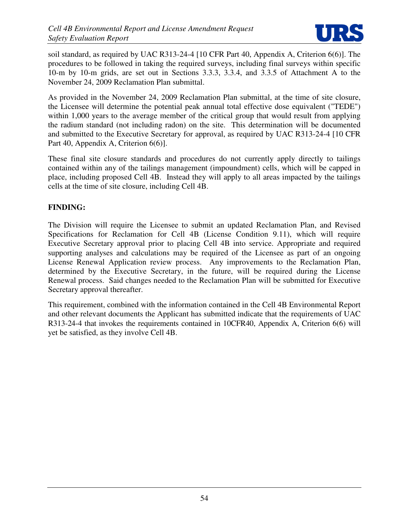

soil standard, as required by UAC R313-24-4 [10 CFR Part 40, Appendix A, Criterion 6(6)]. The procedures to be followed in taking the required surveys, including final surveys within specific 10-m by 10-m grids, are set out in Sections 3.3.3, 3.3.4, and 3.3.5 of Attachment A to the November 24, 2009 Reclamation Plan submittal.

As provided in the November 24, 2009 Reclamation Plan submittal, at the time of site closure, the Licensee will determine the potential peak annual total effective dose equivalent ("TEDE") within 1,000 years to the average member of the critical group that would result from applying the radium standard (not including radon) on the site. This determination will be documented and submitted to the Executive Secretary for approval, as required by UAC R313-24-4 [10 CFR Part 40, Appendix A, Criterion 6(6).

These final site closure standards and procedures do not currently apply directly to tailings contained within any of the tailings management (impoundment) cells, which will be capped in place, including proposed Cell 4B. Instead they will apply to all areas impacted by the tailings cells at the time of site closure, including Cell 4B.

## **FINDING:**

The Division will require the Licensee to submit an updated Reclamation Plan, and Revised Specifications for Reclamation for Cell 4B (License Condition 9.11), which will require Executive Secretary approval prior to placing Cell 4B into service. Appropriate and required supporting analyses and calculations may be required of the Licensee as part of an ongoing License Renewal Application review process. Any improvements to the Reclamation Plan, determined by the Executive Secretary, in the future, will be required during the License Renewal process. Said changes needed to the Reclamation Plan will be submitted for Executive Secretary approval thereafter.

This requirement, combined with the information contained in the Cell 4B Environmental Report and other relevant documents the Applicant has submitted indicate that the requirements of UAC R313-24-4 that invokes the requirements contained in 10CFR40, Appendix A, Criterion 6(6) will yet be satisfied, as they involve Cell 4B.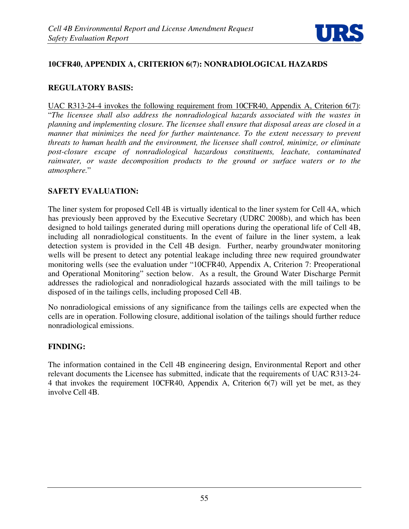

# **10CFR40, APPENDIX A, CRITERION 6(7): NONRADIOLOGICAL HAZARDS**

## **REGULATORY BASIS:**

UAC R313-24-4 invokes the following requirement from 10CFR40, Appendix A, Criterion 6(7): "*The licensee shall also address the nonradiological hazards associated with the wastes in planning and implementing closure. The licensee shall ensure that disposal areas are closed in a manner that minimizes the need for further maintenance. To the extent necessary to prevent threats to human health and the environment, the licensee shall control, minimize, or eliminate post-closure escape of nonradiological hazardous constituents, leachate, contaminated rainwater, or waste decomposition products to the ground or surface waters or to the atmosphere.*"

## **SAFETY EVALUATION:**

The liner system for proposed Cell 4B is virtually identical to the liner system for Cell 4A, which has previously been approved by the Executive Secretary (UDRC 2008b), and which has been designed to hold tailings generated during mill operations during the operational life of Cell 4B, including all nonradiological constituents. In the event of failure in the liner system, a leak detection system is provided in the Cell 4B design. Further, nearby groundwater monitoring wells will be present to detect any potential leakage including three new required groundwater monitoring wells (see the evaluation under "10CFR40, Appendix A, Criterion 7: Preoperational and Operational Monitoring" section below. As a result, the Ground Water Discharge Permit addresses the radiological and nonradiological hazards associated with the mill tailings to be disposed of in the tailings cells, including proposed Cell 4B.

No nonradiological emissions of any significance from the tailings cells are expected when the cells are in operation. Following closure, additional isolation of the tailings should further reduce nonradiological emissions.

#### **FINDING:**

The information contained in the Cell 4B engineering design, Environmental Report and other relevant documents the Licensee has submitted, indicate that the requirements of UAC R313-24- 4 that invokes the requirement 10CFR40, Appendix A, Criterion 6(7) will yet be met, as they involve Cell 4B.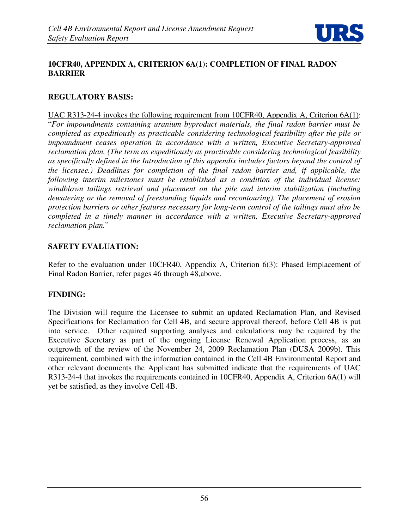

## **10CFR40, APPENDIX A, CRITERION 6A(1): COMPLETION OF FINAL RADON BARRIER**

#### **REGULATORY BASIS:**

UAC R313-24-4 invokes the following requirement from 10CFR40, Appendix A, Criterion 6A(1): "*For impoundments containing uranium byproduct materials, the final radon barrier must be completed as expeditiously as practicable considering technological feasibility after the pile or impoundment ceases operation in accordance with a written, Executive Secretary-approved reclamation plan. (The term as expeditiously as practicable considering technological feasibility as specifically defined in the Introduction of this appendix includes factors beyond the control of the licensee.) Deadlines for completion of the final radon barrier and, if applicable, the following interim milestones must be established as a condition of the individual license: windblown tailings retrieval and placement on the pile and interim stabilization (including dewatering or the removal of freestanding liquids and recontouring). The placement of erosion protection barriers or other features necessary for long-term control of the tailings must also be completed in a timely manner in accordance with a written, Executive Secretary-approved reclamation plan.*"

## **SAFETY EVALUATION:**

Refer to the evaluation under 10CFR40, Appendix A, Criterion 6(3): Phased Emplacement of Final Radon Barrier, refer pages 46 through 48,above.

## **FINDING:**

The Division will require the Licensee to submit an updated Reclamation Plan, and Revised Specifications for Reclamation for Cell 4B, and secure approval thereof, before Cell 4B is put into service. Other required supporting analyses and calculations may be required by the Executive Secretary as part of the ongoing License Renewal Application process, as an outgrowth of the review of the November 24, 2009 Reclamation Plan (DUSA 2009b). This requirement, combined with the information contained in the Cell 4B Environmental Report and other relevant documents the Applicant has submitted indicate that the requirements of UAC R313-24-4 that invokes the requirements contained in 10CFR40, Appendix A, Criterion 6A(1) will yet be satisfied, as they involve Cell 4B.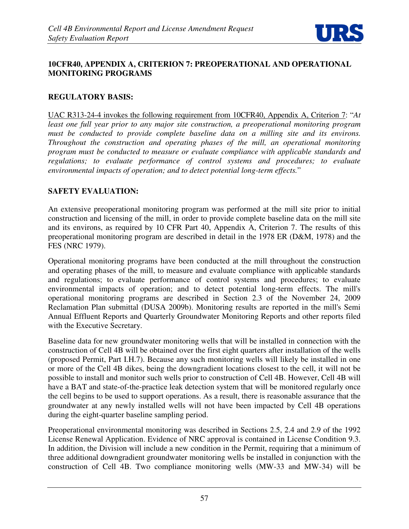

## **10CFR40, APPENDIX A, CRITERION 7: PREOPERATIONAL AND OPERATIONAL MONITORING PROGRAMS**

#### **REGULATORY BASIS:**

UAC R313-24-4 invokes the following requirement from 10CFR40, Appendix A, Criterion 7: "*At least one full year prior to any major site construction, a preoperational monitoring program must be conducted to provide complete baseline data on a milling site and its environs. Throughout the construction and operating phases of the mill, an operational monitoring program must be conducted to measure or evaluate compliance with applicable standards and regulations; to evaluate performance of control systems and procedures; to evaluate environmental impacts of operation; and to detect potential long-term effects.*"

## **SAFETY EVALUATION:**

An extensive preoperational monitoring program was performed at the mill site prior to initial construction and licensing of the mill, in order to provide complete baseline data on the mill site and its environs, as required by 10 CFR Part 40, Appendix A, Criterion 7. The results of this preoperational monitoring program are described in detail in the 1978 ER (D&M, 1978) and the FES (NRC 1979).

Operational monitoring programs have been conducted at the mill throughout the construction and operating phases of the mill, to measure and evaluate compliance with applicable standards and regulations; to evaluate performance of control systems and procedures; to evaluate environmental impacts of operation; and to detect potential long-term effects. The mill's operational monitoring programs are described in Section 2.3 of the November 24, 2009 Reclamation Plan submittal (DUSA 2009b). Monitoring results are reported in the mill's Semi Annual Effluent Reports and Quarterly Groundwater Monitoring Reports and other reports filed with the Executive Secretary.

Baseline data for new groundwater monitoring wells that will be installed in connection with the construction of Cell 4B will be obtained over the first eight quarters after installation of the wells (proposed Permit, Part I.H.7). Because any such monitoring wells will likely be installed in one or more of the Cell 4B dikes, being the downgradient locations closest to the cell, it will not be possible to install and monitor such wells prior to construction of Cell 4B. However, Cell 4B will have a BAT and state-of-the-practice leak detection system that will be monitored regularly once the cell begins to be used to support operations. As a result, there is reasonable assurance that the groundwater at any newly installed wells will not have been impacted by Cell 4B operations during the eight-quarter baseline sampling period.

Preoperational environmental monitoring was described in Sections 2.5, 2.4 and 2.9 of the 1992 License Renewal Application. Evidence of NRC approval is contained in License Condition 9.3. In addition, the Division will include a new condition in the Permit, requiring that a minimum of three additional downgradient groundwater monitoring wells be installed in conjunction with the construction of Cell 4B. Two compliance monitoring wells (MW-33 and MW-34) will be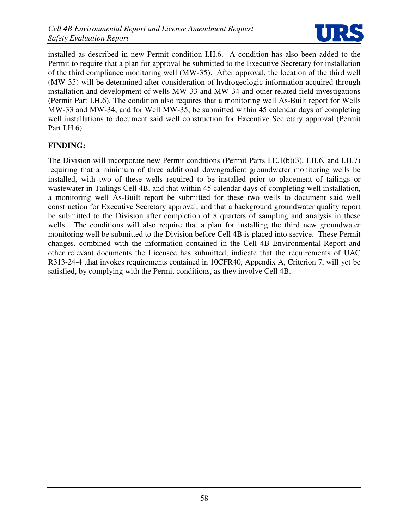

installed as described in new Permit condition I.H.6. A condition has also been added to the Permit to require that a plan for approval be submitted to the Executive Secretary for installation of the third compliance monitoring well (MW-35). After approval, the location of the third well (MW-35) will be determined after consideration of hydrogeologic information acquired through installation and development of wells MW-33 and MW-34 and other related field investigations (Permit Part I.H.6). The condition also requires that a monitoring well As-Built report for Wells MW-33 and MW-34, and for Well MW-35, be submitted within 45 calendar days of completing well installations to document said well construction for Executive Secretary approval (Permit Part I.H.6).

## **FINDING:**

The Division will incorporate new Permit conditions (Permit Parts I.E.1(b)(3), I.H.6, and I.H.7) requiring that a minimum of three additional downgradient groundwater monitoring wells be installed, with two of these wells required to be installed prior to placement of tailings or wastewater in Tailings Cell 4B, and that within 45 calendar days of completing well installation, a monitoring well As-Built report be submitted for these two wells to document said well construction for Executive Secretary approval, and that a background groundwater quality report be submitted to the Division after completion of 8 quarters of sampling and analysis in these wells. The conditions will also require that a plan for installing the third new groundwater monitoring well be submitted to the Division before Cell 4B is placed into service. These Permit changes, combined with the information contained in the Cell 4B Environmental Report and other relevant documents the Licensee has submitted, indicate that the requirements of UAC R313-24-4 ,that invokes requirements contained in 10CFR40, Appendix A, Criterion 7, will yet be satisfied, by complying with the Permit conditions, as they involve Cell 4B.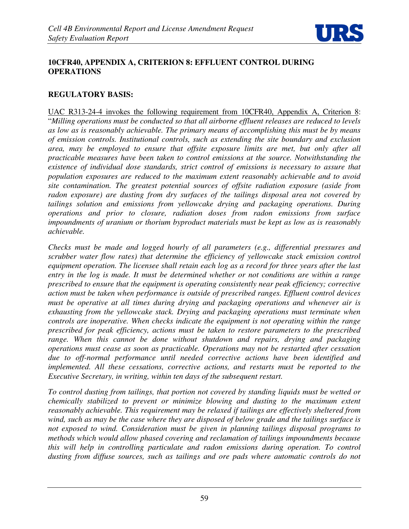

## **10CFR40, APPENDIX A, CRITERION 8: EFFLUENT CONTROL DURING OPERATIONS**

#### **REGULATORY BASIS:**

UAC R313-24-4 invokes the following requirement from 10CFR40, Appendix A, Criterion 8: "*Milling operations must be conducted so that all airborne effluent releases are reduced to levels as low as is reasonably achievable. The primary means of accomplishing this must be by means of emission controls. Institutional controls, such as extending the site boundary and exclusion area, may be employed to ensure that offsite exposure limits are met, but only after all practicable measures have been taken to control emissions at the source. Notwithstanding the existence of individual dose standards, strict control of emissions is necessary to assure that population exposures are reduced to the maximum extent reasonably achievable and to avoid site contamination. The greatest potential sources of offsite radiation exposure (aside from radon exposure) are dusting from dry surfaces of the tailings disposal area not covered by tailings solution and emissions from yellowcake drying and packaging operations. During operations and prior to closure, radiation doses from radon emissions from surface impoundments of uranium or thorium byproduct materials must be kept as low as is reasonably achievable.* 

*Checks must be made and logged hourly of all parameters (e.g., differential pressures and scrubber water flow rates) that determine the efficiency of yellowcake stack emission control equipment operation. The licensee shall retain each log as a record for three years after the last entry in the log is made. It must be determined whether or not conditions are within a range prescribed to ensure that the equipment is operating consistently near peak efficiency; corrective action must be taken when performance is outside of prescribed ranges. Effluent control devices must be operative at all times during drying and packaging operations and whenever air is exhausting from the yellowcake stack. Drying and packaging operations must terminate when controls are inoperative. When checks indicate the equipment is not operating within the range prescribed for peak efficiency, actions must be taken to restore parameters to the prescribed range. When this cannot be done without shutdown and repairs, drying and packaging operations must cease as soon as practicable. Operations may not be restarted after cessation due to off-normal performance until needed corrective actions have been identified and implemented. All these cessations, corrective actions, and restarts must be reported to the Executive Secretary, in writing, within ten days of the subsequent restart.* 

*To control dusting from tailings, that portion not covered by standing liquids must be wetted or chemically stabilized to prevent or minimize blowing and dusting to the maximum extent reasonably achievable. This requirement may be relaxed if tailings are effectively sheltered from wind, such as may be the case where they are disposed of below grade and the tailings surface is not exposed to wind. Consideration must be given in planning tailings disposal programs to methods which would allow phased covering and reclamation of tailings impoundments because this will help in controlling particulate and radon emissions during operation. To control dusting from diffuse sources, such as tailings and ore pads where automatic controls do not*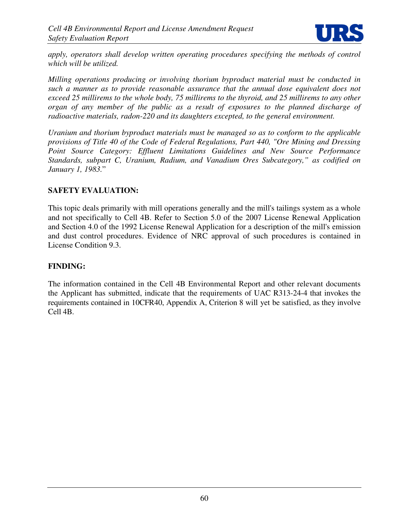

*apply, operators shall develop written operating procedures specifying the methods of control which will be utilized.* 

*Milling operations producing or involving thorium byproduct material must be conducted in such a manner as to provide reasonable assurance that the annual dose equivalent does not exceed 25 millirems to the whole body, 75 millirems to the thyroid, and 25 millirems to any other organ of any member of the public as a result of exposures to the planned discharge of radioactive materials, radon-220 and its daughters excepted, to the general environment.* 

*Uranium and thorium byproduct materials must be managed so as to conform to the applicable provisions of Title 40 of the Code of Federal Regulations, Part 440, "Ore Mining and Dressing Point Source Category: Effluent Limitations Guidelines and New Source Performance Standards, subpart C, Uranium, Radium, and Vanadium Ores Subcategory," as codified on January 1, 1983.*"

## **SAFETY EVALUATION:**

This topic deals primarily with mill operations generally and the mill's tailings system as a whole and not specifically to Cell 4B. Refer to Section 5.0 of the 2007 License Renewal Application and Section 4.0 of the 1992 License Renewal Application for a description of the mill's emission and dust control procedures. Evidence of NRC approval of such procedures is contained in License Condition 9.3.

#### **FINDING:**

The information contained in the Cell 4B Environmental Report and other relevant documents the Applicant has submitted, indicate that the requirements of UAC R313-24-4 that invokes the requirements contained in 10CFR40, Appendix A, Criterion 8 will yet be satisfied, as they involve Cell 4B.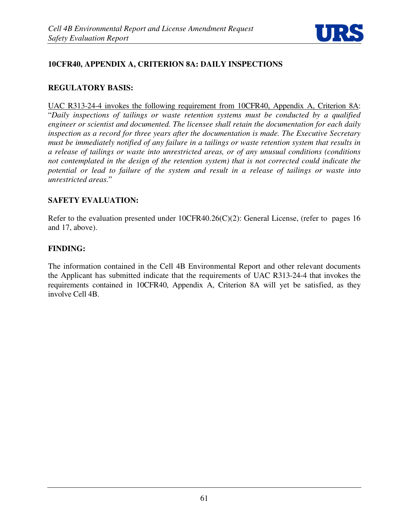

# **10CFR40, APPENDIX A, CRITERION 8A: DAILY INSPECTIONS**

#### **REGULATORY BASIS:**

UAC R313-24-4 invokes the following requirement from 10CFR40, Appendix A, Criterion 8A: "*Daily inspections of tailings or waste retention systems must be conducted by a qualified engineer or scientist and documented. The licensee shall retain the documentation for each daily inspection as a record for three years after the documentation is made. The Executive Secretary must be immediately notified of any failure in a tailings or waste retention system that results in a release of tailings or waste into unrestricted areas, or of any unusual conditions (conditions not contemplated in the design of the retention system) that is not corrected could indicate the potential or lead to failure of the system and result in a release of tailings or waste into unrestricted areas.*"

#### **SAFETY EVALUATION:**

Refer to the evaluation presented under 10CFR40.26(C)(2): General License, (refer to pages 16 and 17, above).

## **FINDING:**

The information contained in the Cell 4B Environmental Report and other relevant documents the Applicant has submitted indicate that the requirements of UAC R313-24-4 that invokes the requirements contained in 10CFR40, Appendix A, Criterion 8A will yet be satisfied, as they involve Cell 4B.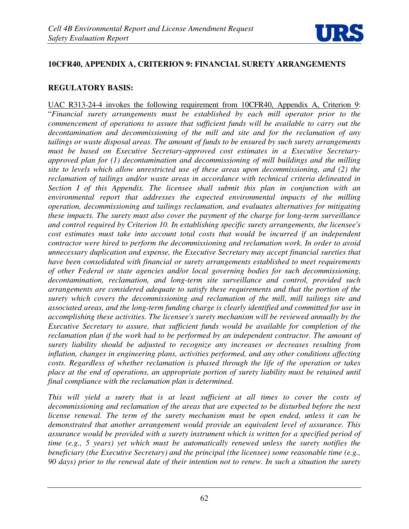

## **10CFR40, APPENDIX A, CRITERION 9: FINANCIAL SURETY ARRANGEMENTS**

#### **REGULATORY BASIS:**

UAC R313-24-4 invokes the following requirement from 10CFR40, Appendix A, Criterion 9: "*Financial surety arrangements must be established by each mill operator prior to the commencement of operations to assure that sufficient funds will be available to carry out the decontamination and decommissioning of the mill and site and for the reclamation of any tailings or waste disposal areas. The amount of funds to be ensured by such surety arrangements must be based on Executive Secretary-approved cost estimates in a Executive Secretaryapproved plan for (1) decontamination and decommissioning of mill buildings and the milling site to levels which allow unrestricted use of these areas upon decommissioning, and (2) the reclamation of tailings and/or waste areas in accordance with technical criteria delineated in Section I of this Appendix. The licensee shall submit this plan in conjunction with an environmental report that addresses the expected environmental impacts of the milling operation, decommissioning and tailings reclamation, and evaluates alternatives for mitigating these impacts. The surety must also cover the payment of the charge for long-term surveillance and control required by Criterion 10. In establishing specific surety arrangements, the licensee's cost estimates must take into account total costs that would be incurred if an independent contractor were hired to perform the decommissioning and reclamation work. In order to avoid unnecessary duplication and expense, the Executive Secretary may accept financial sureties that have been consolidated with financial or surety arrangements established to meet requirements of other Federal or state agencies and/or local governing bodies for such decommissioning, decontamination, reclamation, and long-term site surveillance and control, provided such arrangements are considered adequate to satisfy these requirements and that the portion of the surety which covers the decommissioning and reclamation of the mill, mill tailings site and associated areas, and the long-term funding charge is clearly identified and committed for use in accomplishing these activities. The licensee's surety mechanism will be reviewed annually by the Executive Secretary to assure, that sufficient funds would be available for completion of the reclamation plan if the work had to be performed by an independent contractor. The amount of surety liability should be adjusted to recognize any increases or decreases resulting from inflation, changes in engineering plans, activities performed, and any other conditions affecting costs. Regardless of whether reclamation is phased through the life of the operation or takes place at the end of operations, an appropriate portion of surety liability must be retained until final compliance with the reclamation plan is determined.* 

*This will yield a surety that is at least sufficient at all times to cover the costs of decommissioning and reclamation of the areas that are expected to be disturbed before the next license renewal. The term of the surety mechanism must be open ended, unless it can be demonstrated that another arrangement would provide an equivalent level of assurance. This assurance would be provided with a surety instrument which is written for a specified period of time (e.g., 5 years) yet which must be automatically renewed unless the surety notifies the beneficiary (the Executive Secretary) and the principal (the licensee) some reasonable time (e.g., 90 days) prior to the renewal date of their intention not to renew. In such a situation the surety*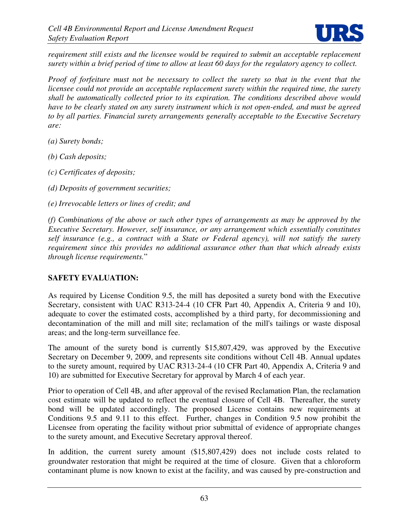

*requirement still exists and the licensee would be required to submit an acceptable replacement surety within a brief period of time to allow at least 60 days for the regulatory agency to collect.* 

*Proof of forfeiture must not be necessary to collect the surety so that in the event that the licensee could not provide an acceptable replacement surety within the required time, the surety shall be automatically collected prior to its expiration. The conditions described above would have to be clearly stated on any surety instrument which is not open-ended, and must be agreed to by all parties. Financial surety arrangements generally acceptable to the Executive Secretary are:* 

*(a) Surety bonds;* 

*(b) Cash deposits;* 

*(c) Certificates of deposits;* 

*(d) Deposits of government securities;* 

*(e) Irrevocable letters or lines of credit; and* 

*(f) Combinations of the above or such other types of arrangements as may be approved by the Executive Secretary. However, self insurance, or any arrangement which essentially constitutes self insurance (e.g., a contract with a State or Federal agency), will not satisfy the surety requirement since this provides no additional assurance other than that which already exists through license requirements.*"

#### **SAFETY EVALUATION:**

As required by License Condition 9.5, the mill has deposited a surety bond with the Executive Secretary, consistent with UAC R313-24-4 (10 CFR Part 40, Appendix A, Criteria 9 and 10), adequate to cover the estimated costs, accomplished by a third party, for decommissioning and decontamination of the mill and mill site; reclamation of the mill's tailings or waste disposal areas; and the long-term surveillance fee.

The amount of the surety bond is currently \$15,807,429, was approved by the Executive Secretary on December 9, 2009, and represents site conditions without Cell 4B. Annual updates to the surety amount, required by UAC R313-24-4 (10 CFR Part 40, Appendix A, Criteria 9 and 10) are submitted for Executive Secretary for approval by March 4 of each year.

Prior to operation of Cell 4B, and after approval of the revised Reclamation Plan, the reclamation cost estimate will be updated to reflect the eventual closure of Cell 4B. Thereafter, the surety bond will be updated accordingly. The proposed License contains new requirements at Conditions 9.5 and 9.11 to this effect. Further, changes in Condition 9.5 now prohibit the Licensee from operating the facility without prior submittal of evidence of appropriate changes to the surety amount, and Executive Secretary approval thereof.

In addition, the current surety amount  $(\$15,807,429)$  does not include costs related to groundwater restoration that might be required at the time of closure. Given that a chloroform contaminant plume is now known to exist at the facility, and was caused by pre-construction and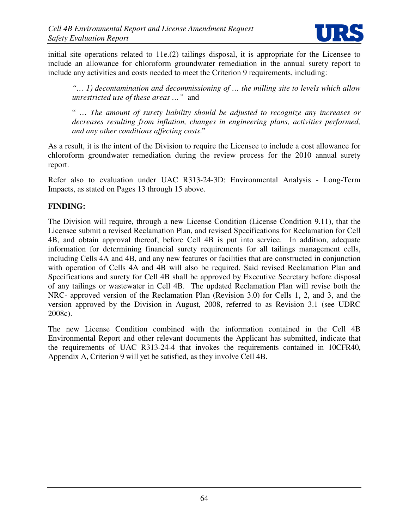

initial site operations related to 11e.(2) tailings disposal, it is appropriate for the Licensee to include an allowance for chloroform groundwater remediation in the annual surety report to include any activities and costs needed to meet the Criterion 9 requirements, including:

*"… 1) decontamination and decommissioning of … the milling site to levels which allow unrestricted use of these areas …"* and

" … *The amount of surety liability should be adjusted to recognize any increases or decreases resulting from inflation, changes in engineering plans, activities performed, and any other conditions affecting costs*."

As a result, it is the intent of the Division to require the Licensee to include a cost allowance for chloroform groundwater remediation during the review process for the 2010 annual surety report.

Refer also to evaluation under UAC R313-24-3D: Environmental Analysis - Long-Term Impacts, as stated on Pages 13 through 15 above.

## **FINDING:**

The Division will require, through a new License Condition (License Condition 9.11), that the Licensee submit a revised Reclamation Plan, and revised Specifications for Reclamation for Cell 4B, and obtain approval thereof, before Cell 4B is put into service. In addition, adequate information for determining financial surety requirements for all tailings management cells, including Cells 4A and 4B, and any new features or facilities that are constructed in conjunction with operation of Cells 4A and 4B will also be required. Said revised Reclamation Plan and Specifications and surety for Cell 4B shall be approved by Executive Secretary before disposal of any tailings or wastewater in Cell 4B. The updated Reclamation Plan will revise both the NRC- approved version of the Reclamation Plan (Revision 3.0) for Cells 1, 2, and 3, and the version approved by the Division in August, 2008, referred to as Revision 3.1 (see UDRC 2008c).

The new License Condition combined with the information contained in the Cell 4B Environmental Report and other relevant documents the Applicant has submitted, indicate that the requirements of UAC R313-24-4 that invokes the requirements contained in 10CFR40, Appendix A, Criterion 9 will yet be satisfied, as they involve Cell 4B.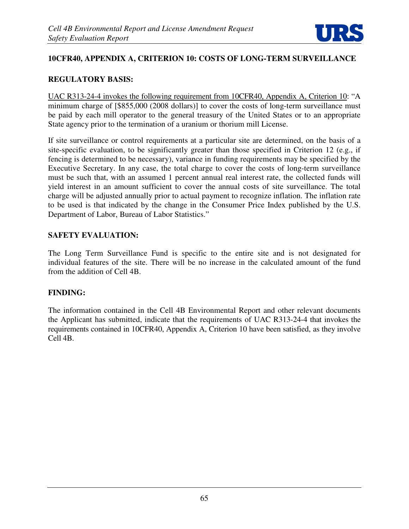

## **10CFR40, APPENDIX A, CRITERION 10: COSTS OF LONG-TERM SURVEILLANCE**

## **REGULATORY BASIS:**

UAC R313-24-4 invokes the following requirement from 10CFR40, Appendix A, Criterion 10: "A minimum charge of [\$855,000 (2008 dollars)] to cover the costs of long-term surveillance must be paid by each mill operator to the general treasury of the United States or to an appropriate State agency prior to the termination of a uranium or thorium mill License.

If site surveillance or control requirements at a particular site are determined, on the basis of a site-specific evaluation, to be significantly greater than those specified in Criterion 12 (e.g., if fencing is determined to be necessary), variance in funding requirements may be specified by the Executive Secretary. In any case, the total charge to cover the costs of long-term surveillance must be such that, with an assumed 1 percent annual real interest rate, the collected funds will yield interest in an amount sufficient to cover the annual costs of site surveillance. The total charge will be adjusted annually prior to actual payment to recognize inflation. The inflation rate to be used is that indicated by the change in the Consumer Price Index published by the U.S. Department of Labor, Bureau of Labor Statistics."

## **SAFETY EVALUATION:**

The Long Term Surveillance Fund is specific to the entire site and is not designated for individual features of the site. There will be no increase in the calculated amount of the fund from the addition of Cell 4B.

#### **FINDING:**

The information contained in the Cell 4B Environmental Report and other relevant documents the Applicant has submitted, indicate that the requirements of UAC R313-24-4 that invokes the requirements contained in 10CFR40, Appendix A, Criterion 10 have been satisfied, as they involve Cell 4B.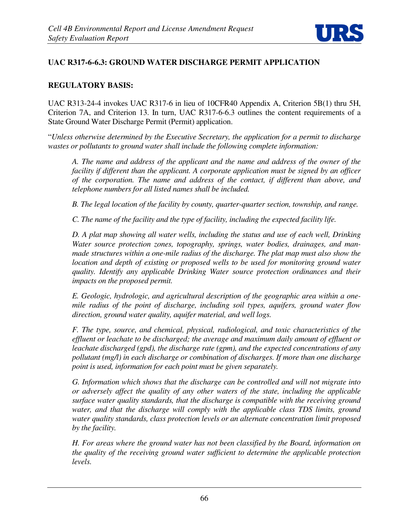

# **UAC R317-6-6.3: GROUND WATER DISCHARGE PERMIT APPLICATION**

#### **REGULATORY BASIS:**

UAC R313-24-4 invokes UAC R317-6 in lieu of 10CFR40 Appendix A, Criterion 5B(1) thru 5H, Criterion 7A, and Criterion 13. In turn, UAC R317-6-6.3 outlines the content requirements of a State Ground Water Discharge Permit (Permit) application.

"*Unless otherwise determined by the Executive Secretary, the application for a permit to discharge wastes or pollutants to ground water shall include the following complete information:* 

*A. The name and address of the applicant and the name and address of the owner of the facility if different than the applicant. A corporate application must be signed by an officer of the corporation. The name and address of the contact, if different than above, and telephone numbers for all listed names shall be included.* 

*B. The legal location of the facility by county, quarter-quarter section, township, and range.* 

*C. The name of the facility and the type of facility, including the expected facility life.* 

*D. A plat map showing all water wells, including the status and use of each well, Drinking Water source protection zones, topography, springs, water bodies, drainages, and manmade structures within a one-mile radius of the discharge. The plat map must also show the location and depth of existing or proposed wells to be used for monitoring ground water quality. Identify any applicable Drinking Water source protection ordinances and their impacts on the proposed permit.* 

*E. Geologic, hydrologic, and agricultural description of the geographic area within a onemile radius of the point of discharge, including soil types, aquifers, ground water flow direction, ground water quality, aquifer material, and well logs.* 

*F. The type, source, and chemical, physical, radiological, and toxic characteristics of the effluent or leachate to be discharged; the average and maximum daily amount of effluent or leachate discharged (gpd), the discharge rate (gpm), and the expected concentrations of any pollutant (mg/l) in each discharge or combination of discharges. If more than one discharge point is used, information for each point must be given separately.* 

*G. Information which shows that the discharge can be controlled and will not migrate into or adversely affect the quality of any other waters of the state, including the applicable surface water quality standards, that the discharge is compatible with the receiving ground water, and that the discharge will comply with the applicable class TDS limits, ground water quality standards, class protection levels or an alternate concentration limit proposed by the facility.* 

*H. For areas where the ground water has not been classified by the Board, information on the quality of the receiving ground water sufficient to determine the applicable protection levels.*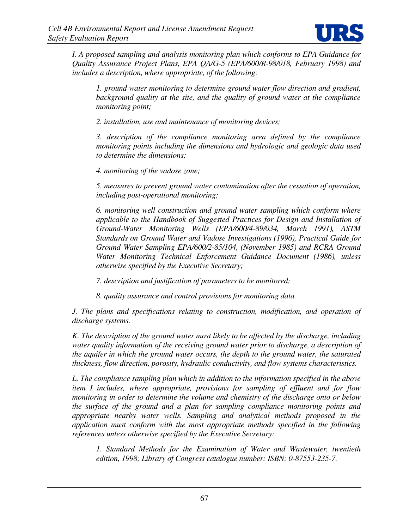

*I. A proposed sampling and analysis monitoring plan which conforms to EPA Guidance for Quality Assurance Project Plans, EPA QA/G-5 (EPA/600/R-98/018, February 1998) and includes a description, where appropriate, of the following:* 

*1. ground water monitoring to determine ground water flow direction and gradient, background quality at the site, and the quality of ground water at the compliance monitoring point;* 

*2. installation, use and maintenance of monitoring devices;* 

*3. description of the compliance monitoring area defined by the compliance monitoring points including the dimensions and hydrologic and geologic data used to determine the dimensions;* 

*4. monitoring of the vadose zone;* 

*5. measures to prevent ground water contamination after the cessation of operation, including post-operational monitoring;* 

*6. monitoring well construction and ground water sampling which conform where applicable to the Handbook of Suggested Practices for Design and Installation of Ground-Water Monitoring Wells (EPA/600/4-89/034, March 1991), ASTM Standards on Ground Water and Vadose Investigations (1996), Practical Guide for Ground Water Sampling EPA/600/2-85/104, (November 1985) and RCRA Ground Water Monitoring Technical Enforcement Guidance Document (1986), unless otherwise specified by the Executive Secretary;* 

*7. description and justification of parameters to be monitored;* 

*8. quality assurance and control provisions for monitoring data.* 

*J. The plans and specifications relating to construction, modification, and operation of discharge systems.* 

*K. The description of the ground water most likely to be affected by the discharge, including*  water quality information of the receiving ground water prior to discharge, a description of *the aquifer in which the ground water occurs, the depth to the ground water, the saturated thickness, flow direction, porosity, hydraulic conductivity, and flow systems characteristics.* 

*L. The compliance sampling plan which in addition to the information specified in the above item I includes, where appropriate, provisions for sampling of effluent and for flow monitoring in order to determine the volume and chemistry of the discharge onto or below the surface of the ground and a plan for sampling compliance monitoring points and appropriate nearby water wells. Sampling and analytical methods proposed in the application must conform with the most appropriate methods specified in the following references unless otherwise specified by the Executive Secretary:* 

*1. Standard Methods for the Examination of Water and Wastewater, twentieth edition, 1998; Library of Congress catalogue number: ISBN: 0-87553-235-7.*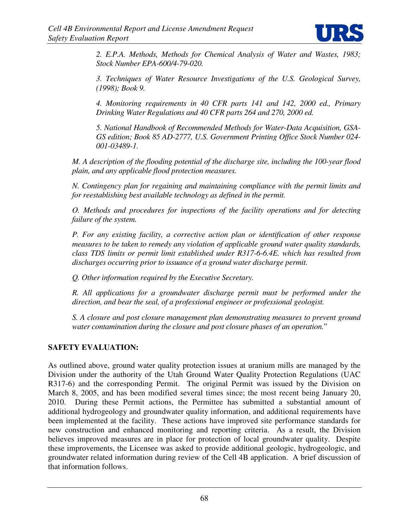

*2. E.P.A. Methods, Methods for Chemical Analysis of Water and Wastes, 1983; Stock Number EPA-600/4-79-020.* 

*3. Techniques of Water Resource Investigations of the U.S. Geological Survey, (1998); Book 9.* 

*4. Monitoring requirements in 40 CFR parts 141 and 142, 2000 ed., Primary Drinking Water Regulations and 40 CFR parts 264 and 270, 2000 ed.* 

*5. National Handbook of Recommended Methods for Water-Data Acquisition, GSA-GS edition; Book 85 AD-2777, U.S. Government Printing Office Stock Number 024- 001-03489-1.* 

*M. A description of the flooding potential of the discharge site, including the 100-year flood plain, and any applicable flood protection measures.* 

*N. Contingency plan for regaining and maintaining compliance with the permit limits and for reestablishing best available technology as defined in the permit.* 

*O. Methods and procedures for inspections of the facility operations and for detecting failure of the system.* 

*P. For any existing facility, a corrective action plan or identification of other response measures to be taken to remedy any violation of applicable ground water quality standards, class TDS limits or permit limit established under R317-6-6.4E. which has resulted from discharges occurring prior to issuance of a ground water discharge permit.* 

*Q. Other information required by the Executive Secretary.* 

*R. All applications for a groundwater discharge permit must be performed under the direction, and bear the seal, of a professional engineer or professional geologist.* 

*S. A closure and post closure management plan demonstrating measures to prevent ground water contamination during the closure and post closure phases of an operation.*"

### **SAFETY EVALUATION:**

As outlined above, ground water quality protection issues at uranium mills are managed by the Division under the authority of the Utah Ground Water Quality Protection Regulations (UAC R317-6) and the corresponding Permit. The original Permit was issued by the Division on March 8, 2005, and has been modified several times since; the most recent being January 20, 2010. During these Permit actions, the Permittee has submitted a substantial amount of additional hydrogeology and groundwater quality information, and additional requirements have been implemented at the facility. These actions have improved site performance standards for new construction and enhanced monitoring and reporting criteria. As a result, the Division believes improved measures are in place for protection of local groundwater quality. Despite these improvements, the Licensee was asked to provide additional geologic, hydrogeologic, and groundwater related information during review of the Cell 4B application. A brief discussion of that information follows.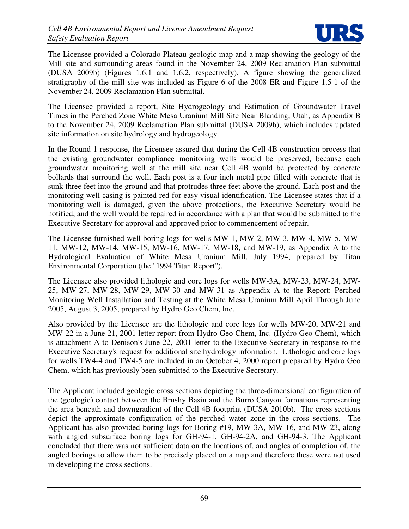

The Licensee provided a Colorado Plateau geologic map and a map showing the geology of the Mill site and surrounding areas found in the November 24, 2009 Reclamation Plan submittal (DUSA 2009b) (Figures 1.6.1 and 1.6.2, respectively). A figure showing the generalized stratigraphy of the mill site was included as Figure 6 of the 2008 ER and Figure 1.5-1 of the November 24, 2009 Reclamation Plan submittal.

The Licensee provided a report, Site Hydrogeology and Estimation of Groundwater Travel Times in the Perched Zone White Mesa Uranium Mill Site Near Blanding, Utah, as Appendix B to the November 24, 2009 Reclamation Plan submittal (DUSA 2009b), which includes updated site information on site hydrology and hydrogeology.

In the Round 1 response, the Licensee assured that during the Cell 4B construction process that the existing groundwater compliance monitoring wells would be preserved, because each groundwater monitoring well at the mill site near Cell 4B would be protected by concrete bollards that surround the well. Each post is a four inch metal pipe filled with concrete that is sunk three feet into the ground and that protrudes three feet above the ground. Each post and the monitoring well casing is painted red for easy visual identification. The Licensee states that if a monitoring well is damaged, given the above protections, the Executive Secretary would be notified, and the well would be repaired in accordance with a plan that would be submitted to the Executive Secretary for approval and approved prior to commencement of repair.

The Licensee furnished well boring logs for wells MW-1, MW-2, MW-3, MW-4, MW-5, MW-11, MW-12, MW-14, MW-15, MW-16, MW-17, MW-18, and MW-19, as Appendix A to the Hydrological Evaluation of White Mesa Uranium Mill, July 1994, prepared by Titan Environmental Corporation (the "1994 Titan Report").

The Licensee also provided lithologic and core logs for wells MW-3A, MW-23, MW-24, MW-25, MW-27, MW-28, MW-29, MW-30 and MW-31 as Appendix A to the Report: Perched Monitoring Well Installation and Testing at the White Mesa Uranium Mill April Through June 2005, August 3, 2005, prepared by Hydro Geo Chem, Inc.

Also provided by the Licensee are the lithologic and core logs for wells MW-20, MW-21 and MW-22 in a June 21, 2001 letter report from Hydro Geo Chem, Inc. (Hydro Geo Chem), which is attachment A to Denison's June 22, 2001 letter to the Executive Secretary in response to the Executive Secretary's request for additional site hydrology information. Lithologic and core logs for wells TW4-4 and TW4-5 are included in an October 4, 2000 report prepared by Hydro Geo Chem, which has previously been submitted to the Executive Secretary.

The Applicant included geologic cross sections depicting the three-dimensional configuration of the (geologic) contact between the Brushy Basin and the Burro Canyon formations representing the area beneath and downgradient of the Cell 4B footprint (DUSA 2010b). The cross sections depict the approximate configuration of the perched water zone in the cross sections. The Applicant has also provided boring logs for Boring #19, MW-3A, MW-16, and MW-23, along with angled subsurface boring logs for GH-94-1, GH-94-2A, and GH-94-3. The Applicant concluded that there was not sufficient data on the locations of, and angles of completion of, the angled borings to allow them to be precisely placed on a map and therefore these were not used in developing the cross sections.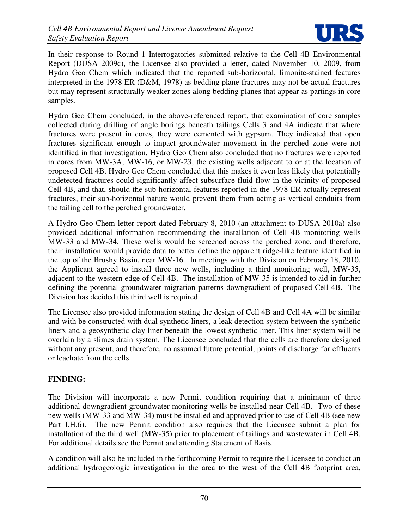

In their response to Round 1 Interrogatories submitted relative to the Cell 4B Environmental Report (DUSA 2009c), the Licensee also provided a letter, dated November 10, 2009, from Hydro Geo Chem which indicated that the reported sub-horizontal, limonite-stained features interpreted in the 1978 ER (D&M, 1978) as bedding plane fractures may not be actual fractures but may represent structurally weaker zones along bedding planes that appear as partings in core samples.

Hydro Geo Chem concluded, in the above-referenced report, that examination of core samples collected during drilling of angle borings beneath tailings Cells 3 and 4A indicate that where fractures were present in cores, they were cemented with gypsum. They indicated that open fractures significant enough to impact groundwater movement in the perched zone were not identified in that investigation. Hydro Geo Chem also concluded that no fractures were reported in cores from MW-3A, MW-16, or MW-23, the existing wells adjacent to or at the location of proposed Cell 4B. Hydro Geo Chem concluded that this makes it even less likely that potentially undetected fractures could significantly affect subsurface fluid flow in the vicinity of proposed Cell 4B, and that, should the sub-horizontal features reported in the 1978 ER actually represent fractures, their sub-horizontal nature would prevent them from acting as vertical conduits from the tailing cell to the perched groundwater.

A Hydro Geo Chem letter report dated February 8, 2010 (an attachment to DUSA 2010a) also provided additional information recommending the installation of Cell 4B monitoring wells MW-33 and MW-34. These wells would be screened across the perched zone, and therefore, their installation would provide data to better define the apparent ridge-like feature identified in the top of the Brushy Basin, near MW-16. In meetings with the Division on February 18, 2010, the Applicant agreed to install three new wells, including a third monitoring well, MW-35, adjacent to the western edge of Cell 4B. The installation of MW-35 is intended to aid in further defining the potential groundwater migration patterns downgradient of proposed Cell 4B. The Division has decided this third well is required.

The Licensee also provided information stating the design of Cell 4B and Cell 4A will be similar and with be constructed with dual synthetic liners, a leak detection system between the synthetic liners and a geosynthetic clay liner beneath the lowest synthetic liner. This liner system will be overlain by a slimes drain system. The Licensee concluded that the cells are therefore designed without any present, and therefore, no assumed future potential, points of discharge for effluents or leachate from the cells.

# **FINDING:**

The Division will incorporate a new Permit condition requiring that a minimum of three additional downgradient groundwater monitoring wells be installed near Cell 4B. Two of these new wells (MW-33 and MW-34) must be installed and approved prior to use of Cell 4B (see new Part I.H.6). The new Permit condition also requires that the Licensee submit a plan for installation of the third well (MW-35) prior to placement of tailings and wastewater in Cell 4B. For additional details see the Permit and attending Statement of Basis.

A condition will also be included in the forthcoming Permit to require the Licensee to conduct an additional hydrogeologic investigation in the area to the west of the Cell 4B footprint area,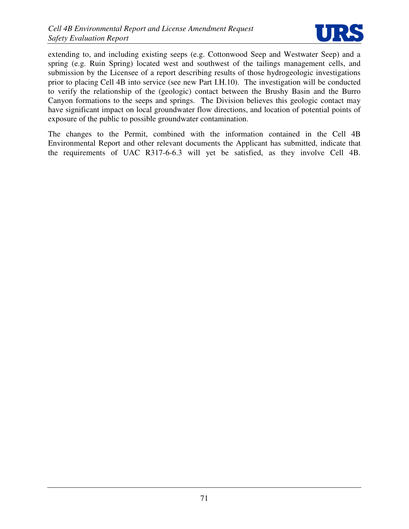

extending to, and including existing seeps (e.g. Cottonwood Seep and Westwater Seep) and a spring (e.g. Ruin Spring) located west and southwest of the tailings management cells, and submission by the Licensee of a report describing results of those hydrogeologic investigations prior to placing Cell 4B into service (see new Part I.H.10). The investigation will be conducted to verify the relationship of the (geologic) contact between the Brushy Basin and the Burro Canyon formations to the seeps and springs. The Division believes this geologic contact may have significant impact on local groundwater flow directions, and location of potential points of exposure of the public to possible groundwater contamination.

The changes to the Permit, combined with the information contained in the Cell 4B Environmental Report and other relevant documents the Applicant has submitted, indicate that the requirements of UAC R317-6-6.3 will yet be satisfied, as they involve Cell 4B.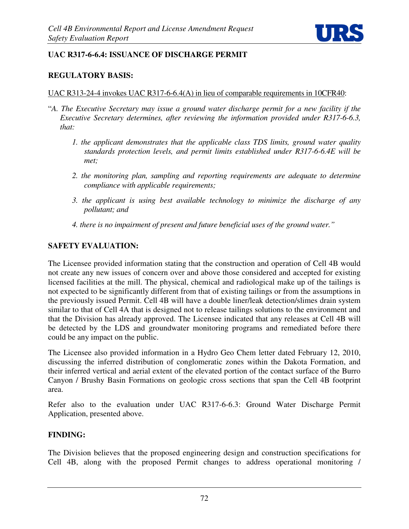

# **UAC R317-6-6.4: ISSUANCE OF DISCHARGE PERMIT**

# **REGULATORY BASIS:**

## UAC R313-24-4 invokes UAC R317-6-6.4(A) in lieu of comparable requirements in 10CFR40:

- "*A. The Executive Secretary may issue a ground water discharge permit for a new facility if the Executive Secretary determines, after reviewing the information provided under R317-6-6.3, that:* 
	- *1. the applicant demonstrates that the applicable class TDS limits, ground water quality standards protection levels, and permit limits established under R317-6-6.4E will be met;*
	- *2. the monitoring plan, sampling and reporting requirements are adequate to determine compliance with applicable requirements;*
	- *3. the applicant is using best available technology to minimize the discharge of any pollutant; and*
	- *4. there is no impairment of present and future beneficial uses of the ground water."*

# **SAFETY EVALUATION:**

The Licensee provided information stating that the construction and operation of Cell 4B would not create any new issues of concern over and above those considered and accepted for existing licensed facilities at the mill. The physical, chemical and radiological make up of the tailings is not expected to be significantly different from that of existing tailings or from the assumptions in the previously issued Permit. Cell 4B will have a double liner/leak detection/slimes drain system similar to that of Cell 4A that is designed not to release tailings solutions to the environment and that the Division has already approved. The Licensee indicated that any releases at Cell 4B will be detected by the LDS and groundwater monitoring programs and remediated before there could be any impact on the public.

The Licensee also provided information in a Hydro Geo Chem letter dated February 12, 2010, discussing the inferred distribution of conglomeratic zones within the Dakota Formation, and their inferred vertical and aerial extent of the elevated portion of the contact surface of the Burro Canyon / Brushy Basin Formations on geologic cross sections that span the Cell 4B footprint area.

Refer also to the evaluation under UAC R317-6-6.3: Ground Water Discharge Permit Application, presented above.

# **FINDING:**

The Division believes that the proposed engineering design and construction specifications for Cell 4B, along with the proposed Permit changes to address operational monitoring /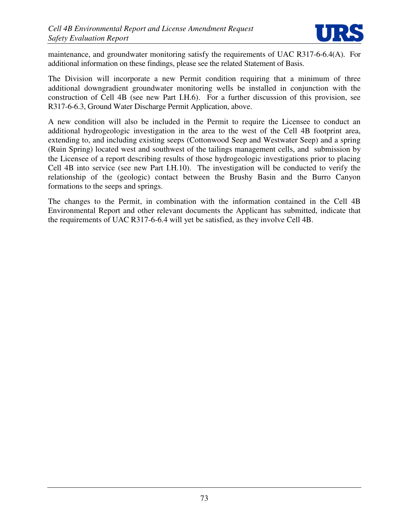

maintenance, and groundwater monitoring satisfy the requirements of UAC R317-6-6.4(A). For additional information on these findings, please see the related Statement of Basis.

The Division will incorporate a new Permit condition requiring that a minimum of three additional downgradient groundwater monitoring wells be installed in conjunction with the construction of Cell 4B (see new Part I.H.6). For a further discussion of this provision, see R317-6-6.3, Ground Water Discharge Permit Application, above.

A new condition will also be included in the Permit to require the Licensee to conduct an additional hydrogeologic investigation in the area to the west of the Cell 4B footprint area, extending to, and including existing seeps (Cottonwood Seep and Westwater Seep) and a spring (Ruin Spring) located west and southwest of the tailings management cells, and submission by the Licensee of a report describing results of those hydrogeologic investigations prior to placing Cell 4B into service (see new Part I.H.10). The investigation will be conducted to verify the relationship of the (geologic) contact between the Brushy Basin and the Burro Canyon formations to the seeps and springs.

The changes to the Permit, in combination with the information contained in the Cell 4B Environmental Report and other relevant documents the Applicant has submitted, indicate that the requirements of UAC R317-6-6.4 will yet be satisfied, as they involve Cell 4B.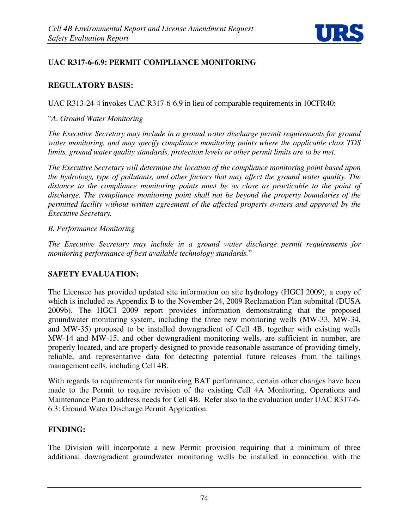

# **UAC R317-6-6.9: PERMIT COMPLIANCE MONITORING**

# **REGULATORY BASIS:**

## UAC R313-24-4 invokes UAC R317-6-6.9 in lieu of comparable requirements in 10CFR40:

### "*A. Ground Water Monitoring*

*The Executive Secretary may include in a ground water discharge permit requirements for ground water monitoring, and may specify compliance monitoring points where the applicable class TDS limits, ground water quality standards, protection levels or other permit limits are to be met.* 

*The Executive Secretary will determine the location of the compliance monitoring point based upon the hydrology, type of pollutants, and other factors that may affect the ground water quality. The*  distance to the compliance monitoring points must be as close as practicable to the point of *discharge. The compliance monitoring point shall not be beyond the property boundaries of the permitted facility without written agreement of the affected property owners and approval by the Executive Secretary.* 

## *B. Performance Monitoring*

*The Executive Secretary may include in a ground water discharge permit requirements for monitoring performance of best available technology standards.*"

# **SAFETY EVALUATION:**

The Licensee has provided updated site information on site hydrology (HGCI 2009), a copy of which is included as Appendix B to the November 24, 2009 Reclamation Plan submittal (DUSA 2009b). The HGCI 2009 report provides information demonstrating that the proposed groundwater monitoring system, including the three new monitoring wells (MW-33, MW-34, and MW-35) proposed to be installed downgradient of Cell 4B, together with existing wells MW-14 and MW-15, and other downgradient monitoring wells, are sufficient in number, are properly located, and are properly designed to provide reasonable assurance of providing timely, reliable, and representative data for detecting potential future releases from the tailings management cells, including Cell 4B.

With regards to requirements for monitoring BAT performance, certain other changes have been made to the Permit to require revision of the existing Cell 4A Monitoring, Operations and Maintenance Plan to address needs for Cell 4B. Refer also to the evaluation under UAC R317-6- 6.3: Ground Water Discharge Permit Application.

# **FINDING:**

The Division will incorporate a new Permit provision requiring that a minimum of three additional downgradient groundwater monitoring wells be installed in connection with the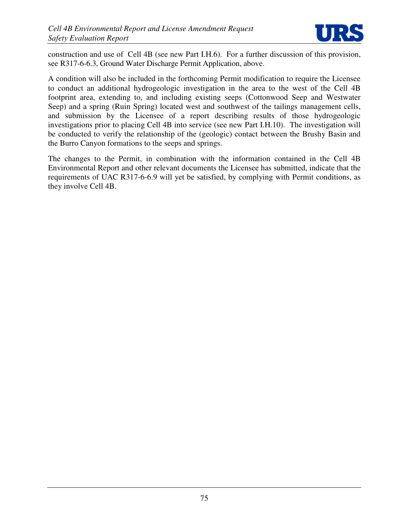

construction and use of Cell 4B (see new Part I.H.6). For a further discussion of this provision, see R317-6-6.3, Ground Water Discharge Permit Application, above.

A condition will also be included in the forthcoming Permit modification to require the Licensee to conduct an additional hydrogeologic investigation in the area to the west of the Cell 4B footprint area, extending to, and including existing seeps (Cottonwood Seep and Westwater Seep) and a spring (Ruin Spring) located west and southwest of the tailings management cells, and submission by the Licensee of a report describing results of those hydrogeologic investigations prior to placing Cell 4B into service (see new Part I.H.10). The investigation will be conducted to verify the relationship of the (geologic) contact between the Brushy Basin and the Burro Canyon formations to the seeps and springs.

The changes to the Permit, in combination with the information contained in the Cell 4B Environmental Report and other relevant documents the Licensee has submitted, indicate that the requirements of UAC R317-6-6.9 will yet be satisfied, by complying with Permit conditions, as they involve Cell 4B.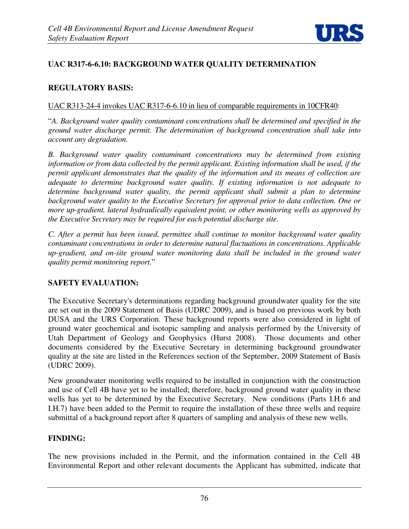

# **UAC R317-6-6.10: BACKGROUND WATER QUALITY DETERMINATION**

# **REGULATORY BASIS:**

## UAC R313-24-4 invokes UAC R317-6-6.10 in lieu of comparable requirements in 10CFR40:

"*A. Background water quality contaminant concentrations shall be determined and specified in the ground water discharge permit. The determination of background concentration shall take into account any degradation.* 

*B. Background water quality contaminant concentrations may be determined from existing information or from data collected by the permit applicant. Existing information shall be used, if the permit applicant demonstrates that the quality of the information and its means of collection are adequate to determine background water quality. If existing information is not adequate to determine background water quality, the permit applicant shall submit a plan to determine background water quality to the Executive Secretary for approval prior to data collection. One or more up-gradient, lateral hydraulically equivalent point, or other monitoring wells as approved by the Executive Secretary may be required for each potential discharge site.* 

*C. After a permit has been issued, permittee shall continue to monitor background water quality contaminant concentrations in order to determine natural fluctuations in concentrations. Applicable up-gradient, and on-site ground water monitoring data shall be included in the ground water quality permit monitoring report.*"

# **SAFETY EVALUATION:**

The Executive Secretary's determinations regarding background groundwater quality for the site are set out in the 2009 Statement of Basis (UDRC 2009), and is based on previous work by both DUSA and the URS Corporation. These background reports were also considered in light of ground water geochemical and isotopic sampling and analysis performed by the University of Utah Department of Geology and Geophysics (Hurst 2008). Those documents and other documents considered by the Executive Secretary in determining background groundwater quality at the site are listed in the References section of the September, 2009 Statement of Basis (UDRC 2009).

New groundwater monitoring wells required to be installed in conjunction with the construction and use of Cell 4B have yet to be installed; therefore, background ground water quality in these wells has yet to be determined by the Executive Secretary. New conditions (Parts I.H.6 and I.H.7) have been added to the Permit to require the installation of these three wells and require submittal of a background report after 8 quarters of sampling and analysis of these new wells.

# **FINDING:**

The new provisions included in the Permit, and the information contained in the Cell 4B Environmental Report and other relevant documents the Applicant has submitted, indicate that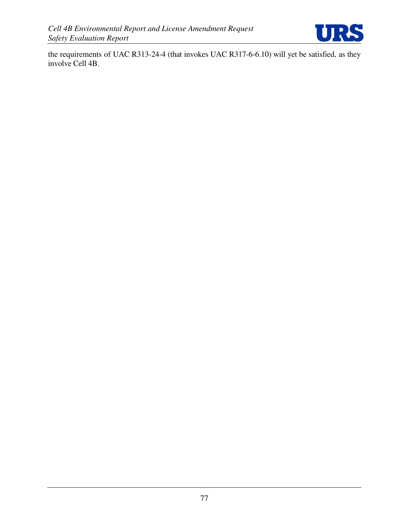

the requirements of UAC R313-24-4 (that invokes UAC R317-6-6.10) will yet be satisfied, as they involve Cell 4B.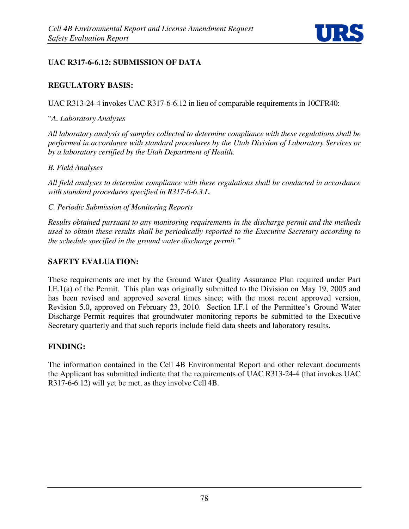

# **UAC R317-6-6.12: SUBMISSION OF DATA**

## **REGULATORY BASIS:**

### UAC R313-24-4 invokes UAC R317-6-6.12 in lieu of comparable requirements in 10CFR40:

#### "*A. Laboratory Analyses*

*All laboratory analysis of samples collected to determine compliance with these regulations shall be performed in accordance with standard procedures by the Utah Division of Laboratory Services or by a laboratory certified by the Utah Department of Health.* 

#### *B. Field Analyses*

*All field analyses to determine compliance with these regulations shall be conducted in accordance with standard procedures specified in R317-6-6.3.L.*

### *C. Periodic Submission of Monitoring Reports*

*Results obtained pursuant to any monitoring requirements in the discharge permit and the methods used to obtain these results shall be periodically reported to the Executive Secretary according to the schedule specified in the ground water discharge permit."*

### **SAFETY EVALUATION:**

These requirements are met by the Ground Water Quality Assurance Plan required under Part I.E.1(a) of the Permit. This plan was originally submitted to the Division on May 19, 2005 and has been revised and approved several times since; with the most recent approved version, Revision 5.0, approved on February 23, 2010. Section I.F.1 of the Permittee's Ground Water Discharge Permit requires that groundwater monitoring reports be submitted to the Executive Secretary quarterly and that such reports include field data sheets and laboratory results.

### **FINDING:**

The information contained in the Cell 4B Environmental Report and other relevant documents the Applicant has submitted indicate that the requirements of UAC R313-24-4 (that invokes UAC R317-6-6.12) will yet be met, as they involve Cell 4B.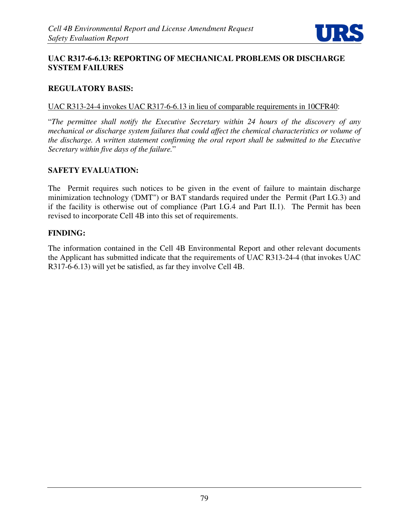

## **UAC R317-6-6.13: REPORTING OF MECHANICAL PROBLEMS OR DISCHARGE SYSTEM FAILURES**

## **REGULATORY BASIS:**

#### UAC R313-24-4 invokes UAC R317-6-6.13 in lieu of comparable requirements in 10CFR40:

"*The permittee shall notify the Executive Secretary within 24 hours of the discovery of any mechanical or discharge system failures that could affect the chemical characteristics or volume of the discharge. A written statement confirming the oral report shall be submitted to the Executive Secretary within five days of the failure.*"

#### **SAFETY EVALUATION:**

The Permit requires such notices to be given in the event of failure to maintain discharge minimization technology ('DMT") or BAT standards required under the Permit (Part I.G.3) and if the facility is otherwise out of compliance (Part I.G.4 and Part II.1). The Permit has been revised to incorporate Cell 4B into this set of requirements.

#### **FINDING:**

The information contained in the Cell 4B Environmental Report and other relevant documents the Applicant has submitted indicate that the requirements of UAC R313-24-4 (that invokes UAC R317-6-6.13) will yet be satisfied, as far they involve Cell 4B.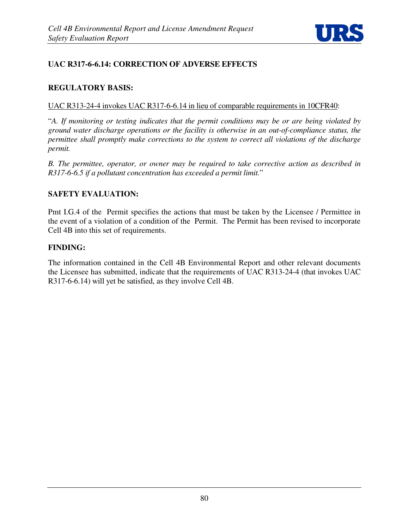

# **UAC R317-6-6.14: CORRECTION OF ADVERSE EFFECTS**

### **REGULATORY BASIS:**

#### UAC R313-24-4 invokes UAC R317-6-6.14 in lieu of comparable requirements in 10CFR40:

"*A. If monitoring or testing indicates that the permit conditions may be or are being violated by ground water discharge operations or the facility is otherwise in an out-of-compliance status, the permittee shall promptly make corrections to the system to correct all violations of the discharge permit.* 

*B. The permittee, operator, or owner may be required to take corrective action as described in R317-6-6.5 if a pollutant concentration has exceeded a permit limit.*"

### **SAFETY EVALUATION:**

Pmt I.G.4 of the Permit specifies the actions that must be taken by the Licensee / Permittee in the event of a violation of a condition of the Permit. The Permit has been revised to incorporate Cell 4B into this set of requirements.

#### **FINDING:**

The information contained in the Cell 4B Environmental Report and other relevant documents the Licensee has submitted, indicate that the requirements of UAC R313-24-4 (that invokes UAC R317-6-6.14) will yet be satisfied, as they involve Cell 4B.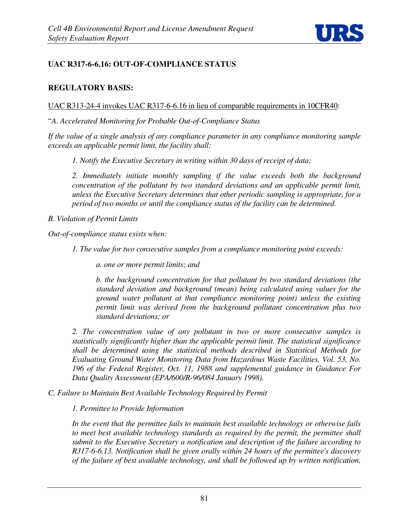

# **UAC R317-6-6.16: OUT-OF-COMPLIANCE STATUS**

## **REGULATORY BASIS:**

UAC R313-24-4 invokes UAC R317-6-6.16 in lieu of comparable requirements in 10CFR40:

"*A. Accelerated Monitoring for Probable Out-of-Compliance Status* 

*If the value of a single analysis of any compliance parameter in any compliance monitoring sample exceeds an applicable permit limit, the facility shall:* 

*1. Notify the Executive Secretary in writing within 30 days of receipt of data;* 

2. Immediately initiate monthly sampling if the value exceeds both the background *concentration of the pollutant by two standard deviations and an applicable permit limit, unless the Executive Secretary determines that other periodic sampling is appropriate, for a period of two months or until the compliance status of the facility can be determined.* 

*B. Violation of Permit Limits* 

*Out-of-compliance status exists when:* 

*1. The value for two consecutive samples from a compliance monitoring point exceeds:* 

*a. one or more permit limits; and* 

*b. the background concentration for that pollutant by two standard deviations (the standard deviation and background (mean) being calculated using values for the ground water pollutant at that compliance monitoring point) unless the existing permit limit was derived from the background pollutant concentration plus two standard deviations; or* 

*2. The concentration value of any pollutant in two or more consecutive samples is statistically significantly higher than the applicable permit limit. The statistical significance shall be determined using the statistical methods described in Statistical Methods for Evaluating Ground Water Monitoring Data from Hazardous Waste Facilities, Vol. 53, No. 196 of the Federal Register, Oct. 11, 1988 and supplemental guidance in Guidance For Data Quality Assessment (EPA/600/R-96/084 January 1998).* 

*C. Failure to Maintain Best Available Technology Required by Permit* 

*1. Permittee to Provide Information* 

*In the event that the permittee fails to maintain best available technology or otherwise fails to meet best available technology standards as required by the permit, the permittee shall submit to the Executive Secretary a notification and description of the failure according to R317-6-6.13. Notification shall be given orally within 24 hours of the permittee's discovery of the failure of best available technology, and shall be followed up by written notification,*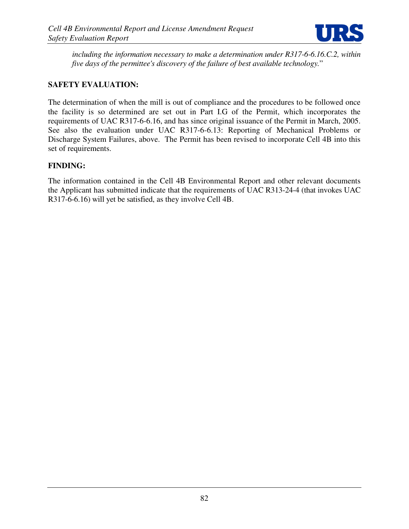

*including the information necessary to make a determination under R317-6-6.16.C.2, within five days of the permittee's discovery of the failure of best available technology.*"

## **SAFETY EVALUATION:**

The determination of when the mill is out of compliance and the procedures to be followed once the facility is so determined are set out in Part I.G of the Permit, which incorporates the requirements of UAC R317-6-6.16, and has since original issuance of the Permit in March, 2005. See also the evaluation under UAC R317-6-6.13: Reporting of Mechanical Problems or Discharge System Failures, above. The Permit has been revised to incorporate Cell 4B into this set of requirements.

### **FINDING:**

The information contained in the Cell 4B Environmental Report and other relevant documents the Applicant has submitted indicate that the requirements of UAC R313-24-4 (that invokes UAC R317-6-6.16) will yet be satisfied, as they involve Cell 4B.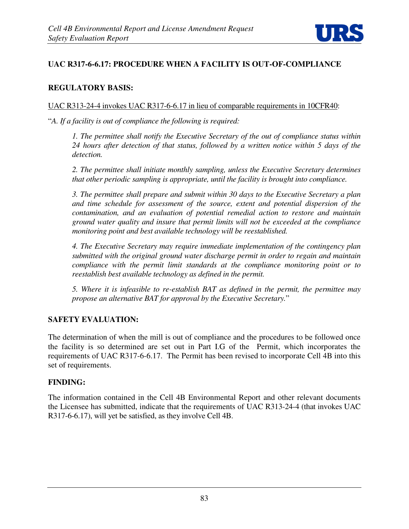

# **UAC R317-6-6.17: PROCEDURE WHEN A FACILITY IS OUT-OF-COMPLIANCE**

## **REGULATORY BASIS:**

UAC R313-24-4 invokes UAC R317-6-6.17 in lieu of comparable requirements in 10CFR40:

"*A. If a facility is out of compliance the following is required:* 

*1. The permittee shall notify the Executive Secretary of the out of compliance status within 24 hours after detection of that status, followed by a written notice within 5 days of the detection.* 

*2. The permittee shall initiate monthly sampling, unless the Executive Secretary determines that other periodic sampling is appropriate, until the facility is brought into compliance.* 

*3. The permittee shall prepare and submit within 30 days to the Executive Secretary a plan and time schedule for assessment of the source, extent and potential dispersion of the contamination, and an evaluation of potential remedial action to restore and maintain ground water quality and insure that permit limits will not be exceeded at the compliance monitoring point and best available technology will be reestablished.* 

*4. The Executive Secretary may require immediate implementation of the contingency plan submitted with the original ground water discharge permit in order to regain and maintain compliance with the permit limit standards at the compliance monitoring point or to reestablish best available technology as defined in the permit.* 

*5. Where it is infeasible to re-establish BAT as defined in the permit, the permittee may propose an alternative BAT for approval by the Executive Secretary.*"

# **SAFETY EVALUATION:**

The determination of when the mill is out of compliance and the procedures to be followed once the facility is so determined are set out in Part I.G of the Permit, which incorporates the requirements of UAC R317-6-6.17. The Permit has been revised to incorporate Cell 4B into this set of requirements.

# **FINDING:**

The information contained in the Cell 4B Environmental Report and other relevant documents the Licensee has submitted, indicate that the requirements of UAC R313-24-4 (that invokes UAC R317-6-6.17), will yet be satisfied, as they involve Cell 4B.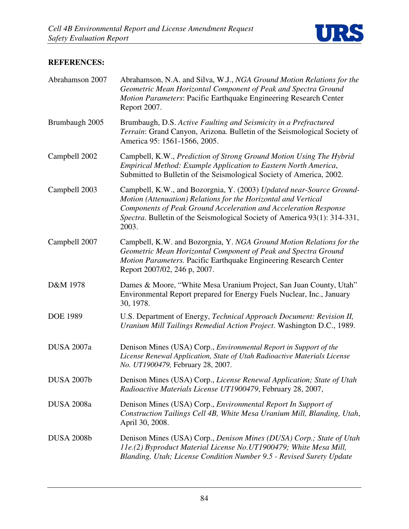

# **REFERENCES:**

| Abrahamson 2007   | Abrahamson, N.A. and Silva, W.J., NGA Ground Motion Relations for the<br>Geometric Mean Horizontal Component of Peak and Spectra Ground<br>Motion Parameters: Pacific Earthquake Engineering Research Center<br>Report 2007.                                                                     |
|-------------------|--------------------------------------------------------------------------------------------------------------------------------------------------------------------------------------------------------------------------------------------------------------------------------------------------|
| Brumbaugh 2005    | Brumbaugh, D.S. Active Faulting and Seismicity in a Prefractured<br>Terrain: Grand Canyon, Arizona. Bulletin of the Seismological Society of<br>America 95: 1561-1566, 2005.                                                                                                                     |
| Campbell 2002     | Campbell, K.W., Prediction of Strong Ground Motion Using The Hybrid<br>Empirical Method: Example Application to Eastern North America,<br>Submitted to Bulletin of the Seismological Society of America, 2002.                                                                                   |
| Campbell 2003     | Campbell, K.W., and Bozorgnia, Y. (2003) Updated near-Source Ground-<br>Motion (Attenuation) Relations for the Horizontal and Vertical<br>Components of Peak Ground Acceleration and Acceleration Response<br>Spectra. Bulletin of the Seismological Society of America 93(1): 314-331,<br>2003. |
| Campbell 2007     | Campbell, K.W. and Bozorgnia, Y. NGA Ground Motion Relations for the<br>Geometric Mean Horizontal Component of Peak and Spectra Ground<br><b>Motion Parameters. Pacific Earthquake Engineering Research Center</b><br>Report 2007/02, 246 p, 2007.                                               |
| D&M 1978          | Dames & Moore, "White Mesa Uranium Project, San Juan County, Utah"<br>Environmental Report prepared for Energy Fuels Nuclear, Inc., January<br>30, 1978.                                                                                                                                         |
| <b>DOE 1989</b>   | U.S. Department of Energy, Technical Approach Document: Revision II,<br>Uranium Mill Tailings Remedial Action Project. Washington D.C., 1989.                                                                                                                                                    |
| DUSA 2007a        | Denison Mines (USA) Corp., Environmental Report in Support of the<br>License Renewal Application, State of Utah Radioactive Materials License<br>No. UT1900479, February 28, 2007.                                                                                                               |
| <b>DUSA 2007b</b> | Denison Mines (USA) Corp., License Renewal Application; State of Utah<br>Radioactive Materials License UT1900479, February 28, 2007,                                                                                                                                                             |
| DUSA 2008a        | Denison Mines (USA) Corp., <i>Environmental Report In Support of</i><br>Construction Tailings Cell 4B, White Mesa Uranium Mill, Blanding, Utah,<br>April 30, 2008.                                                                                                                               |
| <b>DUSA 2008b</b> | Denison Mines (USA) Corp., Denison Mines (DUSA) Corp.; State of Utah<br>11e.(2) Byproduct Material License No. UT1900479; White Mesa Mill,<br>Blanding, Utah; License Condition Number 9.5 - Revised Surety Update                                                                               |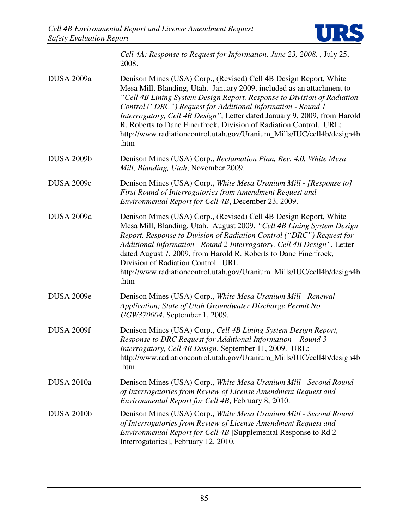

*Cell 4A; Response to Request for Information, June 23, 2008, ,* July 25, 2008.

| <b>DUSA 2009a</b> | Denison Mines (USA) Corp., (Revised) Cell 4B Design Report, White<br>Mesa Mill, Blanding, Utah. January 2009, included as an attachment to<br>"Cell 4B Lining System Design Report, Response to Division of Radiation<br>Control ("DRC") Request for Additional Information - Round 1<br>Interrogatory, Cell 4B Design", Letter dated January 9, 2009, from Harold<br>R. Roberts to Dane Finerfrock, Division of Radiation Control. URL:<br>http://www.radiationcontrol.utah.gov/Uranium_Mills/IUC/cell4b/design4b<br>.htm |
|-------------------|----------------------------------------------------------------------------------------------------------------------------------------------------------------------------------------------------------------------------------------------------------------------------------------------------------------------------------------------------------------------------------------------------------------------------------------------------------------------------------------------------------------------------|
| <b>DUSA 2009b</b> | Denison Mines (USA) Corp., Reclamation Plan, Rev. 4.0, White Mesa<br>Mill, Blanding, Utah, November 2009.                                                                                                                                                                                                                                                                                                                                                                                                                  |
| <b>DUSA 2009c</b> | Denison Mines (USA) Corp., White Mesa Uranium Mill - [Response to]<br>First Round of Interrogatories from Amendment Request and<br>Environmental Report for Cell 4B, December 23, 2009.                                                                                                                                                                                                                                                                                                                                    |
| <b>DUSA 2009d</b> | Denison Mines (USA) Corp., (Revised) Cell 4B Design Report, White<br>Mesa Mill, Blanding, Utah. August 2009, "Cell 4B Lining System Design<br>Report, Response to Division of Radiation Control ("DRC") Request for<br>Additional Information - Round 2 Interrogatory, Cell 4B Design", Letter<br>dated August 7, 2009, from Harold R. Roberts to Dane Finerfrock,<br>Division of Radiation Control. URL:<br>http://www.radiationcontrol.utah.gov/Uranium_Mills/IUC/cell4b/design4b<br>.htm                                |
| <b>DUSA 2009e</b> | Denison Mines (USA) Corp., White Mesa Uranium Mill - Renewal<br>Application; State of Utah Groundwater Discharge Permit No.<br>UGW370004, September 1, 2009.                                                                                                                                                                                                                                                                                                                                                               |
| <b>DUSA 2009f</b> | Denison Mines (USA) Corp., Cell 4B Lining System Design Report,<br>Response to DRC Request for Additional Information - Round 3<br>Interrogatory, Cell 4B Design, September 11, 2009. URL:<br>http://www.radiationcontrol.utah.gov/Uranium_Mills/IUC/cell4b/design4b<br>.htm                                                                                                                                                                                                                                               |
| <b>DUSA 2010a</b> | Denison Mines (USA) Corp., White Mesa Uranium Mill - Second Round<br>of Interrogatories from Review of License Amendment Request and<br>Environmental Report for Cell 4B, February 8, 2010.                                                                                                                                                                                                                                                                                                                                |
| <b>DUSA 2010b</b> | Denison Mines (USA) Corp., White Mesa Uranium Mill - Second Round<br>of Interrogatories from Review of License Amendment Request and<br>Environmental Report for Cell 4B [Supplemental Response to Rd 2<br>Interrogatories], February 12, 2010.                                                                                                                                                                                                                                                                            |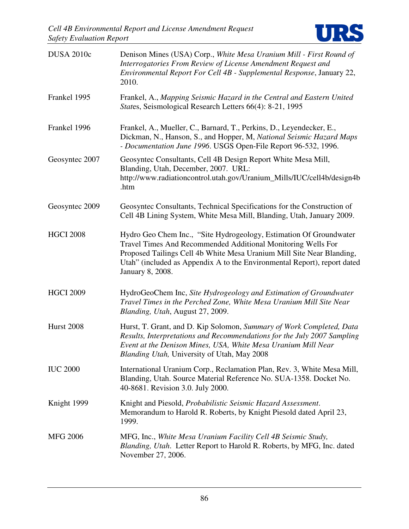

| <b>DUSA 2010c</b> | Denison Mines (USA) Corp., White Mesa Uranium Mill - First Round of<br>Interrogatories From Review of License Amendment Request and<br>Environmental Report For Cell 4B - Supplemental Response, January 22,<br>2010.                                                                                       |
|-------------------|-------------------------------------------------------------------------------------------------------------------------------------------------------------------------------------------------------------------------------------------------------------------------------------------------------------|
| Frankel 1995      | Frankel, A., Mapping Seismic Hazard in the Central and Eastern United<br><i>States, Seismological Research Letters 66(4): 8-21, 1995</i>                                                                                                                                                                    |
| Frankel 1996      | Frankel, A., Mueller, C., Barnard, T., Perkins, D., Leyendecker, E.,<br>Dickman, N., Hanson, S., and Hopper, M. National Seismic Hazard Maps<br>- Documentation June 1996. USGS Open-File Report 96-532, 1996.                                                                                              |
| Geosyntec 2007    | Geosyntec Consultants, Cell 4B Design Report White Mesa Mill,<br>Blanding, Utah, December, 2007. URL:<br>http://www.radiationcontrol.utah.gov/Uranium_Mills/IUC/cell4b/design4b<br>.htm                                                                                                                     |
| Geosyntec 2009    | Geosyntec Consultants, Technical Specifications for the Construction of<br>Cell 4B Lining System, White Mesa Mill, Blanding, Utah, January 2009.                                                                                                                                                            |
| <b>HGCI 2008</b>  | Hydro Geo Chem Inc., "Site Hydrogeology, Estimation Of Groundwater<br>Travel Times And Recommended Additional Monitoring Wells For<br>Proposed Tailings Cell 4b White Mesa Uranium Mill Site Near Blanding,<br>Utah" (included as Appendix A to the Environmental Report), report dated<br>January 8, 2008. |
| <b>HGCI 2009</b>  | HydroGeoChem Inc, Site Hydrogeology and Estimation of Groundwater<br>Travel Times in the Perched Zone, White Mesa Uranium Mill Site Near<br>Blanding, Utah, August 27, 2009.                                                                                                                                |
| <b>Hurst 2008</b> | Hurst, T. Grant, and D. Kip Solomon, Summary of Work Completed, Data<br>Results, Interpretations and Recommendations for the July 2007 Sampling<br>Event at the Denison Mines, USA, White Mesa Uranium Mill Near<br>Blanding Utah, University of Utah, May 2008                                             |
| <b>IUC 2000</b>   | International Uranium Corp., Reclamation Plan, Rev. 3, White Mesa Mill,<br>Blanding, Utah. Source Material Reference No. SUA-1358. Docket No.<br>40-8681. Revision 3.0. July 2000.                                                                                                                          |
| Knight 1999       | Knight and Piesold, Probabilistic Seismic Hazard Assessment.<br>Memorandum to Harold R. Roberts, by Knight Piesold dated April 23,<br>1999.                                                                                                                                                                 |
| <b>MFG 2006</b>   | MFG, Inc., White Mesa Uranium Facility Cell 4B Seismic Study,<br>Blanding, Utah. Letter Report to Harold R. Roberts, by MFG, Inc. dated<br>November 27, 2006.                                                                                                                                               |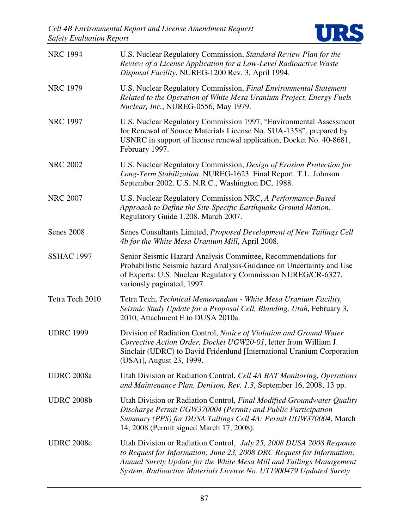

| <b>NRC 1994</b>   | U.S. Nuclear Regulatory Commission, Standard Review Plan for the<br>Review of a License Application for a Low-Level Radioactive Waste<br>Disposal Facility, NUREG-1200 Rev. 3, April 1994.                                                                                                   |
|-------------------|----------------------------------------------------------------------------------------------------------------------------------------------------------------------------------------------------------------------------------------------------------------------------------------------|
| <b>NRC 1979</b>   | U.S. Nuclear Regulatory Commission, Final Environmental Statement<br>Related to the Operation of White Mesa Uranium Project, Energy Fuels<br>Nuclear, Inc., NUREG-0556, May 1979.                                                                                                            |
| <b>NRC 1997</b>   | U.S. Nuclear Regulatory Commission 1997, "Environmental Assessment<br>for Renewal of Source Materials License No. SUA-1358", prepared by<br>USNRC in support of license renewal application, Docket No. 40-8681,<br>February 1997.                                                           |
| <b>NRC 2002</b>   | U.S. Nuclear Regulatory Commission, Design of Erosion Protection for<br>Long-Term Stabilization. NUREG-1623. Final Report. T.L. Johnson<br>September 2002. U.S. N.R.C., Washington DC, 1988.                                                                                                 |
| <b>NRC 2007</b>   | U.S. Nuclear Regulatory Commission NRC, A Performance-Based<br>Approach to Define the Site-Specific Earthquake Ground Motion.<br>Regulatory Guide 1.208. March 2007.                                                                                                                         |
| <b>Senes 2008</b> | Senes Consultants Limited, Proposed Development of New Tailings Cell<br>4b for the White Mesa Uranium Mill, April 2008.                                                                                                                                                                      |
| <b>SSHAC 1997</b> | Senior Seismic Hazard Analysis Committee, Recommendations for<br>Probabilistic Seismic hazard Analysis-Guidance on Uncertainty and Use<br>of Experts: U.S. Nuclear Regulatory Commission NUREG/CR-6327,<br>variously paginated, 1997                                                         |
| Tetra Tech 2010   | Tetra Tech, Technical Memorandum - White Mesa Uranium Facility,<br>Seismic Study Update for a Proposal Cell, Blanding, Utah, February 3,<br>2010, Attachment E to DUSA 2010a.                                                                                                                |
| <b>UDRC 1999</b>  | Division of Radiation Control, Notice of Violation and Ground Water<br>Corrective Action Order, Docket UGW20-01, letter from William J.<br>Sinclair (UDRC) to David Fridenlund [International Uranium Corporation<br>(USA)], August 23, 1999.                                                |
| <b>UDRC 2008a</b> | Utah Division or Radiation Control, Cell 4A BAT Monitoring, Operations<br>and Maintenance Plan, Denison, Rev. 1.3, September 16, 2008, 13 pp.                                                                                                                                                |
| <b>UDRC 2008b</b> | Utah Division or Radiation Control, Final Modified Groundwater Quality<br>Discharge Permit UGW370004 (Permit) and Public Participation<br>Summary (PPS) for DUSA Tailings Cell 4A: Permit UGW370004, March<br>14, 2008 (Permit signed March 17, 2008).                                       |
| <b>UDRC 2008c</b> | Utah Division or Radiation Control, July 25, 2008 DUSA 2008 Response<br>to Request for Information; June 23, 2008 DRC Request for Information;<br>Annual Surety Update for the White Mesa Mill and Tailings Management<br>System, Radioactive Materials License No. UT1900479 Updated Surety |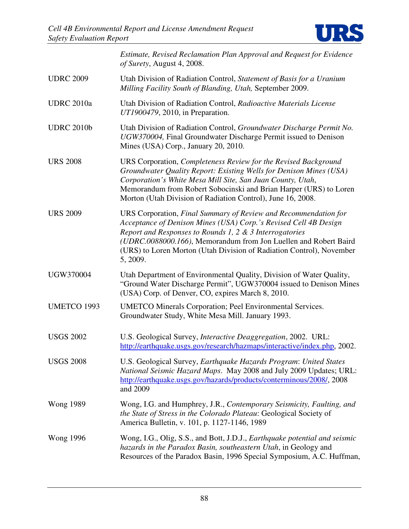

|                    | Estimate, Revised Reclamation Plan Approval and Request for Evidence<br>of Surety, August 4, 2008.                                                                                                                                                                                                                                                     |
|--------------------|--------------------------------------------------------------------------------------------------------------------------------------------------------------------------------------------------------------------------------------------------------------------------------------------------------------------------------------------------------|
| <b>UDRC 2009</b>   | Utah Division of Radiation Control, Statement of Basis for a Uranium<br>Milling Facility South of Blanding, Utah, September 2009.                                                                                                                                                                                                                      |
| <b>UDRC</b> 2010a  | Utah Division of Radiation Control, Radioactive Materials License<br>UT1900479, 2010, in Preparation.                                                                                                                                                                                                                                                  |
| <b>UDRC 2010b</b>  | Utah Division of Radiation Control, Groundwater Discharge Permit No.<br>UGW370004, Final Groundwater Discharge Permit issued to Denison<br>Mines (USA) Corp., January 20, 2010.                                                                                                                                                                        |
| <b>URS 2008</b>    | URS Corporation, Completeness Review for the Revised Background<br>Groundwater Quality Report: Existing Wells for Denison Mines (USA)<br>Corporation's White Mesa Mill Site, San Juan County, Utah,<br>Memorandum from Robert Sobocinski and Brian Harper (URS) to Loren<br>Morton (Utah Division of Radiation Control), June 16, 2008.                |
| <b>URS 2009</b>    | URS Corporation, Final Summary of Review and Recommendation for<br>Acceptance of Denison Mines (USA) Corp.'s Revised Cell 4B Design<br>Report and Responses to Rounds 1, 2 & 3 Interrogatories<br>(UDRC.0088000.166), Memorandum from Jon Luellen and Robert Baird<br>(URS) to Loren Morton (Utah Division of Radiation Control), November<br>5, 2009. |
| UGW370004          | Utah Department of Environmental Quality, Division of Water Quality,<br>"Ground Water Discharge Permit", UGW370004 issued to Denison Mines<br>(USA) Corp. of Denver, CO, expires March 8, 2010.                                                                                                                                                        |
| <b>UMETCO 1993</b> | <b>UMETCO Minerals Corporation; Peel Environmental Services.</b><br>Groundwater Study, White Mesa Mill. January 1993.                                                                                                                                                                                                                                  |
| <b>USGS 2002</b>   | U.S. Geological Survey, Interactive Deaggregation, 2002. URL:<br>http://earthquake.usgs.gov/research/hazmaps/interactive/index.php, 2002.                                                                                                                                                                                                              |
| <b>USGS 2008</b>   | U.S. Geological Survey, Earthquake Hazards Program: United States<br>National Seismic Hazard Maps. May 2008 and July 2009 Updates; URL:<br>http://earthquake.usgs.gov/hazards/products/conterminous/2008/, 2008<br>and 2009                                                                                                                            |
| <b>Wong 1989</b>   | Wong, I.G. and Humphrey, J.R., Contemporary Seismicity, Faulting, and<br>the State of Stress in the Colorado Plateau: Geological Society of<br>America Bulletin, v. 101, p. 1127-1146, 1989                                                                                                                                                            |
| <b>Wong 1996</b>   | Wong, I.G., Olig, S.S., and Bott, J.D.J., Earthquake potential and seismic<br>hazards in the Paradox Basin, southeastern Utah, in Geology and<br>Resources of the Paradox Basin, 1996 Special Symposium, A.C. Huffman,                                                                                                                                 |